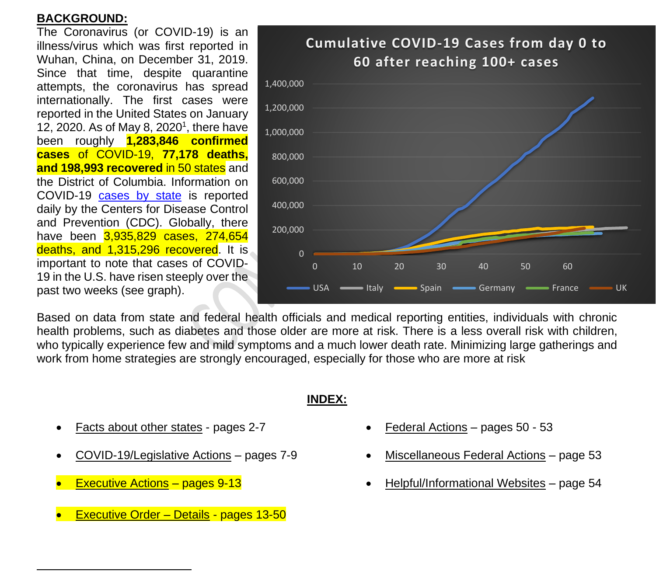# **BACKGROUND:**

The Coronavirus (or COVID-19) is an illness/virus which was first reported in Wuhan, China, on December 31, 2019. Since that time, despite quarantine attempts, the coronavirus has spread internationally. The first cases were reported in the United States on January 12, 2020. As of May 8, 2020<sup>1</sup>, there have been roughly **1,283,846 confirmed cases** of COVID-19, **77,178 deaths, and 198,993 recovered** in 50 states and the District of Columbia. Information on COVID-19 cases by state is reported daily by the Centers for Disease Control and Prevention (CDC). Globally, there have been 3,935,829 cases, 274,654 deaths, and 1,315,296 recovered. It is important to note that cases of COVID-19 in the U.S. have risen steeply over the past two weeks (see graph).



Based on data from state and federal health officials and medical reporting entities, individuals with chronic health problems, such as diabetes and those older are more at risk. There is a less overall risk with children, who typically experience few and mild symptoms and a much lower death rate. Minimizing large gatherings and work from home strategies are strongly encouraged, especially for those who are more at risk

### **INDEX:**

- Facts about other states pages 2-7
- COVID-19/Legislative Actions pages 7-9
- **Executive Actions pages 9-13**
- Executive Order Details pages 13-50
- Federal Actions pages 50 53
- Miscellaneous Federal Actions page 53
- Helpful/Informational Websites page 54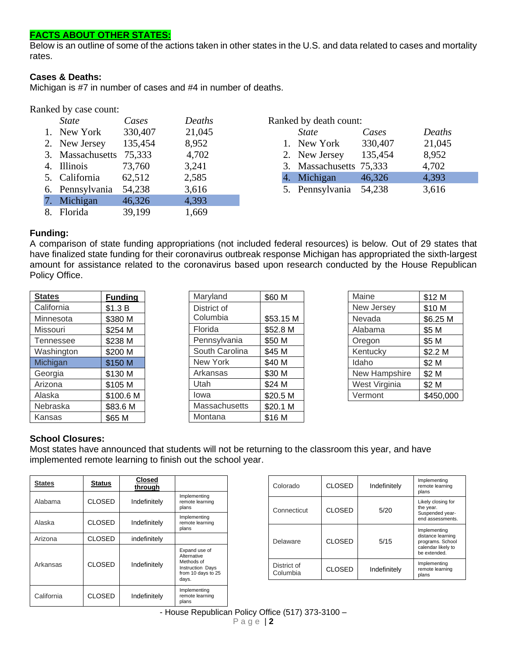# **FACTS ABOUT OTHER STATES:**

Below is an outline of some of the actions taken in other states in the U.S. and data related to cases and mortality rates.

#### **Cases & Deaths:**

Michigan is #7 in number of cases and #4 in number of deaths.

#### Ranked by case count:

| <b>State</b>     | Cases   | Deaths |
|------------------|---------|--------|
| 1. New York      | 330,407 | 21,045 |
| 2. New Jersey    | 135,454 | 8,952  |
| 3. Massachusetts | 75,333  | 4,702  |
| 4. Illinois      | 73,760  | 3,241  |
| 5. California    | 62,512  | 2,585  |
| 6. Pennsylvania  | 54,238  | 3,616  |
| 7. Michigan      | 46,326  | 4,393  |
| 8. Florida       | 39,199  | 1,669  |

| Ranked by death count: |                         |         |        |  |  |
|------------------------|-------------------------|---------|--------|--|--|
|                        | <b>State</b>            | Cases   | Deaths |  |  |
|                        | 1. New York             | 330,407 | 21,045 |  |  |
|                        | 2. New Jersey           | 135,454 | 8,952  |  |  |
|                        | 3. Massachusetts 75,333 |         | 4,702  |  |  |
|                        | 4. Michigan             | 46,326  | 4,393  |  |  |
|                        | 5. Pennsylvania         | 54,238  | 3,616  |  |  |

#### **Funding:**

A comparison of state funding appropriations (not included federal resources) is below. Out of 29 states that have finalized state funding for their coronavirus outbreak response Michigan has appropriated the sixth-largest amount for assistance related to the coronavirus based upon research conducted by the House Republican Policy Office.

| <b>States</b>    | <b>Funding</b> |
|------------------|----------------|
| California       | \$1.3 B        |
| Minnesota        | \$380 M        |
| Missouri         | \$254 M        |
| <b>Tennessee</b> | \$238 M        |
| Washington       | \$200 M        |
| Michigan         | \$150 M        |
| Georgia          | \$130 M        |
| Arizona          | \$105 M        |
| Alaska           | \$100.6 M      |
| Nebraska         | \$83.6 M       |
| Kansas           | \$65 M         |

| Maryland       | \$60 M    |
|----------------|-----------|
| District of    |           |
| Columbia       | \$53.15 M |
| Florida        | \$52.8 M  |
| Pennsylvania   | \$50 M    |
| South Carolina | \$45 M    |
| New York       | \$40 M    |
| Arkansas       | \$30 M    |
| Utah           | \$24 M    |
| lowa           | \$20.5 M  |
| Massachusetts  | \$20.1 M  |
| Montana        | \$16 M    |

| Maine         | \$12 M    |
|---------------|-----------|
| New Jersey    | \$10 M    |
| Nevada        | \$6.25 M  |
| Alabama       | \$5 M     |
| Oregon        | \$5 M     |
| Kentucky      | \$2.2 M   |
| Idaho         | \$2 M     |
| New Hampshire | \$2 M     |
| West Virginia | \$2 M     |
| Vermont       | \$450,000 |

# **School Closures:**

Most states have announced that students will not be returning to the classroom this year, and have implemented remote learning to finish out the school year.

| <b>States</b>               | <b>Status</b> | <b>Closed</b><br>through |                                                                                                      |
|-----------------------------|---------------|--------------------------|------------------------------------------------------------------------------------------------------|
| Alabama                     | <b>CLOSED</b> | Indefinitely             | Implementing<br>remote learning<br>plans                                                             |
| Alaska                      | <b>CLOSED</b> | Indefinitely             | Implementing<br>remote learning<br>plans                                                             |
| Arizona                     | <b>CLOSED</b> | indefinitely             |                                                                                                      |
| Arkansas                    | <b>CLOSED</b> | Indefinitely             | Expand use of<br>Alternative<br>Methods of<br><b>Instruction Days</b><br>from 10 days to 25<br>days. |
| <b>CLOSED</b><br>California |               | Indefinitely             | Implementing<br>remote learning<br>plans                                                             |

| Colorado                | <b>CLOSED</b> | Indefinitely | Implementing<br>remote learning<br>plans                                                    |
|-------------------------|---------------|--------------|---------------------------------------------------------------------------------------------|
| Connecticut             | <b>CLOSED</b> | 5/20         | Likely closing for<br>the year.<br>Suspended year-<br>end assessments.                      |
| Delaware                | <b>CLOSED</b> | 5/15         | Implementing<br>distance learning<br>programs. School<br>calendar likely to<br>be extended. |
| District of<br>Columbia | <b>CLOSED</b> | Indefinitely | Implementing<br>remote learning<br>plans                                                    |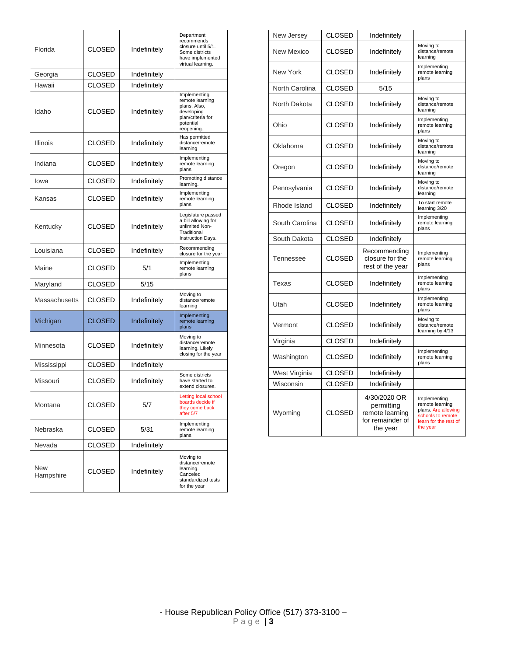| Florida                    | <b>CLOSED</b> | Indefinitely | Department<br>recommends<br>closure until 5/1.<br>Some districts<br>have implemented<br>virtual learning.     |
|----------------------------|---------------|--------------|---------------------------------------------------------------------------------------------------------------|
| Georgia                    | CLOSED        | Indefinitely |                                                                                                               |
| Hawaii                     | CI OSED       | Indefinitely |                                                                                                               |
| Idaho                      | <b>CLOSED</b> | Indefinitely | Implementing<br>remote learning<br>plans. Also,<br>developing<br>plan/criteria for<br>potential<br>reopening. |
| <b>Illinois</b>            | <b>CLOSED</b> | Indefinitely | Has permitted<br>distance/remote<br>learning                                                                  |
| Indiana                    | <b>CLOSED</b> | Indefinitely | Implementing<br>remote learning<br>plans                                                                      |
| lowa                       | <b>CLOSED</b> | Indefinitely | Promoting distance<br>learning.                                                                               |
| Kansas                     | <b>CLOSED</b> | Indefinitely | Implementing<br>remote learning<br>plans                                                                      |
| Kentucky                   | <b>CLOSED</b> | Indefinitely | Legislature passed<br>a bill allowing for<br>unlimited Non-<br>Traditional<br>Instruction Days.               |
| Louisiana                  | CLOSED        | Indefinitely | Recommending<br>closure for the year                                                                          |
| Maine                      | CLOSED        | 5/1          | Implementing<br>remote learning<br>plans                                                                      |
| Maryland                   | CLOSED        | 5/15         |                                                                                                               |
| Massachusetts              | CLOSED        | Indefinitely | Moving to<br>distance/remote<br>learning                                                                      |
| Michigan                   | CLOSED        | Indefinitely | Implementing<br>remote learning<br>plans                                                                      |
| Minnesota                  | <b>CLOSED</b> | Indefinitely | Moving to<br>distance/remote<br>learning. Likely<br>closing for the year                                      |
| Mississippi                | <b>CLOSED</b> | Indefinitely |                                                                                                               |
| Missouri<br><b>CLOSED</b>  |               | Indefinitely | Some districts<br>have started to<br>extend closures.                                                         |
| Montana<br>CLOSED          |               | 5/7          | Letting local school<br>boards decide if<br>they come back<br>after 5/7                                       |
| Nebraska                   | CLOSED        |              | Implementing<br>remote learning<br>plans                                                                      |
| Nevada                     | <b>CLOSED</b> | Indefinitely |                                                                                                               |
| New<br>CLOSED<br>Hampshire |               | Indefinitely | Moving to<br>distance/remote<br>learning.<br>Canceled<br>standardized tests<br>for the year                   |

|                                 | <b>CLOSED</b>                 |                                                                               |                                                                                                                  |
|---------------------------------|-------------------------------|-------------------------------------------------------------------------------|------------------------------------------------------------------------------------------------------------------|
| New Jersey                      |                               | Indefinitely                                                                  |                                                                                                                  |
| <b>New Mexico</b>               | <b>CLOSED</b>                 | Indefinitely                                                                  | Moving to<br>distance/remote<br>learning                                                                         |
| New York                        | <b>CLOSED</b>                 | Indefinitely                                                                  | Implementing<br>remote learning<br>plans                                                                         |
| North Carolina                  | <b>CLOSED</b>                 | 5/15                                                                          |                                                                                                                  |
| North Dakota                    | <b>CLOSED</b>                 | Indefinitely                                                                  | Moving to<br>distance/remote<br>learning                                                                         |
| Ohio                            | <b>CLOSED</b>                 | Indefinitely                                                                  | Implementing<br>remote learning<br>plans                                                                         |
| Oklahoma                        | CLOSED                        | Indefinitely                                                                  | Moving to<br>distance/remote<br>learning                                                                         |
| Oregon                          | CLOSED                        | Indefinitely                                                                  | Moving to<br>distance/remote<br>learning                                                                         |
| Pennsylvania                    | CLOSED                        |                                                                               | Moving to<br>distance/remote<br>learning                                                                         |
| Rhode Island                    | <b>CLOSED</b>                 | Indefinitely                                                                  | To start remote<br>learning 3/20                                                                                 |
| South Carolina<br><b>CLOSED</b> |                               | Indefinitely                                                                  | Implementing<br>remote learning<br>plans                                                                         |
| South Dakota                    | <b>CLOSED</b>                 | Indefinitely                                                                  |                                                                                                                  |
| Tennessee                       | <b>CLOSED</b>                 | Recommending<br>closure for the<br>rest of the year                           | Implementing<br>remote learning<br>plans                                                                         |
| Texas                           | <b>CLOSED</b><br>Indefinitely |                                                                               | Implementing<br>remote learning<br>plans                                                                         |
| Utah                            | <b>CLOSED</b>                 | Indefinitely                                                                  | Implementing<br>remote learning<br>plans                                                                         |
| Vermont                         | <b>CLOSED</b>                 | Indefinitely                                                                  | Moving to<br>distance/remote<br>learning by 4/13                                                                 |
| Virginia                        | <b>CLOSED</b>                 |                                                                               |                                                                                                                  |
| <b>CLOSED</b><br>Washington     |                               | Indefinitely                                                                  | Implementing<br>remote learning<br>plans                                                                         |
| West Virginia                   | CLOSED                        | Indefinitely                                                                  |                                                                                                                  |
| Wisconsin                       | <b>CLOSED</b>                 | Indefinitely                                                                  |                                                                                                                  |
| Wyoming                         | <b>CLOSED</b>                 | 4/30/2020 OR<br>permitting<br>remote learning<br>for remainder of<br>the year | Implementing<br>remote learning<br>plans. Are allowing<br>schools to remote<br>learn for the rest of<br>the year |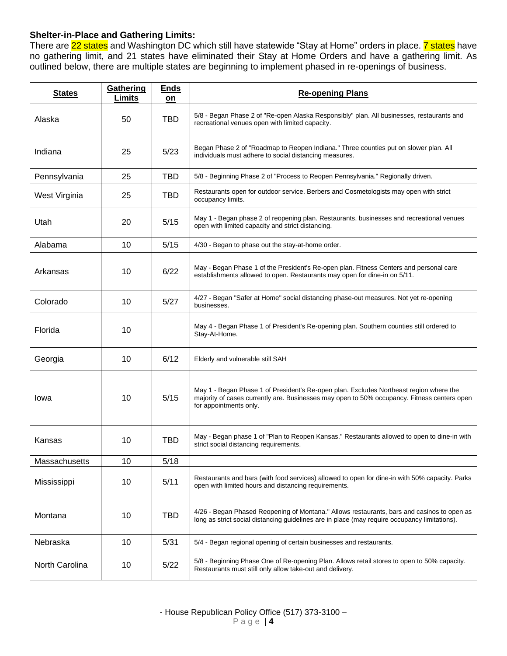# **Shelter-in-Place and Gathering Limits:**

There are 22 states and Washington DC which still have statewide "Stay at Home" orders in place. 7 states have no gathering limit, and 21 states have eliminated their Stay at Home Orders and have a gathering limit. As outlined below, there are multiple states are beginning to implement phased in re-openings of business.

| <b>States</b>  | Gathering<br>Limits | <b>Ends</b><br>on | <b>Re-opening Plans</b>                                                                                                                                                                                         |
|----------------|---------------------|-------------------|-----------------------------------------------------------------------------------------------------------------------------------------------------------------------------------------------------------------|
| Alaska         | 50                  | <b>TBD</b>        | 5/8 - Began Phase 2 of "Re-open Alaska Responsibly" plan. All businesses, restaurants and<br>recreational venues open with limited capacity.                                                                    |
| Indiana        | 25                  | 5/23              | Began Phase 2 of "Roadmap to Reopen Indiana." Three counties put on slower plan. All<br>individuals must adhere to social distancing measures.                                                                  |
| Pennsylvania   | 25                  | <b>TBD</b>        | 5/8 - Beginning Phase 2 of "Process to Reopen Pennsylvania." Regionally driven.                                                                                                                                 |
| West Virginia  | 25                  | <b>TBD</b>        | Restaurants open for outdoor service. Berbers and Cosmetologists may open with strict<br>occupancy limits.                                                                                                      |
| Utah           | 20                  | 5/15              | May 1 - Began phase 2 of reopening plan. Restaurants, businesses and recreational venues<br>open with limited capacity and strict distancing.                                                                   |
| Alabama        | 10                  | 5/15              | 4/30 - Began to phase out the stay-at-home order.                                                                                                                                                               |
| Arkansas       | 10                  | 6/22              | May - Began Phase 1 of the President's Re-open plan. Fitness Centers and personal care<br>establishments allowed to open. Restaurants may open for dine-in on 5/11.                                             |
| Colorado       | 10                  | 5/27              | 4/27 - Began "Safer at Home" social distancing phase-out measures. Not yet re-opening<br>businesses.                                                                                                            |
| Florida        | 10                  |                   | May 4 - Began Phase 1 of President's Re-opening plan. Southern counties still ordered to<br>Stay-At-Home.                                                                                                       |
| Georgia        | 10                  | 6/12              | Elderly and vulnerable still SAH                                                                                                                                                                                |
| Iowa           | 10                  | 5/15              | May 1 - Began Phase 1 of President's Re-open plan. Excludes Northeast region where the<br>majority of cases currently are. Businesses may open to 50% occupancy. Fitness centers open<br>for appointments only. |
| Kansas         | 10                  | <b>TBD</b>        | May - Began phase 1 of "Plan to Reopen Kansas." Restaurants allowed to open to dine-in with<br>strict social distancing requirements.                                                                           |
| Massachusetts  | 10                  | 5/18              |                                                                                                                                                                                                                 |
| Mississippi    | 10                  | 5/11              | Restaurants and bars (with food services) allowed to open for dine-in with 50% capacity. Parks<br>open with limited hours and distancing requirements.                                                          |
| Montana        | 10                  | <b>TBD</b>        | 4/26 - Began Phased Reopening of Montana." Allows restaurants, bars and casinos to open as<br>long as strict social distancing guidelines are in place (may require occupancy limitations).                     |
| Nebraska       | 10                  | 5/31              | 5/4 - Began regional opening of certain businesses and restaurants.                                                                                                                                             |
| North Carolina | 10                  | 5/22              | 5/8 - Beginning Phase One of Re-opening Plan. Allows retail stores to open to 50% capacity.<br>Restaurants must still only allow take-out and delivery.                                                         |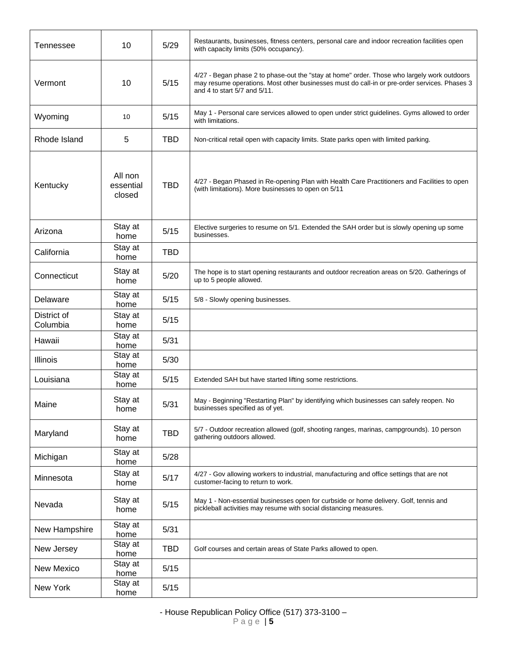| Tennessee               | 10                             | 5/29       | Restaurants, businesses, fitness centers, personal care and indoor recreation facilities open<br>with capacity limits (50% occupancy).                                                                                      |
|-------------------------|--------------------------------|------------|-----------------------------------------------------------------------------------------------------------------------------------------------------------------------------------------------------------------------------|
| Vermont                 | 10                             | 5/15       | 4/27 - Began phase 2 to phase-out the "stay at home" order. Those who largely work outdoors<br>may resume operations. Most other businesses must do call-in or pre-order services. Phases 3<br>and 4 to start 5/7 and 5/11. |
| Wyoming                 | 10                             | 5/15       | May 1 - Personal care services allowed to open under strict guidelines. Gyms allowed to order<br>with limitations.                                                                                                          |
| Rhode Island            | 5                              | <b>TBD</b> | Non-critical retail open with capacity limits. State parks open with limited parking.                                                                                                                                       |
| Kentucky                | All non<br>essential<br>closed | <b>TBD</b> | 4/27 - Began Phased in Re-opening Plan with Health Care Practitioners and Facilities to open<br>(with limitations). More businesses to open on 5/11                                                                         |
| Arizona                 | Stay at<br>home                | 5/15       | Elective surgeries to resume on 5/1. Extended the SAH order but is slowly opening up some<br>businesses.                                                                                                                    |
| California              | Stay at<br>home                | TBD        |                                                                                                                                                                                                                             |
| Connecticut             | Stay at<br>home                | 5/20       | The hope is to start opening restaurants and outdoor recreation areas on 5/20. Gatherings of<br>up to 5 people allowed.                                                                                                     |
| Delaware                | Stay at<br>home                | 5/15       | 5/8 - Slowly opening businesses.                                                                                                                                                                                            |
| District of<br>Columbia | Stay at<br>home                | 5/15       |                                                                                                                                                                                                                             |
| Hawaii                  | Stay at<br>home                | 5/31       |                                                                                                                                                                                                                             |
| Illinois                | Stay at<br>home                | 5/30       |                                                                                                                                                                                                                             |
| Louisiana               | Stay at<br>home                | 5/15       | Extended SAH but have started lifting some restrictions.                                                                                                                                                                    |
| Maine                   | Stay at<br>home                | 5/31       | May - Beginning "Restarting Plan" by identifying which businesses can safely reopen. No<br>businesses specified as of yet.                                                                                                  |
| Maryland                | Stay at<br>home                | <b>TBD</b> | 5/7 - Outdoor recreation allowed (golf, shooting ranges, marinas, campgrounds). 10 person<br>gathering outdoors allowed.                                                                                                    |
| Michigan                | Stay at<br>home                | 5/28       |                                                                                                                                                                                                                             |
| Minnesota               | Stay at<br>home                | 5/17       | 4/27 - Gov allowing workers to industrial, manufacturing and office settings that are not<br>customer-facing to return to work.                                                                                             |
| Nevada                  | Stay at<br>home                | 5/15       | May 1 - Non-essential businesses open for curbside or home delivery. Golf, tennis and<br>pickleball activities may resume with social distancing measures.                                                                  |
| New Hampshire           | Stay at<br>home                | 5/31       |                                                                                                                                                                                                                             |
| New Jersey              | Stay at<br>home                | <b>TBD</b> | Golf courses and certain areas of State Parks allowed to open.                                                                                                                                                              |
| <b>New Mexico</b>       | Stay at<br>home                | 5/15       |                                                                                                                                                                                                                             |
| New York                | Stay at<br>home                | 5/15       |                                                                                                                                                                                                                             |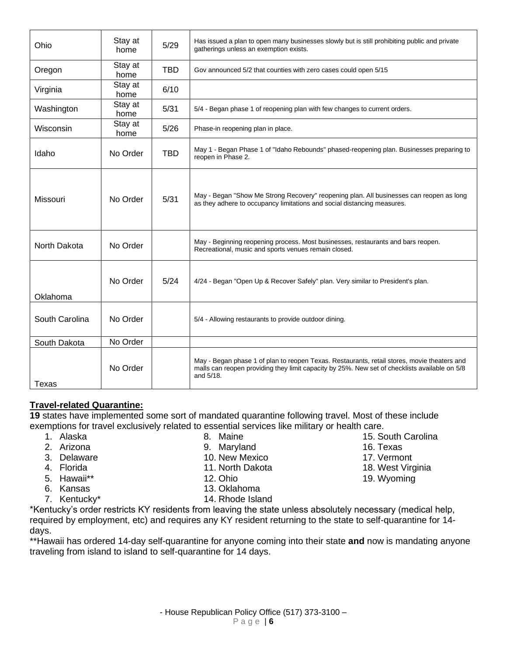| Ohio           | Stay at<br>home | 5/29       | Has issued a plan to open many businesses slowly but is still prohibiting public and private<br>gatherings unless an exemption exists.                                                                    |
|----------------|-----------------|------------|-----------------------------------------------------------------------------------------------------------------------------------------------------------------------------------------------------------|
| Oregon         | Stay at<br>home | <b>TBD</b> | Gov announced 5/2 that counties with zero cases could open 5/15                                                                                                                                           |
| Virginia       | Stay at<br>home | 6/10       |                                                                                                                                                                                                           |
| Washington     | Stay at<br>home | 5/31       | 5/4 - Began phase 1 of reopening plan with few changes to current orders.                                                                                                                                 |
| Wisconsin      | Stay at<br>home | 5/26       | Phase-in reopening plan in place.                                                                                                                                                                         |
| Idaho          | No Order        | <b>TBD</b> | May 1 - Began Phase 1 of "Idaho Rebounds" phased-reopening plan. Businesses preparing to<br>reopen in Phase 2.                                                                                            |
| Missouri       | No Order        | 5/31       | May - Began "Show Me Strong Recovery" reopening plan. All businesses can reopen as long<br>as they adhere to occupancy limitations and social distancing measures.                                        |
| North Dakota   | No Order        |            | May - Beginning reopening process. Most businesses, restaurants and bars reopen.<br>Recreational, music and sports venues remain closed.                                                                  |
| Oklahoma       | No Order        | 5/24       | 4/24 - Began "Open Up & Recover Safely" plan. Very similar to President's plan.                                                                                                                           |
| South Carolina | No Order        |            | 5/4 - Allowing restaurants to provide outdoor dining.                                                                                                                                                     |
| South Dakota   | No Order        |            |                                                                                                                                                                                                           |
| Texas          | No Order        |            | May - Began phase 1 of plan to reopen Texas. Restaurants, retail stores, movie theaters and<br>malls can reopen providing they limit capacity by 25%. New set of checklists available on 5/8<br>and 5/18. |

# **Travel-related Quarantine:**

**19** states have implemented some sort of mandated quarantine following travel. Most of these include exemptions for travel exclusively related to essential services like military or health care.

- 1. Alaska
- 2. Arizona
- 3. Delaware
- 4. Florida
- 5. Hawaii\*\*
- 6. Kansas
- 7. Kentucky\*
- 8. Maine
- 9. Maryland
- 10. New Mexico
- 11. North Dakota
- 12. Ohio
- 13. Oklahoma
- 14. Rhode Island

\*Kentucky's order restricts KY residents from leaving the state unless absolutely necessary (medical help, required by employment, etc) and requires any KY resident returning to the state to self-quarantine for 14 days.

\*\*Hawaii has ordered 14-day self-quarantine for anyone coming into their state **and** now is mandating anyone traveling from island to island to self-quarantine for 14 days.

- 15. South Carolina
- 16. Texas
- 17. Vermont
- 18. West Virginia
- 19. Wyoming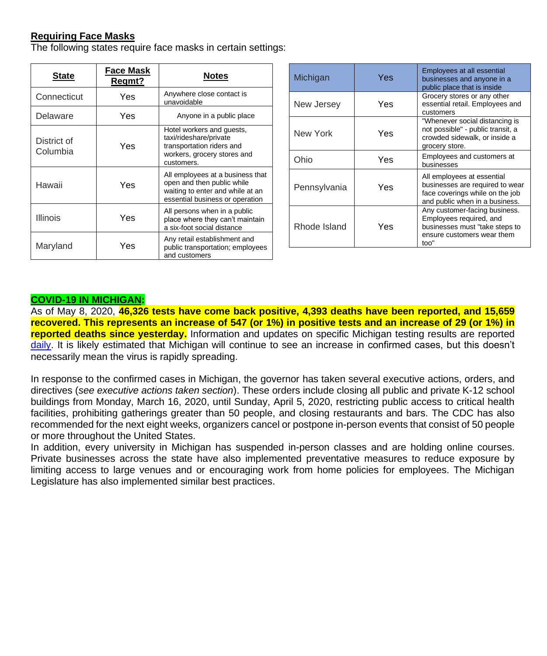# **Requiring Face Masks**

The following states require face masks in certain settings:

| State                   | Face Mask<br>Regmt? | <b>Notes</b>                                                                                                                          |
|-------------------------|---------------------|---------------------------------------------------------------------------------------------------------------------------------------|
| Connecticut             | Yes                 | Anywhere close contact is<br>unavoidable                                                                                              |
| Delaware                | Yes                 | Anyone in a public place                                                                                                              |
| District of<br>Columbia | Yes                 | Hotel workers and guests,<br>taxi/rideshare/private<br>transportation riders and<br>workers, grocery stores and<br>customers.         |
| Hawaii                  | Yes                 | All employees at a business that<br>open and then public while<br>waiting to enter and while at an<br>essential business or operation |
| Illinois                | Yes                 | All persons when in a public<br>place where they can't maintain<br>a six-foot social distance                                         |
| Maryland                | Yes                 | Any retail establishment and<br>public transportation; employees<br>and customers                                                     |

| Michigan     | Yes | Employees at all essential<br>businesses and anyone in a<br>public place that is inside                                            |
|--------------|-----|------------------------------------------------------------------------------------------------------------------------------------|
| New Jersey   | Yes | Grocery stores or any other<br>essential retail. Employees and<br>customers                                                        |
| New York     | Yes | "Whenever social distancing is<br>not possible" - public transit, a<br>crowded sidewalk, or inside a<br>grocery store.             |
| Ohio         | Yes | Employees and customers at<br>businesses                                                                                           |
| Pennsylvania | Yes | All employees at essential<br>businesses are required to wear<br>face coverings while on the job<br>and public when in a business. |
| Rhode Island | Yes | Any customer-facing business.<br>Employees required, and<br>businesses must "take steps to<br>ensure customers wear them<br>too"   |

#### **COVID-19 IN MICHIGAN:**

As of May 8, 2020, **46,326 tests have come back positive, 4,393 deaths have been reported, and 15,659 recovered. This represents an increase of 547 (or 1%) in positive tests and an increase of 29 (or 1%) in reported deaths since yesterday.** Information and updates on specific Michigan testing results are reported daily. It is likely estimated that Michigan will continue to see an increase in confirmed cases, but this doesn't necessarily mean the virus is rapidly spreading.

In response to the confirmed cases in Michigan, the governor has taken several executive actions, orders, and directives (*see executive actions taken section*). These orders include closing all public and private K-12 school buildings from Monday, March 16, 2020, until Sunday, April 5, 2020, restricting public access to critical health facilities, prohibiting gatherings greater than 50 people, and closing restaurants and bars. The CDC has also recommended for the next eight weeks, organizers cancel or postpone in-person events that consist of 50 people or more throughout the United States.

In addition, every university in Michigan has suspended in-person classes and are holding online courses. Private businesses across the state have also implemented preventative measures to reduce exposure by limiting access to large venues and or encouraging work from home policies for employees. The Michigan Legislature has also implemented similar best practices.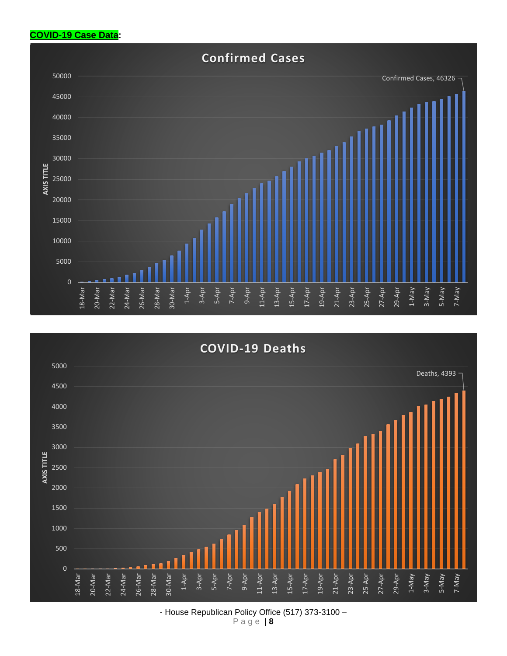# **COVID-19 Case Data:**





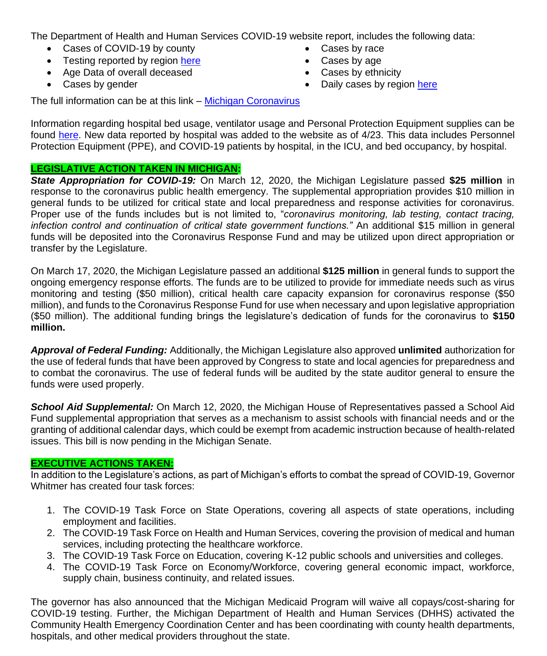The Department of Health and Human Services COVID-19 website report, includes the following data:

- Cases of COVID-19 by county
- Testing reported by region here
- Age Data of overall deceased
- Cases by gender
- Cases by race
- Cases by age
- Cases by ethnicity
- Daily cases by region here

The full information can be at this link – Michigan Coronavirus

Information regarding hospital bed usage, ventilator usage and Personal Protection Equipment supplies can be found here. New data reported by hospital was added to the website as of 4/23. This data includes Personnel Protection Equipment (PPE), and COVID-19 patients by hospital, in the ICU, and bed occupancy, by hospital.

## **LEGISLATIVE ACTION TAKEN IN MICHIGAN:**

*State Appropriation for COVID-19:* On March 12, 2020, the Michigan Legislature passed **\$25 million** in response to the coronavirus public health emergency. The supplemental appropriation provides \$10 million in general funds to be utilized for critical state and local preparedness and response activities for coronavirus. Proper use of the funds includes but is not limited to, "*coronavirus monitoring, lab testing, contact tracing, infection control and continuation of critical state government functions."* An additional \$15 million in general funds will be deposited into the Coronavirus Response Fund and may be utilized upon direct appropriation or transfer by the Legislature.

On March 17, 2020, the Michigan Legislature passed an additional **\$125 million** in general funds to support the ongoing emergency response efforts. The funds are to be utilized to provide for immediate needs such as virus monitoring and testing (\$50 million), critical health care capacity expansion for coronavirus response (\$50 million), and funds to the Coronavirus Response Fund for use when necessary and upon legislative appropriation (\$50 million). The additional funding brings the legislature's dedication of funds for the coronavirus to **\$150 million.**

*Approval of Federal Funding:* Additionally, the Michigan Legislature also approved **unlimited** authorization for the use of federal funds that have been approved by Congress to state and local agencies for preparedness and to combat the coronavirus. The use of federal funds will be audited by the state auditor general to ensure the funds were used properly.

*School Aid Supplemental:* On March 12, 2020, the Michigan House of Representatives passed a School Aid Fund supplemental appropriation that serves as a mechanism to assist schools with financial needs and or the granting of additional calendar days, which could be exempt from academic instruction because of health-related issues. This bill is now pending in the Michigan Senate.

### **EXECUTIVE ACTIONS TAKEN:**

In addition to the Legislature's actions, as part of Michigan's efforts to combat the spread of COVID-19, Governor Whitmer has created four task forces:

- 1. The COVID-19 Task Force on State Operations, covering all aspects of state operations, including employment and facilities.
- 2. The COVID-19 Task Force on Health and Human Services, covering the provision of medical and human services, including protecting the healthcare workforce.
- 3. The COVID-19 Task Force on Education, covering K-12 public schools and universities and colleges.
- 4. The COVID-19 Task Force on Economy/Workforce, covering general economic impact, workforce, supply chain, business continuity, and related issues.

The governor has also announced that the Michigan Medicaid Program will waive all copays/cost-sharing for COVID-19 testing. Further, the Michigan Department of Health and Human Services (DHHS) activated the Community Health Emergency Coordination Center and has been coordinating with county health departments, hospitals, and other medical providers throughout the state.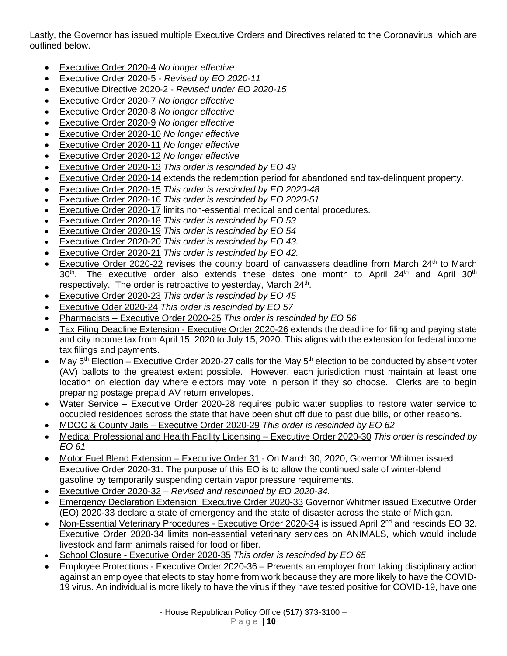Lastly, the Governor has issued multiple Executive Orders and Directives related to the Coronavirus, which are outlined below.

- Executive Order 2020-4 *No longer effective*
- Executive Order 2020-5 *Revised by EO 2020-11*
- Executive Directive 2020-2 *Revised under EO 2020-15*
- Executive Order 2020-7 *No longer effective*
- Executive Order 2020-8 *No longer effective*
- Executive Order 2020-9 *No longer effective*
- Executive Order 2020-10 *No longer effective*
- Executive Order 2020-11 *No longer effective*
- Executive Order 2020-12 *No longer effective*
- Executive Order 2020-13 *This order is rescinded by EO 49*
- Executive Order 2020-14 extends the redemption period for abandoned and tax-delinquent property.
- Executive Order 2020-15 *This order is rescinded by EO 2020-48*
- Executive Order 2020-16 *This order is rescinded by EO 2020-51*
- Executive Order 2020-17 limits non-essential medical and dental procedures.
- Executive Order 2020-18 *This order is rescinded by EO 53*
- Executive Order 2020-19 *This order is rescinded by EO 54*
- Executive Order 2020-20 *This order is rescinded by EO 43.*
- Executive Order 2020-21 *This order is rescinded by EO 42.*
- Executive Order 2020-22 revises the county board of canvassers deadline from March  $24<sup>th</sup>$  to March  $30<sup>th</sup>$ The executive order also extends these dates one month to April  $24<sup>th</sup>$  and April  $30<sup>th</sup>$ respectively. The order is retroactive to yesterday, March 24<sup>th</sup>.
- Executive Order 2020-23 *This order is rescinded by EO 45*
- Executive Oder 2020-24 *This order is rescinded by EO 57*
- Pharmacists Executive Order 2020-25 *This order is rescinded by EO 56*
- Tax Filing Deadline Extension Executive Order 2020-26 extends the deadline for filing and paying state and city income tax from April 15, 2020 to July 15, 2020. This aligns with the extension for federal income tax filings and payments.
- May  $5<sup>th</sup>$  Election Executive Order 2020-27 calls for the May  $5<sup>th</sup>$  election to be conducted by absent voter (AV) ballots to the greatest extent possible. However, each jurisdiction must maintain at least one location on election day where electors may vote in person if they so choose. Clerks are to begin preparing postage prepaid AV return envelopes.
- Water Service Executive Order 2020-28 requires public water supplies to restore water service to occupied residences across the state that have been shut off due to past due bills, or other reasons.
- MDOC & County Jails Executive Order 2020-29 *This order is rescinded by EO 62*
- Medical Professional and Health Facility Licensing Executive Order 2020-30 *This order is rescinded by EO 61*
- Motor Fuel Blend Extension Executive Order 31 On March 30, 2020, Governor Whitmer issued Executive Order 2020-31. The purpose of this EO is to allow the continued sale of winter-blend gasoline by temporarily suspending certain vapor pressure requirements.
- Executive Order 2020-32 *Revised and rescinded by EO 2020-34.*
- Emergency Declaration Extension: Executive Order 2020-33 Governor Whitmer issued Executive Order (EO) 2020-33 declare a state of emergency and the state of disaster across the state of Michigan.
- Non-Essential Veterinary Procedures Executive Order 2020-34 is issued April 2<sup>nd</sup> and rescinds EO 32. Executive Order 2020-34 limits non-essential veterinary services on ANIMALS, which would include livestock and farm animals raised for food or fiber.
- School Closure Executive Order 2020-35 *This order is rescinded by EO 65*
- Employee Protections Executive Order 2020-36 Prevents an employer from taking disciplinary action against an employee that elects to stay home from work because they are more likely to have the COVID-19 virus. An individual is more likely to have the virus if they have tested positive for COVID-19, have one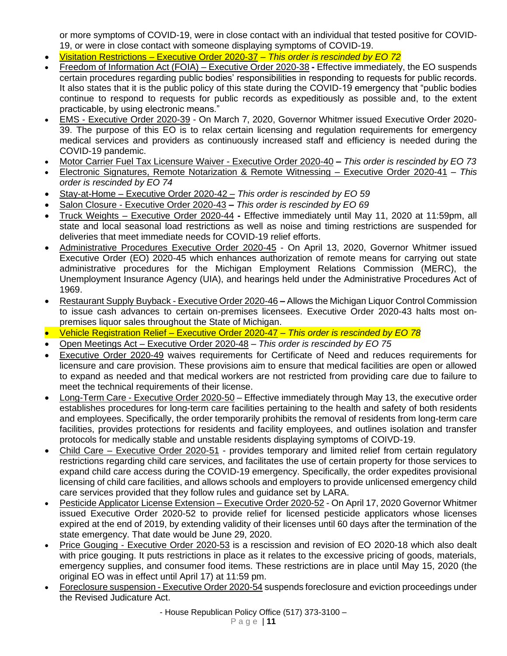or more symptoms of COVID-19, were in close contact with an individual that tested positive for COVID-19, or were in close contact with someone displaying symptoms of COVID-19.

- Visitation Restrictions Executive Order 2020-37 *This order is rescinded by EO 72*
- Freedom of Information Act (FOIA) Executive Order 2020-38 **-** Effective immediately, the EO suspends certain procedures regarding public bodies' responsibilities in responding to requests for public records. It also states that it is the public policy of this state during the COVID-19 emergency that "public bodies continue to respond to requests for public records as expeditiously as possible and, to the extent practicable, by using electronic means."
- EMS Executive Order 2020-39 On March 7, 2020, Governor Whitmer issued Executive Order 2020- 39. The purpose of this EO is to relax certain licensing and regulation requirements for emergency medical services and providers as continuously increased staff and efficiency is needed during the COVID-19 pandemic.
- Motor Carrier Fuel Tax Licensure Waiver Executive Order 2020-40 **–** *This order is rescinded by EO 73*
- Electronic Signatures, Remote Notarization & Remote Witnessing Executive Order 2020-41 *This order is rescinded by EO 74*
- Stay-at-Home Executive Order 2020-42 *This order is rescinded by EO 59*
- Salon Closure Executive Order 2020-43 **–** *This order is rescinded by EO 69*
- Truck Weights Executive Order 2020-44 **-** Effective immediately until May 11, 2020 at 11:59pm, all state and local seasonal load restrictions as well as noise and timing restrictions are suspended for deliveries that meet immediate needs for COVID-19 relief efforts.
- Administrative Procedures Executive Order 2020-45 On April 13, 2020, Governor Whitmer issued Executive Order (EO) 2020-45 which enhances authorization of remote means for carrying out state administrative procedures for the Michigan Employment Relations Commission (MERC), the Unemployment Insurance Agency (UIA), and hearings held under the Administrative Procedures Act of 1969.
- Restaurant Supply Buyback Executive Order 2020-46 **–** Allows the Michigan Liquor Control Commission to issue cash advances to certain on-premises licensees. Executive Order 2020-43 halts most onpremises liquor sales throughout the State of Michigan.
- Vehicle Registration Relief Executive Order 2020-47 *This order is rescinded by EO 78*
- Open Meetings Act Executive Order 2020-48 *This order is rescinded by EO 75*
- Executive Order 2020-49 waives requirements for Certificate of Need and reduces requirements for licensure and care provision. These provisions aim to ensure that medical facilities are open or allowed to expand as needed and that medical workers are not restricted from providing care due to failure to meet the technical requirements of their license.
- Long-Term Care Executive Order 2020-50 Effective immediately through May 13, the executive order establishes procedures for long-term care facilities pertaining to the health and safety of both residents and employees. Specifically, the order temporarily prohibits the removal of residents from long-term care facilities, provides protections for residents and facility employees, and outlines isolation and transfer protocols for medically stable and unstable residents displaying symptoms of COIVD-19.
- Child Care Executive Order 2020-51 provides temporary and limited relief from certain regulatory restrictions regarding child care services, and facilitates the use of certain property for those services to expand child care access during the COVID-19 emergency. Specifically, the order expedites provisional licensing of child care facilities, and allows schools and employers to provide unlicensed emergency child care services provided that they follow rules and guidance set by LARA.
- Pesticide Applicator License Extension Executive Order 2020-52 On April 17, 2020 Governor Whitmer issued Executive Order 2020-52 to provide relief for licensed pesticide applicators whose licenses expired at the end of 2019, by extending validity of their licenses until 60 days after the termination of the state emergency. That date would be June 29, 2020.
- Price Gouging Executive Order 2020-53 is a rescission and revision of EO 2020-18 which also dealt with price gouging. It puts restrictions in place as it relates to the excessive pricing of goods, materials, emergency supplies, and consumer food items. These restrictions are in place until May 15, 2020 (the original EO was in effect until April 17) at 11:59 pm.
- Foreclosure suspension Executive Order 2020-54 suspends foreclosure and eviction proceedings under the Revised Judicature Act.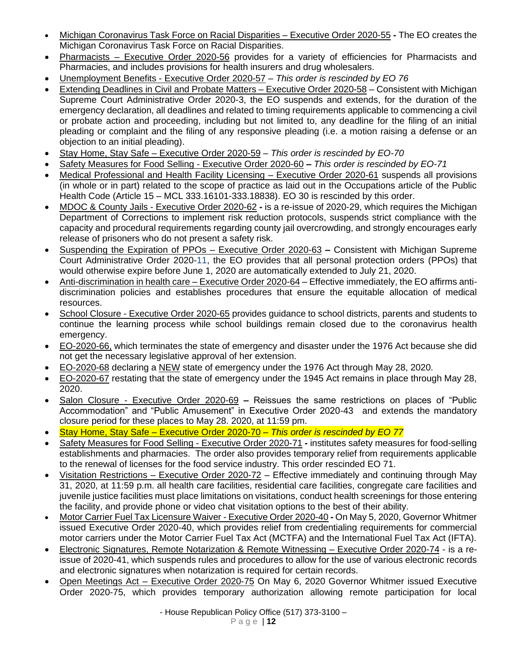- Michigan Coronavirus Task Force on Racial Disparities Executive Order 2020-55 **-** The EO creates the Michigan Coronavirus Task Force on Racial Disparities.
- Pharmacists Executive Order 2020-56 provides for a variety of efficiencies for Pharmacists and Pharmacies, and includes provisions for health insurers and drug wholesalers.
- Unemployment Benefits Executive Order 2020-57 *This order is rescinded by EO 76*
- Extending Deadlines in Civil and Probate Matters Executive Order 2020-58 Consistent with Michigan Supreme Court Administrative Order 2020-3, the EO suspends and extends, for the duration of the emergency declaration, all deadlines and related to timing requirements applicable to commencing a civil or probate action and proceeding, including but not limited to, any deadline for the filing of an initial pleading or complaint and the filing of any responsive pleading (i.e. a motion raising a defense or an objection to an initial pleading).
- Stay Home, Stay Safe Executive Order 2020-59 *This order is rescinded by EO-70*
- Safety Measures for Food Selling Executive Order 2020-60 **–** *This order is rescinded by EO-71*
- Medical Professional and Health Facility Licensing Executive Order 2020-61 suspends all provisions (in whole or in part) related to the scope of practice as laid out in the Occupations article of the Public Health Code (Article 15 – MCL 333.16101-333.18838). EO 30 is rescinded by this order.
- MDOC & County Jails Executive Order 2020-62 **-** is a re-issue of 2020-29, which requires the Michigan Department of Corrections to implement risk reduction protocols, suspends strict compliance with the capacity and procedural requirements regarding county jail overcrowding, and strongly encourages early release of prisoners who do not present a safety risk.
- Suspending the Expiration of PPOs Executive Order 2020-63 **–** Consistent with Michigan Supreme Court Administrative Order 2020-11, the EO provides that all personal protection orders (PPOs) that would otherwise expire before June 1, 2020 are automatically extended to July 21, 2020.
- Anti-discrimination in health care Executive Order 2020-64 Effective immediately, the EO affirms antidiscrimination policies and establishes procedures that ensure the equitable allocation of medical resources.
- School Closure Executive Order 2020-65 provides guidance to school districts, parents and students to continue the learning process while school buildings remain closed due to the coronavirus health emergency.
- EO-2020-66, which terminates the state of emergency and disaster under the 1976 Act because she did not get the necessary legislative approval of her extension.
- EO-2020-68 declaring a NEW state of emergency under the 1976 Act through May 28, 2020.
- EO-2020-67 restating that the state of emergency under the 1945 Act remains in place through May 28, 2020.
- Salon Closure Executive Order 2020-69 **–** Reissues the same restrictions on places of "Public Accommodation" and "Public Amusement" in Executive Order 2020-43 and extends the mandatory closure period for these places to May 28. 2020, at 11:59 pm.
- Stay Home, Stay Safe Executive Order 2020-70 *This order is rescinded by EO 77*
- Safety Measures for Food Selling Executive Order 2020-71 **-** institutes safety measures for food-selling establishments and pharmacies. The order also provides temporary relief from requirements applicable to the renewal of licenses for the food service industry. This order rescinded EO 71.
- Visitation Restrictions Executive Order 2020-72 Effective immediately and continuing through May 31, 2020, at 11:59 p.m. all health care facilities, residential care facilities, congregate care facilities and juvenile justice facilities must place limitations on visitations, conduct health screenings for those entering the facility, and provide phone or video chat visitation options to the best of their ability.
- Motor Carrier Fuel Tax Licensure Waiver Executive Order 2020-40 **-** On May 5, 2020, Governor Whitmer issued Executive Order 2020-40, which provides relief from credentialing requirements for commercial motor carriers under the Motor Carrier Fuel Tax Act (MCTFA) and the International Fuel Tax Act (IFTA).
- Electronic Signatures, Remote Notarization & Remote Witnessing Executive Order 2020-74 is a reissue of 2020-41, which suspends rules and procedures to allow for the use of various electronic records and electronic signatures when notarization is required for certain records.
- Open Meetings Act Executive Order 2020-75 On May 6, 2020 Governor Whitmer issued Executive Order 2020-75, which provides temporary authorization allowing remote participation for local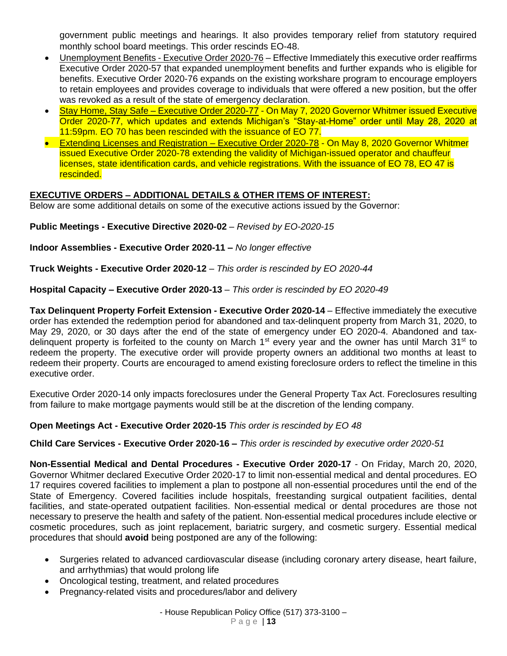government public meetings and hearings. It also provides temporary relief from statutory required monthly school board meetings. This order rescinds EO-48.

- Unemployment Benefits Executive Order 2020-76 Effective Immediately this executive order reaffirms Executive Order 2020-57 that expanded unemployment benefits and further expands who is eligible for benefits. Executive Order 2020-76 expands on the existing workshare program to encourage employers to retain employees and provides coverage to individuals that were offered a new position, but the offer was revoked as a result of the state of emergency declaration.
- Stay Home, Stay Safe Executive Order 2020-77 On May 7, 2020 Governor Whitmer issued Executive Order 2020-77, which updates and extends Michigan's "Stay-at-Home" order until May 28, 2020 at 11:59pm. EO 70 has been rescinded with the issuance of EO 77.
- Extending Licenses and Registration Executive Order 2020-78 On May 8, 2020 Governor Whitmer issued Executive Order 2020-78 extending the validity of Michigan-issued operator and chauffeur licenses, state identification cards, and vehicle registrations. With the issuance of EO 78, EO 47 is rescinded.

# **EXECUTIVE ORDERS – ADDITIONAL DETAILS & OTHER ITEMS OF INTEREST:**

Below are some additional details on some of the executive actions issued by the Governor:

**Public Meetings - Executive Directive 2020-02** – *Revised by EO-2020-15*

**Indoor Assemblies - Executive Order 2020-11 –** *No longer effective*

**Truck Weights - Executive Order 2020-12** – *This order is rescinded by EO 2020-44*

**Hospital Capacity – Executive Order 2020-13** – *This order is rescinded by EO 2020-49*

**Tax Delinquent Property Forfeit Extension - Executive Order 2020-14** – Effective immediately the executive order has extended the redemption period for abandoned and tax-delinquent property from March 31, 2020, to May 29, 2020, or 30 days after the end of the state of emergency under EO 2020-4. Abandoned and taxdelinguent property is forfeited to the county on March 1<sup>st</sup> every year and the owner has until March 31<sup>st</sup> to redeem the property. The executive order will provide property owners an additional two months at least to redeem their property. Courts are encouraged to amend existing foreclosure orders to reflect the timeline in this executive order.

Executive Order 2020-14 only impacts foreclosures under the General Property Tax Act. Foreclosures resulting from failure to make mortgage payments would still be at the discretion of the lending company.

### **Open Meetings Act - Executive Order 2020-15** *This order is rescinded by EO 48*

**Child Care Services - Executive Order 2020-16 –** *This order is rescinded by executive order 2020-51*

**Non-Essential Medical and Dental Procedures - Executive Order 2020-17** - On Friday, March 20, 2020, Governor Whitmer declared Executive Order 2020-17 to limit non-essential medical and dental procedures. EO 17 requires covered facilities to implement a plan to postpone all non-essential procedures until the end of the State of Emergency. Covered facilities include hospitals, freestanding surgical outpatient facilities, dental facilities, and state-operated outpatient facilities. Non-essential medical or dental procedures are those not necessary to preserve the health and safety of the patient. Non-essential medical procedures include elective or cosmetic procedures, such as joint replacement, bariatric surgery, and cosmetic surgery. Essential medical procedures that should **avoid** being postponed are any of the following:

- Surgeries related to advanced cardiovascular disease (including coronary artery disease, heart failure, and arrhythmias) that would prolong life
- Oncological testing, treatment, and related procedures
- Pregnancy-related visits and procedures/labor and delivery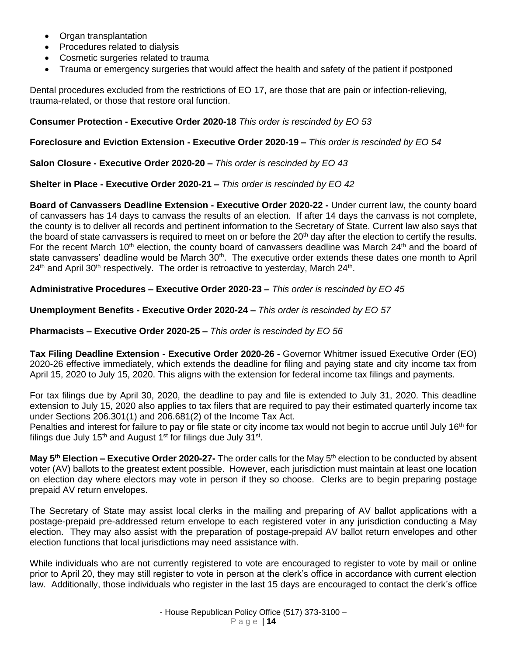- Organ transplantation
- Procedures related to dialysis
- Cosmetic surgeries related to trauma
- Trauma or emergency surgeries that would affect the health and safety of the patient if postponed

Dental procedures excluded from the restrictions of EO 17, are those that are pain or infection-relieving, trauma-related, or those that restore oral function.

### **Consumer Protection - Executive Order 2020-18** *This order is rescinded by EO 53*

### **Foreclosure and Eviction Extension - Executive Order 2020-19 –** *This order is rescinded by EO 54*

**Salon Closure - Executive Order 2020-20 –** *This order is rescinded by EO 43*

### **Shelter in Place - Executive Order 2020-21 –** *This order is rescinded by EO 42*

**Board of Canvassers Deadline Extension - Executive Order 2020-22 -** Under current law, the county board of canvassers has 14 days to canvass the results of an election. If after 14 days the canvass is not complete, the county is to deliver all records and pertinent information to the Secretary of State. Current law also says that the board of state canvassers is required to meet on or before the  $20<sup>th</sup>$  day after the election to certify the results. For the recent March 10<sup>th</sup> election, the county board of canvassers deadline was March 24<sup>th</sup> and the board of state canvassers' deadline would be March 30<sup>th</sup>. The executive order extends these dates one month to April 24<sup>th</sup> and April 30<sup>th</sup> respectively. The order is retroactive to yesterday, March 24<sup>th</sup>.

## **Administrative Procedures – Executive Order 2020-23 –** *This order is rescinded by EO 45*

**Unemployment Benefits - Executive Order 2020-24 –** *This order is rescinded by EO 57*

### **Pharmacists – Executive Order 2020-25 –** *This order is rescinded by EO 56*

**Tax Filing Deadline Extension - Executive Order 2020-26 -** Governor Whitmer issued Executive Order (EO) 2020-26 effective immediately, which extends the deadline for filing and paying state and city income tax from April 15, 2020 to July 15, 2020. This aligns with the extension for federal income tax filings and payments.

For tax filings due by April 30, 2020, the deadline to pay and file is extended to July 31, 2020. This deadline extension to July 15, 2020 also applies to tax filers that are required to pay their estimated quarterly income tax under Sections 206.301(1) and 206.681(2) of the Income Tax Act.

Penalties and interest for failure to pay or file state or city income tax would not begin to accrue until July 16<sup>th</sup> for filings due July 15<sup>th</sup> and August 1<sup>st</sup> for filings due July 31<sup>st</sup>.

**May 5th Election – Executive Order 2020-27-** The order calls for the May 5th election to be conducted by absent voter (AV) ballots to the greatest extent possible. However, each jurisdiction must maintain at least one location on election day where electors may vote in person if they so choose. Clerks are to begin preparing postage prepaid AV return envelopes.

The Secretary of State may assist local clerks in the mailing and preparing of AV ballot applications with a postage-prepaid pre-addressed return envelope to each registered voter in any jurisdiction conducting a May election. They may also assist with the preparation of postage-prepaid AV ballot return envelopes and other election functions that local jurisdictions may need assistance with.

While individuals who are not currently registered to vote are encouraged to register to vote by mail or online prior to April 20, they may still register to vote in person at the clerk's office in accordance with current election law. Additionally, those individuals who register in the last 15 days are encouraged to contact the clerk's office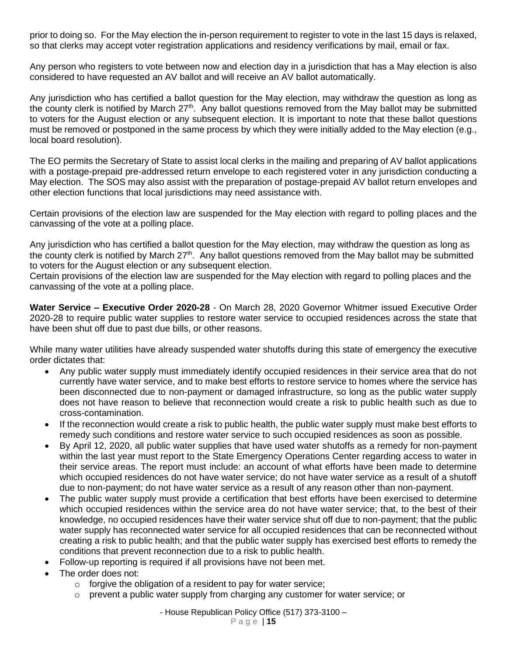prior to doing so. For the May election the in-person requirement to register to vote in the last 15 days is relaxed, so that clerks may accept voter registration applications and residency verifications by mail, email or fax.

Any person who registers to vote between now and election day in a jurisdiction that has a May election is also considered to have requested an AV ballot and will receive an AV ballot automatically.

Any jurisdiction who has certified a ballot question for the May election, may withdraw the question as long as the county clerk is notified by March 27<sup>th</sup>. Any ballot questions removed from the May ballot may be submitted to voters for the August election or any subsequent election. It is important to note that these ballot questions must be removed or postponed in the same process by which they were initially added to the May election (e.g., local board resolution).

The EO permits the Secretary of State to assist local clerks in the mailing and preparing of AV ballot applications with a postage-prepaid pre-addressed return envelope to each registered voter in any jurisdiction conducting a May election. The SOS may also assist with the preparation of postage-prepaid AV ballot return envelopes and other election functions that local jurisdictions may need assistance with.

Certain provisions of the election law are suspended for the May election with regard to polling places and the canvassing of the vote at a polling place.

Any jurisdiction who has certified a ballot question for the May election, may withdraw the question as long as the county clerk is notified by March  $27<sup>th</sup>$ . Any ballot questions removed from the May ballot may be submitted to voters for the August election or any subsequent election.

Certain provisions of the election law are suspended for the May election with regard to polling places and the canvassing of the vote at a polling place.

**Water Service – Executive Order 2020-28** - On March 28, 2020 Governor Whitmer issued Executive Order 2020-28 to require public water supplies to restore water service to occupied residences across the state that have been shut off due to past due bills, or other reasons.

While many water utilities have already suspended water shutoffs during this state of emergency the executive order dictates that:

- Any public water supply must immediately identify occupied residences in their service area that do not currently have water service, and to make best efforts to restore service to homes where the service has been disconnected due to non-payment or damaged infrastructure, so long as the public water supply does not have reason to believe that reconnection would create a risk to public health such as due to cross-contamination.
- If the reconnection would create a risk to public health, the public water supply must make best efforts to remedy such conditions and restore water service to such occupied residences as soon as possible.
- By April 12, 2020, all public water supplies that have used water shutoffs as a remedy for non-payment within the last year must report to the State Emergency Operations Center regarding access to water in their service areas. The report must include: an account of what efforts have been made to determine which occupied residences do not have water service; do not have water service as a result of a shutoff due to non-payment; do not have water service as a result of any reason other than non-payment.
- The public water supply must provide a certification that best efforts have been exercised to determine which occupied residences within the service area do not have water service; that, to the best of their knowledge, no occupied residences have their water service shut off due to non-payment; that the public water supply has reconnected water service for all occupied residences that can be reconnected without creating a risk to public health; and that the public water supply has exercised best efforts to remedy the conditions that prevent reconnection due to a risk to public health.
- Follow-up reporting is required if all provisions have not been met.
- The order does not:
	- $\circ$  forgive the obligation of a resident to pay for water service;
	- $\circ$  prevent a public water supply from charging any customer for water service; or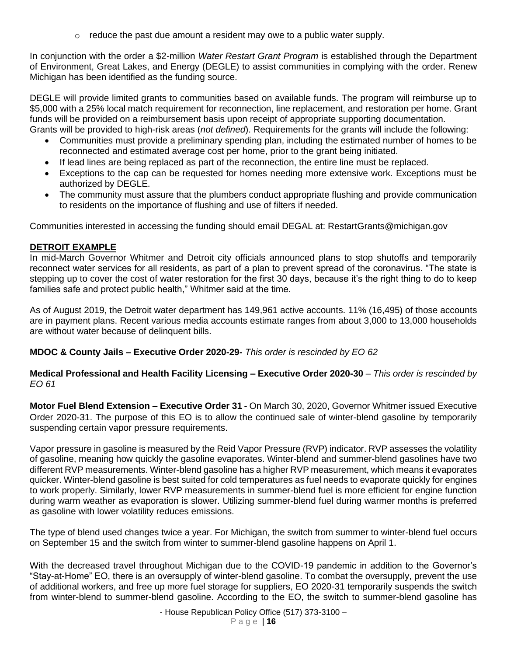$\circ$  reduce the past due amount a resident may owe to a public water supply.

In conjunction with the order a \$2-million *Water Restart Grant Program* is established through the Department of Environment, Great Lakes, and Energy (DEGLE) to assist communities in complying with the order. Renew Michigan has been identified as the funding source.

DEGLE will provide limited grants to communities based on available funds. The program will reimburse up to \$5,000 with a 25% local match requirement for reconnection, line replacement, and restoration per home. Grant funds will be provided on a reimbursement basis upon receipt of appropriate supporting documentation. Grants will be provided to high-risk areas (*not defined*). Requirements for the grants will include the following:

- Communities must provide a preliminary spending plan, including the estimated number of homes to be reconnected and estimated average cost per home, prior to the grant being initiated.
- If lead lines are being replaced as part of the reconnection, the entire line must be replaced.
- Exceptions to the cap can be requested for homes needing more extensive work. Exceptions must be authorized by DEGLE.
- The community must assure that the plumbers conduct appropriate flushing and provide communication to residents on the importance of flushing and use of filters if needed.

Communities interested in accessing the funding should email DEGAL at: RestartGrants@michigan.gov

## **DETROIT EXAMPLE**

In mid-March Governor Whitmer and Detroit city officials announced plans to stop shutoffs and temporarily reconnect water services for all residents, as part of a plan to prevent spread of the coronavirus. "The state is stepping up to cover the cost of water restoration for the first 30 days, because it's the right thing to do to keep families safe and protect public health," Whitmer said at the time.

As of August 2019, the Detroit water department has 149,961 active accounts. 11% (16,495) of those accounts are in payment plans. Recent various media accounts estimate ranges from about 3,000 to 13,000 households are without water because of delinquent bills.

**MDOC & County Jails – Executive Order 2020-29-** *This order is rescinded by EO 62*

**Medical Professional and Health Facility Licensing – Executive Order 2020-30** – *This order is rescinded by EO 61*

**Motor Fuel Blend Extension – Executive Order 31** - On March 30, 2020, Governor Whitmer issued Executive Order 2020-31. The purpose of this EO is to allow the continued sale of winter-blend gasoline by temporarily suspending certain vapor pressure requirements.

Vapor pressure in gasoline is measured by the Reid Vapor Pressure (RVP) indicator. RVP assesses the volatility of gasoline, meaning how quickly the gasoline evaporates. Winter-blend and summer-blend gasolines have two different RVP measurements. Winter-blend gasoline has a higher RVP measurement, which means it evaporates quicker. Winter-blend gasoline is best suited for cold temperatures as fuel needs to evaporate quickly for engines to work properly. Similarly, lower RVP measurements in summer-blend fuel is more efficient for engine function during warm weather as evaporation is slower. Utilizing summer-blend fuel during warmer months is preferred as gasoline with lower volatility reduces emissions.

The type of blend used changes twice a year. For Michigan, the switch from summer to winter-blend fuel occurs on September 15 and the switch from winter to summer-blend gasoline happens on April 1.

With the decreased travel throughout Michigan due to the COVID-19 pandemic in addition to the Governor's "Stay-at-Home" EO, there is an oversupply of winter-blend gasoline. To combat the oversupply, prevent the use of additional workers, and free up more fuel storage for suppliers, EO 2020-31 temporarily suspends the switch from winter-blend to summer-blend gasoline. According to the EO, the switch to summer-blend gasoline has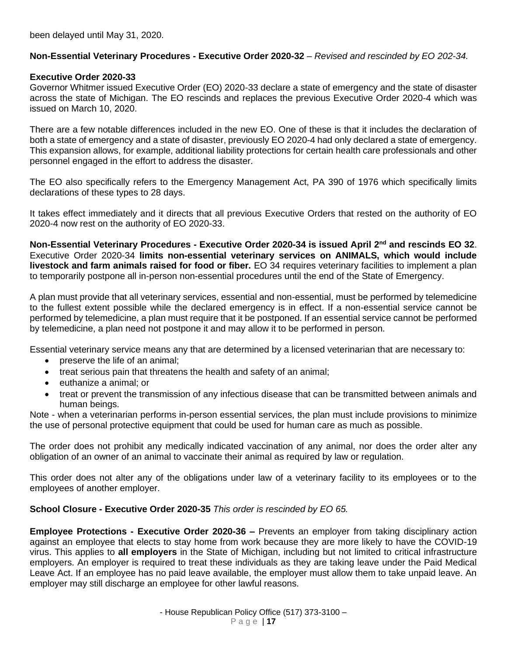been delayed until May 31, 2020.

### **Non-Essential Veterinary Procedures - Executive Order 2020-32** – *Revised and rescinded by EO 202-34.*

#### **Executive Order 2020-33**

Governor Whitmer issued Executive Order (EO) 2020-33 declare a state of emergency and the state of disaster across the state of Michigan. The EO rescinds and replaces the previous Executive Order 2020-4 which was issued on March 10, 2020.

There are a few notable differences included in the new EO. One of these is that it includes the declaration of both a state of emergency and a state of disaster, previously EO 2020-4 had only declared a state of emergency. This expansion allows, for example, additional liability protections for certain health care professionals and other personnel engaged in the effort to address the disaster.

The EO also specifically refers to the Emergency Management Act, PA 390 of 1976 which specifically limits declarations of these types to 28 days.

It takes effect immediately and it directs that all previous Executive Orders that rested on the authority of EO 2020-4 now rest on the authority of EO 2020-33.

**Non-Essential Veterinary Procedures - Executive Order 2020-34 is issued April 2nd and rescinds EO 32**. Executive Order 2020-34 **limits non-essential veterinary services on ANIMALS, which would include livestock and farm animals raised for food or fiber.** EO 34 requires veterinary facilities to implement a plan to temporarily postpone all in-person non-essential procedures until the end of the State of Emergency.

A plan must provide that all veterinary services, essential and non-essential, must be performed by telemedicine to the fullest extent possible while the declared emergency is in effect. If a non-essential service cannot be performed by telemedicine, a plan must require that it be postponed. If an essential service cannot be performed by telemedicine, a plan need not postpone it and may allow it to be performed in person.

Essential veterinary service means any that are determined by a licensed veterinarian that are necessary to:

- preserve the life of an animal;
- treat serious pain that threatens the health and safety of an animal;
- euthanize a animal; or
- treat or prevent the transmission of any infectious disease that can be transmitted between animals and human beings.

Note - when a veterinarian performs in-person essential services, the plan must include provisions to minimize the use of personal protective equipment that could be used for human care as much as possible.

The order does not prohibit any medically indicated vaccination of any animal, nor does the order alter any obligation of an owner of an animal to vaccinate their animal as required by law or regulation.

This order does not alter any of the obligations under law of a veterinary facility to its employees or to the employees of another employer.

#### **School Closure - Executive Order 2020-35** *This order is rescinded by EO 65.*

**Employee Protections - Executive Order 2020-36 –** Prevents an employer from taking disciplinary action against an employee that elects to stay home from work because they are more likely to have the COVID-19 virus. This applies to **all employers** in the State of Michigan, including but not limited to critical infrastructure employers. An employer is required to treat these individuals as they are taking leave under the Paid Medical Leave Act. If an employee has no paid leave available, the employer must allow them to take unpaid leave. An employer may still discharge an employee for other lawful reasons.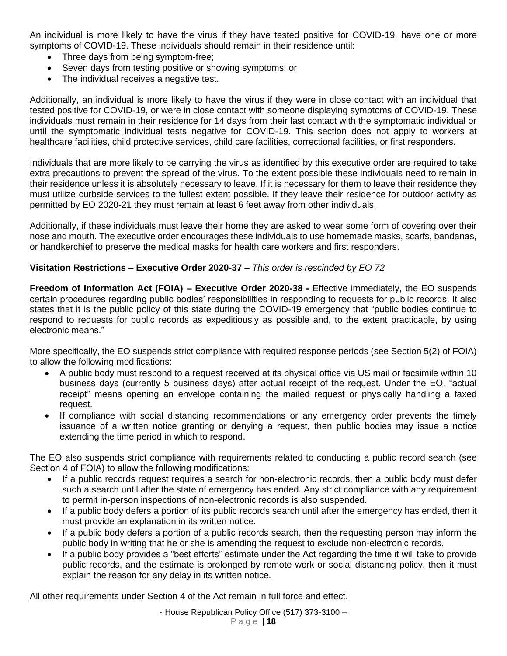An individual is more likely to have the virus if they have tested positive for COVID-19, have one or more symptoms of COVID-19. These individuals should remain in their residence until:

- Three days from being symptom-free;
- Seven days from testing positive or showing symptoms; or
- The individual receives a negative test.

Additionally, an individual is more likely to have the virus if they were in close contact with an individual that tested positive for COVID-19, or were in close contact with someone displaying symptoms of COVID-19. These individuals must remain in their residence for 14 days from their last contact with the symptomatic individual or until the symptomatic individual tests negative for COVID-19. This section does not apply to workers at healthcare facilities, child protective services, child care facilities, correctional facilities, or first responders.

Individuals that are more likely to be carrying the virus as identified by this executive order are required to take extra precautions to prevent the spread of the virus. To the extent possible these individuals need to remain in their residence unless it is absolutely necessary to leave. If it is necessary for them to leave their residence they must utilize curbside services to the fullest extent possible. If they leave their residence for outdoor activity as permitted by EO 2020-21 they must remain at least 6 feet away from other individuals.

Additionally, if these individuals must leave their home they are asked to wear some form of covering over their nose and mouth. The executive order encourages these individuals to use homemade masks, scarfs, bandanas, or handkerchief to preserve the medical masks for health care workers and first responders.

## **Visitation Restrictions – Executive Order 2020-37** – *This order is rescinded by EO 72*

**Freedom of Information Act (FOIA) – Executive Order 2020-38 -** Effective immediately, the EO suspends certain procedures regarding public bodies' responsibilities in responding to requests for public records. It also states that it is the public policy of this state during the COVID-19 emergency that "public bodies continue to respond to requests for public records as expeditiously as possible and, to the extent practicable, by using electronic means."

More specifically, the EO suspends strict compliance with required response periods (see Section 5(2) of FOIA) to allow the following modifications:

- A public body must respond to a request received at its physical office via US mail or facsimile within 10 business days (currently 5 business days) after actual receipt of the request. Under the EO, "actual receipt" means opening an envelope containing the mailed request or physically handling a faxed request.
- If compliance with social distancing recommendations or any emergency order prevents the timely issuance of a written notice granting or denying a request, then public bodies may issue a notice extending the time period in which to respond.

The EO also suspends strict compliance with requirements related to conducting a public record search (see Section 4 of FOIA) to allow the following modifications:

- If a public records request requires a search for non-electronic records, then a public body must defer such a search until after the state of emergency has ended. Any strict compliance with any requirement to permit in-person inspections of non-electronic records is also suspended.
- If a public body defers a portion of its public records search until after the emergency has ended, then it must provide an explanation in its written notice.
- If a public body defers a portion of a public records search, then the requesting person may inform the public body in writing that he or she is amending the request to exclude non-electronic records.
- If a public body provides a "best efforts" estimate under the Act regarding the time it will take to provide public records, and the estimate is prolonged by remote work or social distancing policy, then it must explain the reason for any delay in its written notice.

All other requirements under Section 4 of the Act remain in full force and effect.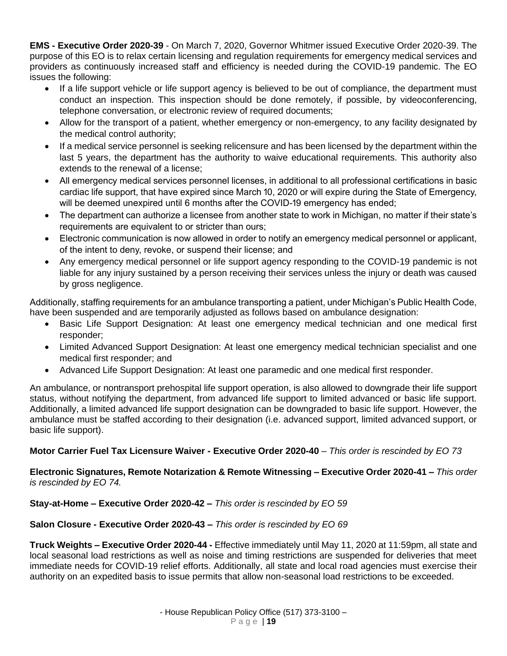**EMS - Executive Order 2020-39** - On March 7, 2020, Governor Whitmer issued Executive Order 2020-39. The purpose of this EO is to relax certain licensing and regulation requirements for emergency medical services and providers as continuously increased staff and efficiency is needed during the COVID-19 pandemic. The EO issues the following:

- If a life support vehicle or life support agency is believed to be out of compliance, the department must conduct an inspection. This inspection should be done remotely, if possible, by videoconferencing, telephone conversation, or electronic review of required documents;
- Allow for the transport of a patient, whether emergency or non-emergency, to any facility designated by the medical control authority;
- If a medical service personnel is seeking relicensure and has been licensed by the department within the last 5 years, the department has the authority to waive educational requirements. This authority also extends to the renewal of a license;
- All emergency medical services personnel licenses, in additional to all professional certifications in basic cardiac life support, that have expired since March 10, 2020 or will expire during the State of Emergency, will be deemed unexpired until 6 months after the COVID-19 emergency has ended;
- The department can authorize a licensee from another state to work in Michigan, no matter if their state's requirements are equivalent to or stricter than ours;
- Electronic communication is now allowed in order to notify an emergency medical personnel or applicant, of the intent to deny, revoke, or suspend their license; and
- Any emergency medical personnel or life support agency responding to the COVID-19 pandemic is not liable for any injury sustained by a person receiving their services unless the injury or death was caused by gross negligence.

Additionally, staffing requirements for an ambulance transporting a patient, under Michigan's Public Health Code, have been suspended and are temporarily adjusted as follows based on ambulance designation:

- Basic Life Support Designation: At least one emergency medical technician and one medical first responder;
- Limited Advanced Support Designation: At least one emergency medical technician specialist and one medical first responder; and
- Advanced Life Support Designation: At least one paramedic and one medical first responder.

An ambulance, or nontransport prehospital life support operation, is also allowed to downgrade their life support status, without notifying the department, from advanced life support to limited advanced or basic life support. Additionally, a limited advanced life support designation can be downgraded to basic life support. However, the ambulance must be staffed according to their designation (i.e. advanced support, limited advanced support, or basic life support).

# **Motor Carrier Fuel Tax Licensure Waiver - Executive Order 2020-40** – *This order is rescinded by EO 73*

**Electronic Signatures, Remote Notarization & Remote Witnessing – Executive Order 2020-41 –** *This order is rescinded by EO 74.*

# **Stay-at-Home – Executive Order 2020-42 –** *This order is rescinded by EO 59*

# **Salon Closure - Executive Order 2020-43 –** *This order is rescinded by EO 69*

**Truck Weights – Executive Order 2020-44 -** Effective immediately until May 11, 2020 at 11:59pm, all state and local seasonal load restrictions as well as noise and timing restrictions are suspended for deliveries that meet immediate needs for COVID-19 relief efforts. Additionally, all state and local road agencies must exercise their authority on an expedited basis to issue permits that allow non-seasonal load restrictions to be exceeded.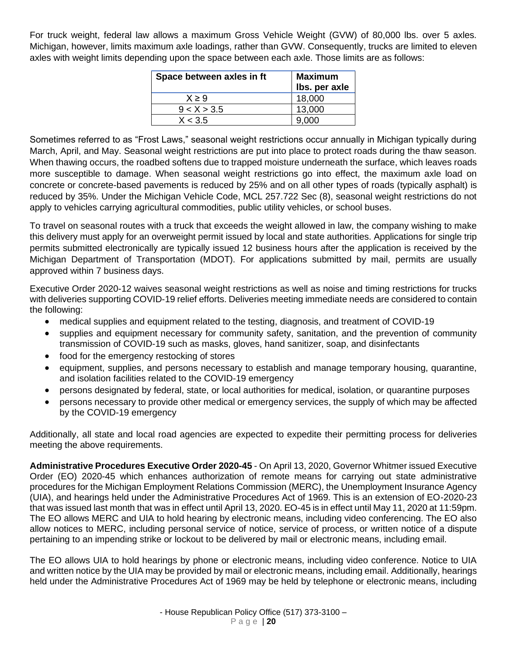For truck weight, federal law allows a maximum Gross Vehicle Weight (GVW) of 80,000 lbs. over 5 axles. Michigan, however, limits maximum axle loadings, rather than GVW. Consequently, trucks are limited to eleven axles with weight limits depending upon the space between each axle. Those limits are as follows:

| Space between axles in ft | <b>Maximum</b><br>Ibs. per axle |
|---------------------------|---------------------------------|
| $X \geq 9$                | 18,000                          |
| 9 < X > 3.5               | 13,000                          |
| X < 3.5                   | 9.000                           |

Sometimes referred to as "Frost Laws," seasonal weight restrictions occur annually in Michigan typically during March, April, and May. Seasonal weight restrictions are put into place to protect roads during the thaw season. When thawing occurs, the roadbed softens due to trapped moisture underneath the surface, which leaves roads more susceptible to damage. When seasonal weight restrictions go into effect, the maximum axle load on concrete or concrete-based pavements is reduced by 25% and on all other types of roads (typically asphalt) is reduced by 35%. Under the Michigan Vehicle Code, MCL 257.722 Sec (8), seasonal weight restrictions do not apply to vehicles carrying agricultural commodities, public utility vehicles, or school buses.

To travel on seasonal routes with a truck that exceeds the weight allowed in law, the company wishing to make this delivery must apply for an overweight permit issued by local and state authorities. Applications for single trip permits submitted electronically are typically issued 12 business hours after the application is received by the Michigan Department of Transportation (MDOT). For applications submitted by mail, permits are usually approved within 7 business days.

Executive Order 2020-12 waives seasonal weight restrictions as well as noise and timing restrictions for trucks with deliveries supporting COVID-19 relief efforts. Deliveries meeting immediate needs are considered to contain the following:

- medical supplies and equipment related to the testing, diagnosis, and treatment of COVID-19
- supplies and equipment necessary for community safety, sanitation, and the prevention of community transmission of COVID-19 such as masks, gloves, hand sanitizer, soap, and disinfectants
- food for the emergency restocking of stores
- equipment, supplies, and persons necessary to establish and manage temporary housing, quarantine, and isolation facilities related to the COVID-19 emergency
- persons designated by federal, state, or local authorities for medical, isolation, or quarantine purposes
- persons necessary to provide other medical or emergency services, the supply of which may be affected by the COVID-19 emergency

Additionally, all state and local road agencies are expected to expedite their permitting process for deliveries meeting the above requirements.

**Administrative Procedures Executive Order 2020-45** - On April 13, 2020, Governor Whitmer issued Executive Order (EO) 2020-45 which enhances authorization of remote means for carrying out state administrative procedures for the Michigan Employment Relations Commission (MERC), the Unemployment Insurance Agency (UIA), and hearings held under the Administrative Procedures Act of 1969. This is an extension of EO-2020-23 that was issued last month that was in effect until April 13, 2020. EO-45 is in effect until May 11, 2020 at 11:59pm. The EO allows MERC and UIA to hold hearing by electronic means, including video conferencing. The EO also allow notices to MERC, including personal service of notice, service of process, or written notice of a dispute pertaining to an impending strike or lockout to be delivered by mail or electronic means, including email.

The EO allows UIA to hold hearings by phone or electronic means, including video conference. Notice to UIA and written notice by the UIA may be provided by mail or electronic means, including email. Additionally, hearings held under the Administrative Procedures Act of 1969 may be held by telephone or electronic means, including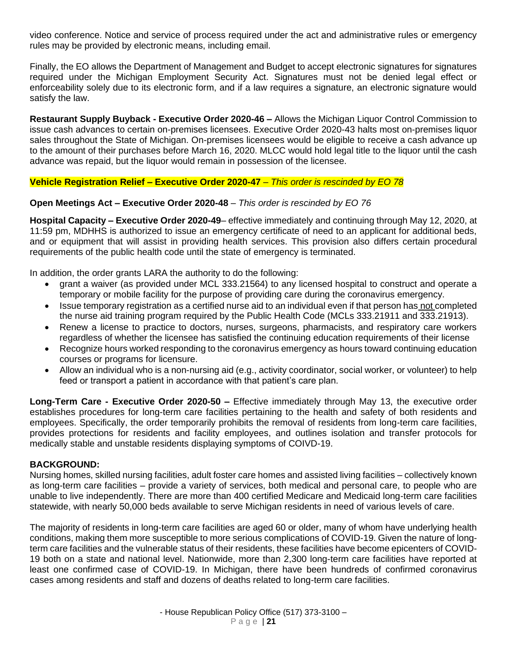video conference. Notice and service of process required under the act and administrative rules or emergency rules may be provided by electronic means, including email.

Finally, the EO allows the Department of Management and Budget to accept electronic signatures for signatures required under the Michigan Employment Security Act. Signatures must not be denied legal effect or enforceability solely due to its electronic form, and if a law requires a signature, an electronic signature would satisfy the law.

**Restaurant Supply Buyback - Executive Order 2020-46 –** Allows the Michigan Liquor Control Commission to issue cash advances to certain on-premises licensees. Executive Order 2020-43 halts most on-premises liquor sales throughout the State of Michigan. On-premises licensees would be eligible to receive a cash advance up to the amount of their purchases before March 16, 2020. MLCC would hold legal title to the liquor until the cash advance was repaid, but the liquor would remain in possession of the licensee.

## **Vehicle Registration Relief – Executive Order 2020-47** – *This order is rescinded by EO 78*

## **Open Meetings Act – Executive Order 2020-48** – *This order is rescinded by EO 76*

**Hospital Capacity – Executive Order 2020-49**– effective immediately and continuing through May 12, 2020, at 11:59 pm, MDHHS is authorized to issue an emergency certificate of need to an applicant for additional beds, and or equipment that will assist in providing health services. This provision also differs certain procedural requirements of the public health code until the state of emergency is terminated.

In addition, the order grants LARA the authority to do the following:

- grant a waiver (as provided under MCL 333.21564) to any licensed hospital to construct and operate a temporary or mobile facility for the purpose of providing care during the coronavirus emergency.
- Issue temporary registration as a certified nurse aid to an individual even if that person has not completed the nurse aid training program required by the Public Health Code (MCLs 333.21911 and 333.21913).
- Renew a license to practice to doctors, nurses, surgeons, pharmacists, and respiratory care workers regardless of whether the licensee has satisfied the continuing education requirements of their license
- Recognize hours worked responding to the coronavirus emergency as hours toward continuing education courses or programs for licensure.
- Allow an individual who is a non-nursing aid (e.g., activity coordinator, social worker, or volunteer) to help feed or transport a patient in accordance with that patient's care plan.

**Long-Term Care - Executive Order 2020-50 –** Effective immediately through May 13, the executive order establishes procedures for long-term care facilities pertaining to the health and safety of both residents and employees. Specifically, the order temporarily prohibits the removal of residents from long-term care facilities, provides protections for residents and facility employees, and outlines isolation and transfer protocols for medically stable and unstable residents displaying symptoms of COIVD-19.

### **BACKGROUND:**

Nursing homes, skilled nursing facilities, adult foster care homes and assisted living facilities – collectively known as long-term care facilities – provide a variety of services, both medical and personal care, to people who are unable to live independently. There are more than 400 certified Medicare and Medicaid long-term care facilities statewide, with nearly 50,000 beds available to serve Michigan residents in need of various levels of care.

The majority of residents in long-term care facilities are aged 60 or older, many of whom have underlying health conditions, making them more susceptible to more serious complications of COVID-19. Given the nature of longterm care facilities and the vulnerable status of their residents, these facilities have become epicenters of COVID-19 both on a state and national level. Nationwide, more than 2,300 long-term care facilities have reported at least one confirmed case of COVID-19. In Michigan, there have been hundreds of confirmed coronavirus cases among residents and staff and dozens of deaths related to long-term care facilities.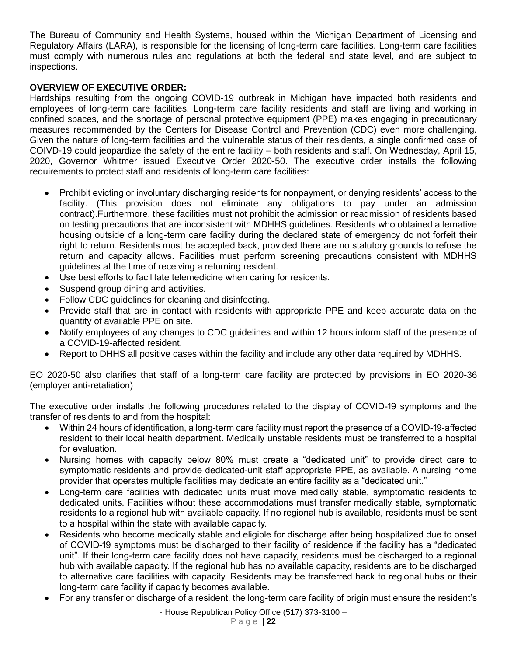The Bureau of Community and Health Systems, housed within the Michigan Department of Licensing and Regulatory Affairs (LARA), is responsible for the licensing of long-term care facilities. Long-term care facilities must comply with numerous rules and regulations at both the federal and state level, and are subject to inspections.

## **OVERVIEW OF EXECUTIVE ORDER:**

Hardships resulting from the ongoing COVID-19 outbreak in Michigan have impacted both residents and employees of long-term care facilities. Long-term care facility residents and staff are living and working in confined spaces, and the shortage of personal protective equipment (PPE) makes engaging in precautionary measures recommended by the Centers for Disease Control and Prevention (CDC) even more challenging. Given the nature of long-term facilities and the vulnerable status of their residents, a single confirmed case of COIVD-19 could jeopardize the safety of the entire facility – both residents and staff. On Wednesday, April 15, 2020, Governor Whitmer issued Executive Order 2020-50. The executive order installs the following requirements to protect staff and residents of long-term care facilities:

- Prohibit evicting or involuntary discharging residents for nonpayment, or denying residents' access to the facility. (This provision does not eliminate any obligations to pay under an admission contract).Furthermore, these facilities must not prohibit the admission or readmission of residents based on testing precautions that are inconsistent with MDHHS guidelines. Residents who obtained alternative housing outside of a long-term care facility during the declared state of emergency do not forfeit their right to return. Residents must be accepted back, provided there are no statutory grounds to refuse the return and capacity allows. Facilities must perform screening precautions consistent with MDHHS guidelines at the time of receiving a returning resident.
- Use best efforts to facilitate telemedicine when caring for residents.
- Suspend group dining and activities.
- Follow CDC guidelines for cleaning and disinfecting.
- Provide staff that are in contact with residents with appropriate PPE and keep accurate data on the quantity of available PPE on site.
- Notify employees of any changes to CDC guidelines and within 12 hours inform staff of the presence of a COVID-19-affected resident.
- Report to DHHS all positive cases within the facility and include any other data required by MDHHS.

EO 2020-50 also clarifies that staff of a long-term care facility are protected by provisions in EO 2020-36 (employer anti-retaliation)

The executive order installs the following procedures related to the display of COVID-19 symptoms and the transfer of residents to and from the hospital:

- Within 24 hours of identification, a long-term care facility must report the presence of a COVID-19-affected resident to their local health department. Medically unstable residents must be transferred to a hospital for evaluation.
- Nursing homes with capacity below 80% must create a "dedicated unit" to provide direct care to symptomatic residents and provide dedicated-unit staff appropriate PPE, as available. A nursing home provider that operates multiple facilities may dedicate an entire facility as a "dedicated unit."
- Long-term care facilities with dedicated units must move medically stable, symptomatic residents to dedicated units. Facilities without these accommodations must transfer medically stable, symptomatic residents to a regional hub with available capacity. If no regional hub is available, residents must be sent to a hospital within the state with available capacity.
- Residents who become medically stable and eligible for discharge after being hospitalized due to onset of COVID-19 symptoms must be discharged to their facility of residence if the facility has a "dedicated unit". If their long-term care facility does not have capacity, residents must be discharged to a regional hub with available capacity. If the regional hub has no available capacity, residents are to be discharged to alternative care facilities with capacity. Residents may be transferred back to regional hubs or their long-term care facility if capacity becomes available.
- For any transfer or discharge of a resident, the long-term care facility of origin must ensure the resident's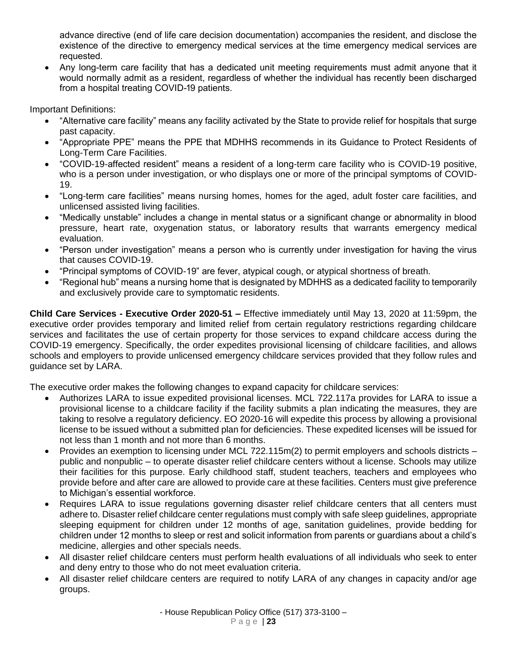advance directive (end of life care decision documentation) accompanies the resident, and disclose the existence of the directive to emergency medical services at the time emergency medical services are requested.

• Any long-term care facility that has a dedicated unit meeting requirements must admit anyone that it would normally admit as a resident, regardless of whether the individual has recently been discharged from a hospital treating COVID-19 patients.

Important Definitions:

- "Alternative care facility" means any facility activated by the State to provide relief for hospitals that surge past capacity.
- "Appropriate PPE" means the PPE that MDHHS recommends in its Guidance to Protect Residents of Long-Term Care Facilities.
- "COVID-19-affected resident" means a resident of a long-term care facility who is COVID-19 positive, who is a person under investigation, or who displays one or more of the principal symptoms of COVID-19.
- "Long-term care facilities" means nursing homes, homes for the aged, adult foster care facilities, and unlicensed assisted living facilities.
- "Medically unstable" includes a change in mental status or a significant change or abnormality in blood pressure, heart rate, oxygenation status, or laboratory results that warrants emergency medical evaluation.
- "Person under investigation" means a person who is currently under investigation for having the virus that causes COVID-19.
- "Principal symptoms of COVID-19" are fever, atypical cough, or atypical shortness of breath.
- "Regional hub" means a nursing home that is designated by MDHHS as a dedicated facility to temporarily and exclusively provide care to symptomatic residents.

**Child Care Services - Executive Order 2020-51 –** Effective immediately until May 13, 2020 at 11:59pm, the executive order provides temporary and limited relief from certain regulatory restrictions regarding childcare services and facilitates the use of certain property for those services to expand childcare access during the COVID-19 emergency. Specifically, the order expedites provisional licensing of childcare facilities, and allows schools and employers to provide unlicensed emergency childcare services provided that they follow rules and guidance set by LARA.

The executive order makes the following changes to expand capacity for childcare services:

- Authorizes LARA to issue expedited provisional licenses. MCL 722.117a provides for LARA to issue a provisional license to a childcare facility if the facility submits a plan indicating the measures, they are taking to resolve a regulatory deficiency. EO 2020-16 will expedite this process by allowing a provisional license to be issued without a submitted plan for deficiencies. These expedited licenses will be issued for not less than 1 month and not more than 6 months.
- Provides an exemption to licensing under MCL 722.115m(2) to permit employers and schools districts public and nonpublic – to operate disaster relief childcare centers without a license. Schools may utilize their facilities for this purpose. Early childhood staff, student teachers, teachers and employees who provide before and after care are allowed to provide care at these facilities. Centers must give preference to Michigan's essential workforce.
- Requires LARA to issue regulations governing disaster relief childcare centers that all centers must adhere to. Disaster relief childcare center regulations must comply with safe sleep guidelines, appropriate sleeping equipment for children under 12 months of age, sanitation guidelines, provide bedding for children under 12 months to sleep or rest and solicit information from parents or guardians about a child's medicine, allergies and other specials needs.
- All disaster relief childcare centers must perform health evaluations of all individuals who seek to enter and deny entry to those who do not meet evaluation criteria.
- All disaster relief childcare centers are required to notify LARA of any changes in capacity and/or age groups.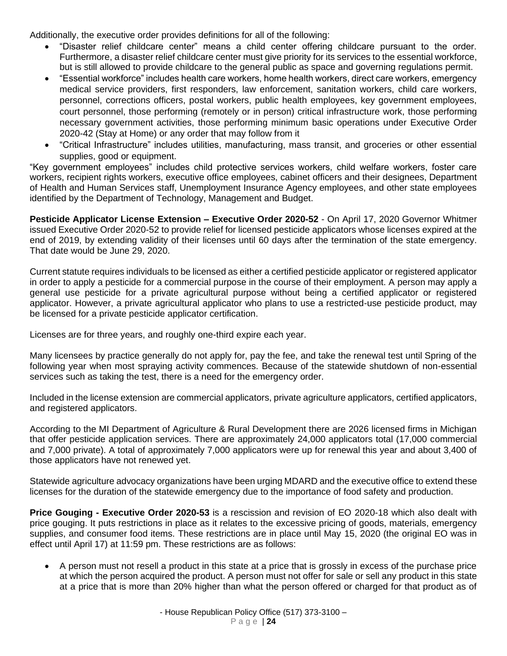Additionally, the executive order provides definitions for all of the following:

- "Disaster relief childcare center" means a child center offering childcare pursuant to the order. Furthermore, a disaster relief childcare center must give priority for its services to the essential workforce, but is still allowed to provide childcare to the general public as space and governing regulations permit.
- "Essential workforce" includes health care workers, home health workers, direct care workers, emergency medical service providers, first responders, law enforcement, sanitation workers, child care workers, personnel, corrections officers, postal workers, public health employees, key government employees, court personnel, those performing (remotely or in person) critical infrastructure work, those performing necessary government activities, those performing minimum basic operations under Executive Order 2020-42 (Stay at Home) or any order that may follow from it
- "Critical Infrastructure" includes utilities, manufacturing, mass transit, and groceries or other essential supplies, good or equipment.

"Key government employees" includes child protective services workers, child welfare workers, foster care workers, recipient rights workers, executive office employees, cabinet officers and their designees. Department of Health and Human Services staff, Unemployment Insurance Agency employees, and other state employees identified by the Department of Technology, Management and Budget.

**Pesticide Applicator License Extension – Executive Order 2020-52** - On April 17, 2020 Governor Whitmer issued Executive Order 2020-52 to provide relief for licensed pesticide applicators whose licenses expired at the end of 2019, by extending validity of their licenses until 60 days after the termination of the state emergency. That date would be June 29, 2020.

Current statute requires individuals to be licensed as either a certified pesticide applicator or registered applicator in order to apply a pesticide for a commercial purpose in the course of their employment. A person may apply a general use pesticide for a private agricultural purpose without being a certified applicator or registered applicator. However, a private agricultural applicator who plans to use a restricted-use pesticide product, may be licensed for a private pesticide applicator certification.

Licenses are for three years, and roughly one-third expire each year.

Many licensees by practice generally do not apply for, pay the fee, and take the renewal test until Spring of the following year when most spraying activity commences. Because of the statewide shutdown of non-essential services such as taking the test, there is a need for the emergency order.

Included in the license extension are commercial applicators, private agriculture applicators, certified applicators, and registered applicators.

According to the MI Department of Agriculture & Rural Development there are 2026 licensed firms in Michigan that offer pesticide application services. There are approximately 24,000 applicators total (17,000 commercial and 7,000 private). A total of approximately 7,000 applicators were up for renewal this year and about 3,400 of those applicators have not renewed yet.

Statewide agriculture advocacy organizations have been urging MDARD and the executive office to extend these licenses for the duration of the statewide emergency due to the importance of food safety and production.

**Price Gouging - Executive Order 2020-53** is a rescission and revision of EO 2020-18 which also dealt with price gouging. It puts restrictions in place as it relates to the excessive pricing of goods, materials, emergency supplies, and consumer food items. These restrictions are in place until May 15, 2020 (the original EO was in effect until April 17) at 11:59 pm. These restrictions are as follows:

• A person must not resell a product in this state at a price that is grossly in excess of the purchase price at which the person acquired the product. A person must not offer for sale or sell any product in this state at a price that is more than 20% higher than what the person offered or charged for that product as of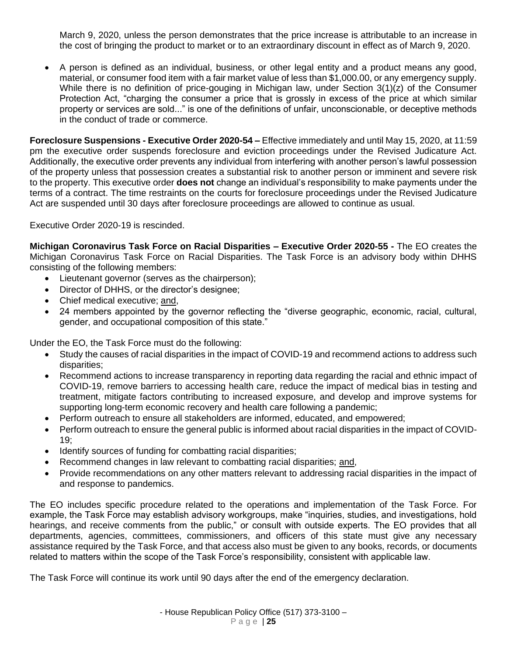March 9, 2020, unless the person demonstrates that the price increase is attributable to an increase in the cost of bringing the product to market or to an extraordinary discount in effect as of March 9, 2020.

• A person is defined as an individual, business, or other legal entity and a product means any good, material, or consumer food item with a fair market value of less than \$1,000.00, or any emergency supply. While there is no definition of price-gouging in Michigan law, under Section 3(1)(z) of the Consumer Protection Act, "charging the consumer a price that is grossly in excess of the price at which similar property or services are sold..." is one of the definitions of unfair, unconscionable, or deceptive methods in the conduct of trade or commerce.

**Foreclosure Suspensions - Executive Order 2020-54 –** Effective immediately and until May 15, 2020, at 11:59 pm the executive order suspends foreclosure and eviction proceedings under the Revised Judicature Act. Additionally, the executive order prevents any individual from interfering with another person's lawful possession of the property unless that possession creates a substantial risk to another person or imminent and severe risk to the property. This executive order **does not** change an individual's responsibility to make payments under the terms of a contract. The time restraints on the courts for foreclosure proceedings under the Revised Judicature Act are suspended until 30 days after foreclosure proceedings are allowed to continue as usual.

Executive Order 2020-19 is rescinded.

**Michigan Coronavirus Task Force on Racial Disparities – Executive Order 2020-55 -** The EO creates the Michigan Coronavirus Task Force on Racial Disparities. The Task Force is an advisory body within DHHS consisting of the following members:

- Lieutenant governor (serves as the chairperson);
- Director of DHHS, or the director's designee;
- Chief medical executive: and,
- 24 members appointed by the governor reflecting the "diverse geographic, economic, racial, cultural, gender, and occupational composition of this state."

Under the EO, the Task Force must do the following:

- Study the causes of racial disparities in the impact of COVID-19 and recommend actions to address such disparities;
- Recommend actions to increase transparency in reporting data regarding the racial and ethnic impact of COVID-19, remove barriers to accessing health care, reduce the impact of medical bias in testing and treatment, mitigate factors contributing to increased exposure, and develop and improve systems for supporting long-term economic recovery and health care following a pandemic;
- Perform outreach to ensure all stakeholders are informed, educated, and empowered;
- Perform outreach to ensure the general public is informed about racial disparities in the impact of COVID-19;
- Identify sources of funding for combatting racial disparities;
- Recommend changes in law relevant to combatting racial disparities; and,
- Provide recommendations on any other matters relevant to addressing racial disparities in the impact of and response to pandemics.

The EO includes specific procedure related to the operations and implementation of the Task Force. For example, the Task Force may establish advisory workgroups, make "inquiries, studies, and investigations, hold hearings, and receive comments from the public," or consult with outside experts. The EO provides that all departments, agencies, committees, commissioners, and officers of this state must give any necessary assistance required by the Task Force, and that access also must be given to any books, records, or documents related to matters within the scope of the Task Force's responsibility, consistent with applicable law.

The Task Force will continue its work until 90 days after the end of the emergency declaration.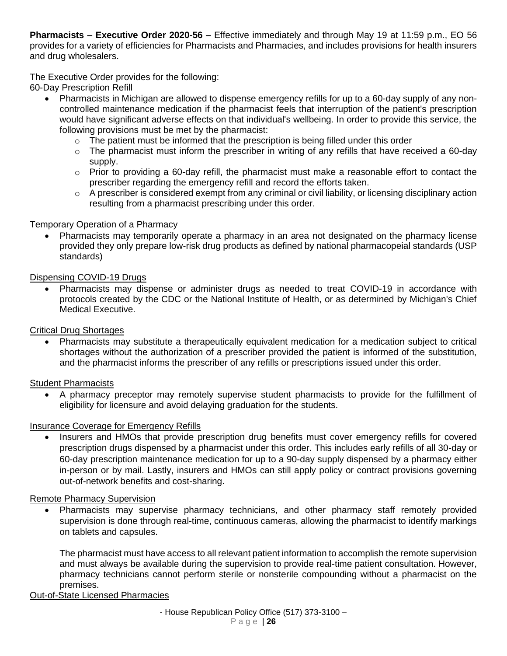**Pharmacists – Executive Order 2020-56 –** Effective immediately and through May 19 at 11:59 p.m., EO 56 provides for a variety of efficiencies for Pharmacists and Pharmacies, and includes provisions for health insurers and drug wholesalers.

# The Executive Order provides for the following:

60-Day Prescription Refill

- Pharmacists in Michigan are allowed to dispense emergency refills for up to a 60-day supply of any noncontrolled maintenance medication if the pharmacist feels that interruption of the patient's prescription would have significant adverse effects on that individual's wellbeing. In order to provide this service, the following provisions must be met by the pharmacist:
	- $\circ$  The patient must be informed that the prescription is being filled under this order
	- $\circ$  The pharmacist must inform the prescriber in writing of any refills that have received a 60-day supply.
	- $\circ$  Prior to providing a 60-day refill, the pharmacist must make a reasonable effort to contact the prescriber regarding the emergency refill and record the efforts taken.
	- $\circ$  A prescriber is considered exempt from any criminal or civil liability, or licensing disciplinary action resulting from a pharmacist prescribing under this order.

### Temporary Operation of a Pharmacy

• Pharmacists may temporarily operate a pharmacy in an area not designated on the pharmacy license provided they only prepare low-risk drug products as defined by national pharmacopeial standards (USP standards)

### Dispensing COVID-19 Drugs

• Pharmacists may dispense or administer drugs as needed to treat COVID-19 in accordance with protocols created by the CDC or the National Institute of Health, or as determined by Michigan's Chief Medical Executive.

# Critical Drug Shortages

• Pharmacists may substitute a therapeutically equivalent medication for a medication subject to critical shortages without the authorization of a prescriber provided the patient is informed of the substitution, and the pharmacist informs the prescriber of any refills or prescriptions issued under this order.

### Student Pharmacists

• A pharmacy preceptor may remotely supervise student pharmacists to provide for the fulfillment of eligibility for licensure and avoid delaying graduation for the students.

### Insurance Coverage for Emergency Refills

Insurers and HMOs that provide prescription drug benefits must cover emergency refills for covered prescription drugs dispensed by a pharmacist under this order. This includes early refills of all 30-day or 60-day prescription maintenance medication for up to a 90-day supply dispensed by a pharmacy either in-person or by mail. Lastly, insurers and HMOs can still apply policy or contract provisions governing out-of-network benefits and cost-sharing.

### Remote Pharmacy Supervision

• Pharmacists may supervise pharmacy technicians, and other pharmacy staff remotely provided supervision is done through real-time, continuous cameras, allowing the pharmacist to identify markings on tablets and capsules.

The pharmacist must have access to all relevant patient information to accomplish the remote supervision and must always be available during the supervision to provide real-time patient consultation. However, pharmacy technicians cannot perform sterile or nonsterile compounding without a pharmacist on the premises.

### Out-of-State Licensed Pharmacies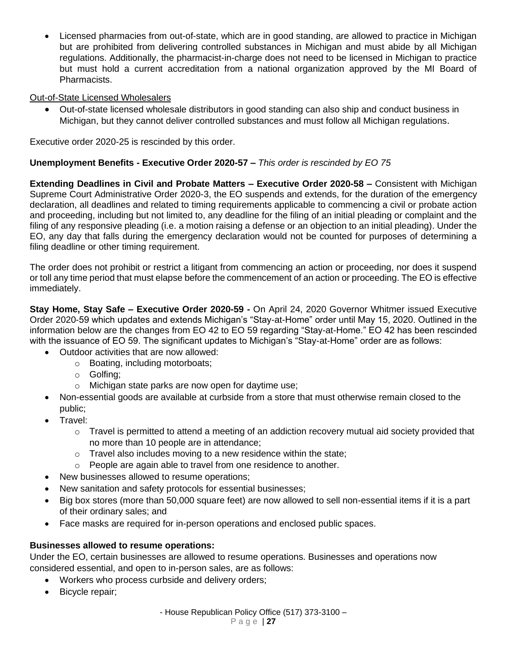• Licensed pharmacies from out-of-state, which are in good standing, are allowed to practice in Michigan but are prohibited from delivering controlled substances in Michigan and must abide by all Michigan regulations. Additionally, the pharmacist-in-charge does not need to be licensed in Michigan to practice but must hold a current accreditation from a national organization approved by the MI Board of Pharmacists.

# Out-of-State Licensed Wholesalers

• Out-of-state licensed wholesale distributors in good standing can also ship and conduct business in Michigan, but they cannot deliver controlled substances and must follow all Michigan regulations.

Executive order 2020-25 is rescinded by this order.

# **Unemployment Benefits - Executive Order 2020-57 –** *This order is rescinded by EO 75*

**Extending Deadlines in Civil and Probate Matters – Executive Order 2020-58 –** Consistent with Michigan Supreme Court Administrative Order 2020-3, the EO suspends and extends, for the duration of the emergency declaration, all deadlines and related to timing requirements applicable to commencing a civil or probate action and proceeding, including but not limited to, any deadline for the filing of an initial pleading or complaint and the filing of any responsive pleading (i.e. a motion raising a defense or an objection to an initial pleading). Under the EO, any day that falls during the emergency declaration would not be counted for purposes of determining a filing deadline or other timing requirement.

The order does not prohibit or restrict a litigant from commencing an action or proceeding, nor does it suspend or toll any time period that must elapse before the commencement of an action or proceeding. The EO is effective immediately.

**Stay Home, Stay Safe – Executive Order 2020-59 -** On April 24, 2020 Governor Whitmer issued Executive Order 2020-59 which updates and extends Michigan's "Stay-at-Home" order until May 15, 2020. Outlined in the information below are the changes from EO 42 to EO 59 regarding "Stay-at-Home." EO 42 has been rescinded with the issuance of EO 59. The significant updates to Michigan's "Stay-at-Home" order are as follows:

- Outdoor activities that are now allowed:
	- o Boating, including motorboats;
	- o Golfing;
	- o Michigan state parks are now open for daytime use;
- Non-essential goods are available at curbside from a store that must otherwise remain closed to the public;
- Travel:
	- $\circ$  Travel is permitted to attend a meeting of an addiction recovery mutual aid society provided that no more than 10 people are in attendance;
	- $\circ$  Travel also includes moving to a new residence within the state;
	- o People are again able to travel from one residence to another.
- New businesses allowed to resume operations;
- New sanitation and safety protocols for essential businesses;
- Big box stores (more than 50,000 square feet) are now allowed to sell non-essential items if it is a part of their ordinary sales; and
- Face masks are required for in-person operations and enclosed public spaces.

# **Businesses allowed to resume operations:**

Under the EO, certain businesses are allowed to resume operations. Businesses and operations now considered essential, and open to in-person sales, are as follows:

- Workers who process curbside and delivery orders;
- Bicycle repair;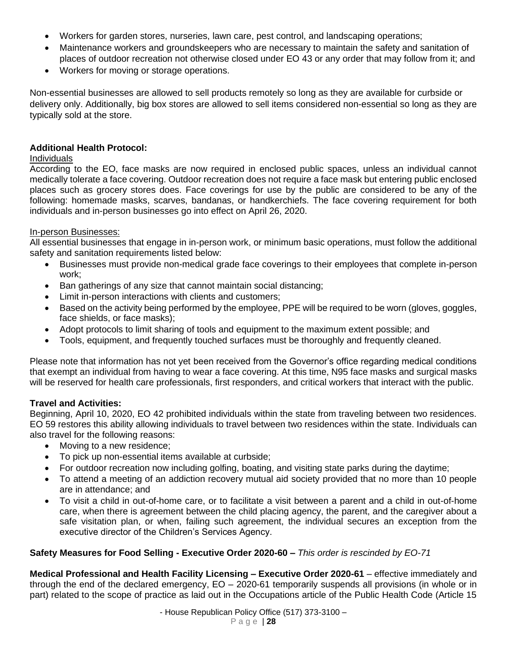- Workers for garden stores, nurseries, lawn care, pest control, and landscaping operations;
- Maintenance workers and groundskeepers who are necessary to maintain the safety and sanitation of places of outdoor recreation not otherwise closed under EO 43 or any order that may follow from it; and
- Workers for moving or storage operations.

Non-essential businesses are allowed to sell products remotely so long as they are available for curbside or delivery only. Additionally, big box stores are allowed to sell items considered non-essential so long as they are typically sold at the store.

# **Additional Health Protocol:**

## Individuals

According to the EO, face masks are now required in enclosed public spaces, unless an individual cannot medically tolerate a face covering. Outdoor recreation does not require a face mask but entering public enclosed places such as grocery stores does. Face coverings for use by the public are considered to be any of the following: homemade masks, scarves, bandanas, or handkerchiefs. The face covering requirement for both individuals and in-person businesses go into effect on April 26, 2020.

## In-person Businesses:

All essential businesses that engage in in-person work, or minimum basic operations, must follow the additional safety and sanitation requirements listed below:

- Businesses must provide non-medical grade face coverings to their employees that complete in-person work;
- Ban gatherings of any size that cannot maintain social distancing;
- Limit in-person interactions with clients and customers;
- Based on the activity being performed by the employee, PPE will be required to be worn (gloves, goggles, face shields, or face masks);
- Adopt protocols to limit sharing of tools and equipment to the maximum extent possible; and
- Tools, equipment, and frequently touched surfaces must be thoroughly and frequently cleaned.

Please note that information has not yet been received from the Governor's office regarding medical conditions that exempt an individual from having to wear a face covering. At this time, N95 face masks and surgical masks will be reserved for health care professionals, first responders, and critical workers that interact with the public.

# **Travel and Activities:**

Beginning, April 10, 2020, EO 42 prohibited individuals within the state from traveling between two residences. EO 59 restores this ability allowing individuals to travel between two residences within the state. Individuals can also travel for the following reasons:

- Moving to a new residence;
- To pick up non-essential items available at curbside;
- For outdoor recreation now including golfing, boating, and visiting state parks during the daytime;
- To attend a meeting of an addiction recovery mutual aid society provided that no more than 10 people are in attendance; and
- To visit a child in out-of-home care, or to facilitate a visit between a parent and a child in out-of-home care, when there is agreement between the child placing agency, the parent, and the caregiver about a safe visitation plan, or when, failing such agreement, the individual secures an exception from the executive director of the Children's Services Agency.

# **Safety Measures for Food Selling - Executive Order 2020-60 –** *This order is rescinded by EO-71*

**Medical Professional and Health Facility Licensing – Executive Order 2020-61** – effective immediately and through the end of the declared emergency, EO – 2020-61 temporarily suspends all provisions (in whole or in part) related to the scope of practice as laid out in the Occupations article of the Public Health Code (Article 15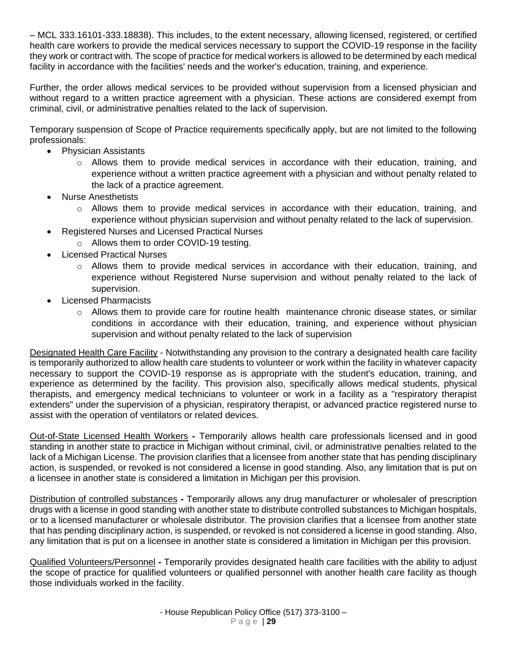– MCL 333.16101-333.18838). This includes, to the extent necessary, allowing licensed, registered, or certified health care workers to provide the medical services necessary to support the COVID-19 response in the facility they work or contract with. The scope of practice for medical workers is allowed to be determined by each medical facility in accordance with the facilities' needs and the worker's education, training, and experience.

Further, the order allows medical services to be provided without supervision from a licensed physician and without regard to a written practice agreement with a physician. These actions are considered exempt from criminal, civil, or administrative penalties related to the lack of supervision.

Temporary suspension of Scope of Practice requirements specifically apply, but are not limited to the following professionals:

- Physician Assistants
	- $\circ$  Allows them to provide medical services in accordance with their education, training, and experience without a written practice agreement with a physician and without penalty related to the lack of a practice agreement.
- Nurse Anesthetists
	- $\circ$  Allows them to provide medical services in accordance with their education, training, and experience without physician supervision and without penalty related to the lack of supervision.
- Registered Nurses and Licensed Practical Nurses
	- o Allows them to order COVID-19 testing.
- Licensed Practical Nurses
	- $\circ$  Allows them to provide medical services in accordance with their education, training, and experience without Registered Nurse supervision and without penalty related to the lack of supervision.
- Licensed Pharmacists
	- $\circ$  Allows them to provide care for routine health maintenance chronic disease states, or similar conditions in accordance with their education, training, and experience without physician supervision and without penalty related to the lack of supervision

Designated Health Care Facility - Notwithstanding any provision to the contrary a designated health care facility is temporarily authorized to allow health care students to volunteer or work within the facility in whatever capacity necessary to support the COVID-19 response as is appropriate with the student's education, training, and experience as determined by the facility. This provision also, specifically allows medical students, physical therapists, and emergency medical technicians to volunteer or work in a facility as a "respiratory therapist extenders" under the supervision of a physician, respiratory therapist, or advanced practice registered nurse to assist with the operation of ventilators or related devices.

Out-of-State Licensed Health Workers **-** Temporarily allows health care professionals licensed and in good standing in another state to practice in Michigan without criminal, civil, or administrative penalties related to the lack of a Michigan License. The provision clarifies that a licensee from another state that has pending disciplinary action, is suspended, or revoked is not considered a license in good standing. Also, any limitation that is put on a licensee in another state is considered a limitation in Michigan per this provision.

Distribution of controlled substances **-** Temporarily allows any drug manufacturer or wholesaler of prescription drugs with a license in good standing with another state to distribute controlled substances to Michigan hospitals, or to a licensed manufacturer or wholesale distributor. The provision clarifies that a licensee from another state that has pending disciplinary action, is suspended, or revoked is not considered a license in good standing. Also, any limitation that is put on a licensee in another state is considered a limitation in Michigan per this provision.

Qualified Volunteers/Personnel **-** Temporarily provides designated health care facilities with the ability to adjust the scope of practice for qualified volunteers or qualified personnel with another health care facility as though those individuals worked in the facility.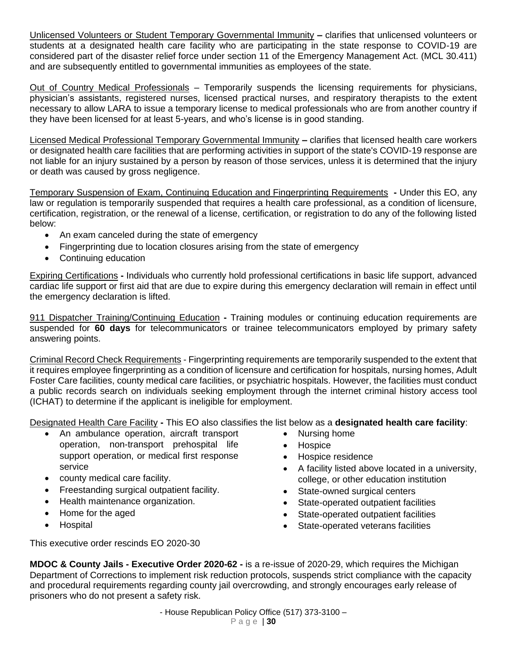Unlicensed Volunteers or Student Temporary Governmental Immunity **–** clarifies that unlicensed volunteers or students at a designated health care facility who are participating in the state response to COVID-19 are considered part of the disaster relief force under section 11 of the Emergency Management Act. (MCL 30.411) and are subsequently entitled to governmental immunities as employees of the state.

Out of Country Medical Professionals – Temporarily suspends the licensing requirements for physicians, physician's assistants, registered nurses, licensed practical nurses, and respiratory therapists to the extent necessary to allow LARA to issue a temporary license to medical professionals who are from another country if they have been licensed for at least 5-years, and who's license is in good standing.

Licensed Medical Professional Temporary Governmental Immunity **–** clarifies that licensed health care workers or designated health care facilities that are performing activities in support of the state's COVID-19 response are not liable for an injury sustained by a person by reason of those services, unless it is determined that the injury or death was caused by gross negligence.

Temporary Suspension of Exam, Continuing Education and Fingerprinting Requirements **-** Under this EO, any law or regulation is temporarily suspended that requires a health care professional, as a condition of licensure, certification, registration, or the renewal of a license, certification, or registration to do any of the following listed below:

- An exam canceled during the state of emergency
- Fingerprinting due to location closures arising from the state of emergency
- Continuing education

Expiring Certifications **-** Individuals who currently hold professional certifications in basic life support, advanced cardiac life support or first aid that are due to expire during this emergency declaration will remain in effect until the emergency declaration is lifted.

911 Dispatcher Training/Continuing Education **-** Training modules or continuing education requirements are suspended for **60 days** for telecommunicators or trainee telecommunicators employed by primary safety answering points.

Criminal Record Check Requirements - Fingerprinting requirements are temporarily suspended to the extent that it requires employee fingerprinting as a condition of licensure and certification for hospitals, nursing homes, Adult Foster Care facilities, county medical care facilities, or psychiatric hospitals. However, the facilities must conduct a public records search on individuals seeking employment through the internet criminal history access tool (ICHAT) to determine if the applicant is ineligible for employment.

Designated Health Care Facility **-** This EO also classifies the list below as a **designated health care facility**:

- An ambulance operation, aircraft transport operation, non-transport prehospital life support operation, or medical first response service
- county medical care facility.
- Freestanding surgical outpatient facility.
- Health maintenance organization.
- Home for the aged
- Hospital
- Nursing home
- Hospice
- Hospice residence
- A facility listed above located in a university, college, or other education institution
- State-owned surgical centers
- State-operated outpatient facilities
- State-operated outpatient facilities
- State-operated veterans facilities

This executive order rescinds EO 2020-30

**MDOC & County Jails - Executive Order 2020-62 -** is a re-issue of 2020-29, which requires the Michigan Department of Corrections to implement risk reduction protocols, suspends strict compliance with the capacity and procedural requirements regarding county jail overcrowding, and strongly encourages early release of prisoners who do not present a safety risk.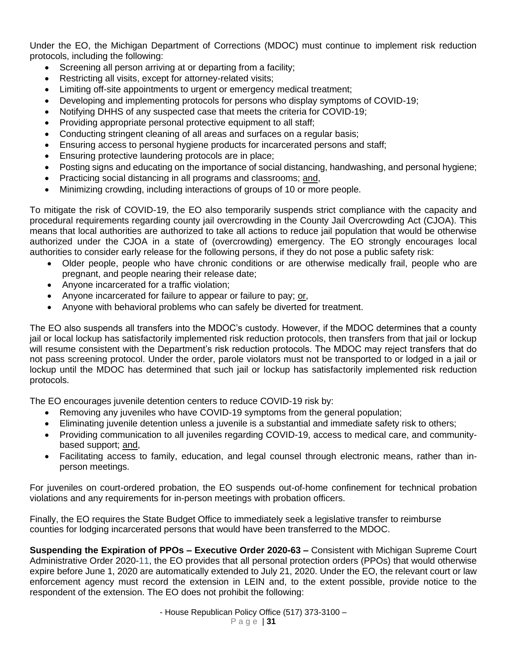Under the EO, the Michigan Department of Corrections (MDOC) must continue to implement risk reduction protocols, including the following:

- Screening all person arriving at or departing from a facility;
- Restricting all visits, except for attorney-related visits;
- Limiting off-site appointments to urgent or emergency medical treatment;
- Developing and implementing protocols for persons who display symptoms of COVID-19;
- Notifying DHHS of any suspected case that meets the criteria for COVID-19;
- Providing appropriate personal protective equipment to all staff;
- Conducting stringent cleaning of all areas and surfaces on a regular basis;
- Ensuring access to personal hygiene products for incarcerated persons and staff;
- Ensuring protective laundering protocols are in place;
- Posting signs and educating on the importance of social distancing, handwashing, and personal hygiene;
- Practicing social distancing in all programs and classrooms; and,
- Minimizing crowding, including interactions of groups of 10 or more people.

To mitigate the risk of COVID-19, the EO also temporarily suspends strict compliance with the capacity and procedural requirements regarding county jail overcrowding in the County Jail Overcrowding Act (CJOA). This means that local authorities are authorized to take all actions to reduce jail population that would be otherwise authorized under the CJOA in a state of (overcrowding) emergency. The EO strongly encourages local authorities to consider early release for the following persons, if they do not pose a public safety risk:

- Older people, people who have chronic conditions or are otherwise medically frail, people who are pregnant, and people nearing their release date;
- Anyone incarcerated for a traffic violation;
- Anyone incarcerated for failure to appear or failure to pay; or,
- Anyone with behavioral problems who can safely be diverted for treatment.

The EO also suspends all transfers into the MDOC's custody. However, if the MDOC determines that a county jail or local lockup has satisfactorily implemented risk reduction protocols, then transfers from that jail or lockup will resume consistent with the Department's risk reduction protocols. The MDOC may reject transfers that do not pass screening protocol. Under the order, parole violators must not be transported to or lodged in a jail or lockup until the MDOC has determined that such jail or lockup has satisfactorily implemented risk reduction protocols.

The EO encourages juvenile detention centers to reduce COVID-19 risk by:

- Removing any juveniles who have COVID-19 symptoms from the general population;
- Eliminating juvenile detention unless a juvenile is a substantial and immediate safety risk to others;
- Providing communication to all juveniles regarding COVID-19, access to medical care, and communitybased support; and,
- Facilitating access to family, education, and legal counsel through electronic means, rather than inperson meetings.

For juveniles on court-ordered probation, the EO suspends out-of-home confinement for technical probation violations and any requirements for in-person meetings with probation officers.

Finally, the EO requires the State Budget Office to immediately seek a legislative transfer to reimburse counties for lodging incarcerated persons that would have been transferred to the MDOC.

**Suspending the Expiration of PPOs – Executive Order 2020-63 –** Consistent with Michigan Supreme Court Administrative Order 2020-11, the EO provides that all personal protection orders (PPOs) that would otherwise expire before June 1, 2020 are automatically extended to July 21, 2020. Under the EO, the relevant court or law enforcement agency must record the extension in LEIN and, to the extent possible, provide notice to the respondent of the extension. The EO does not prohibit the following: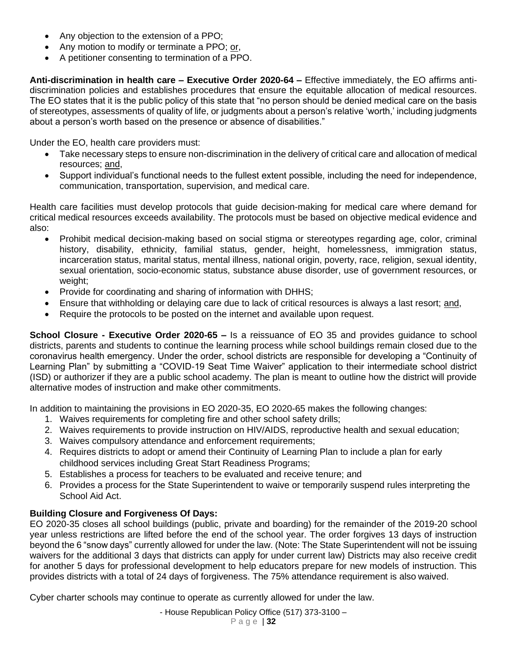- Any objection to the extension of a PPO;
- Any motion to modify or terminate a PPO; or,
- A petitioner consenting to termination of a PPO.

**Anti-discrimination in health care – Executive Order 2020-64 –** Effective immediately, the EO affirms antidiscrimination policies and establishes procedures that ensure the equitable allocation of medical resources. The EO states that it is the public policy of this state that "no person should be denied medical care on the basis of stereotypes, assessments of quality of life, or judgments about a person's relative 'worth,' including judgments about a person's worth based on the presence or absence of disabilities."

Under the EO, health care providers must:

- Take necessary steps to ensure non-discrimination in the delivery of critical care and allocation of medical resources; and,
- Support individual's functional needs to the fullest extent possible, including the need for independence, communication, transportation, supervision, and medical care.

Health care facilities must develop protocols that guide decision-making for medical care where demand for critical medical resources exceeds availability. The protocols must be based on objective medical evidence and also:

- Prohibit medical decision-making based on social stigma or stereotypes regarding age, color, criminal history, disability, ethnicity, familial status, gender, height, homelessness, immigration status, incarceration status, marital status, mental illness, national origin, poverty, race, religion, sexual identity, sexual orientation, socio-economic status, substance abuse disorder, use of government resources, or weight;
- Provide for coordinating and sharing of information with DHHS;
- Ensure that withholding or delaying care due to lack of critical resources is always a last resort; and,
- Require the protocols to be posted on the internet and available upon request.

**School Closure - Executive Order 2020-65 –** Is a reissuance of EO 35 and provides guidance to school districts, parents and students to continue the learning process while school buildings remain closed due to the coronavirus health emergency. Under the order, school districts are responsible for developing a "Continuity of Learning Plan" by submitting a "COVID-19 Seat Time Waiver" application to their intermediate school district (ISD) or authorizer if they are a public school academy. The plan is meant to outline how the district will provide alternative modes of instruction and make other commitments.

In addition to maintaining the provisions in EO 2020-35, EO 2020-65 makes the following changes:

- 1. Waives requirements for completing fire and other school safety drills;
- 2. Waives requirements to provide instruction on HIV/AIDS, reproductive health and sexual education;
- 3. Waives compulsory attendance and enforcement requirements;
- 4. Requires districts to adopt or amend their Continuity of Learning Plan to include a plan for early childhood services including Great Start Readiness Programs;
- 5. Establishes a process for teachers to be evaluated and receive tenure; and
- 6. Provides a process for the State Superintendent to waive or temporarily suspend rules interpreting the School Aid Act.

# **Building Closure and Forgiveness Of Days:**

EO 2020-35 closes all school buildings (public, private and boarding) for the remainder of the 2019-20 school year unless restrictions are lifted before the end of the school year. The order forgives 13 days of instruction beyond the 6 "snow days" currently allowed for under the law. (Note: The State Superintendent will not be issuing waivers for the additional 3 days that districts can apply for under current law) Districts may also receive credit for another 5 days for professional development to help educators prepare for new models of instruction. This provides districts with a total of 24 days of forgiveness. The 75% attendance requirement is also waived.

Cyber charter schools may continue to operate as currently allowed for under the law.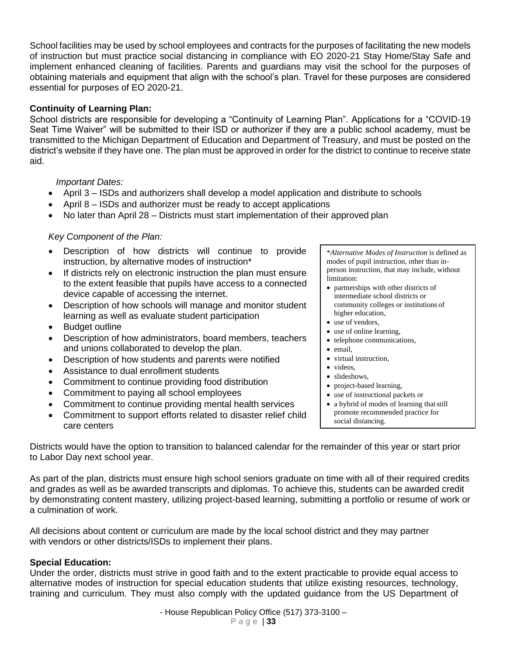School facilities may be used by school employees and contracts for the purposes of facilitating the new models of instruction but must practice social distancing in compliance with EO 2020-21 Stay Home/Stay Safe and implement enhanced cleaning of facilities. Parents and guardians may visit the school for the purposes of obtaining materials and equipment that align with the school's plan. Travel for these purposes are considered essential for purposes of EO 2020-21.

# **Continuity of Learning Plan:**

School districts are responsible for developing a "Continuity of Learning Plan". Applications for a "COVID-19 Seat Time Waiver" will be submitted to their ISD or authorizer if they are a public school academy, must be transmitted to the Michigan Department of Education and Department of Treasury, and must be posted on the district's website if they have one. The plan must be approved in order for the district to continue to receive state aid.

### *Important Dates:*

- April 3 ISDs and authorizers shall develop a model application and distribute to schools
- April 8 ISDs and authorizer must be ready to accept applications
- No later than April 28 Districts must start implementation of their approved plan

### *Key Component of the Plan:*

- Description of how districts will continue to provide instruction, by alternative modes of instruction\*
- If districts rely on electronic instruction the plan must ensure to the extent feasible that pupils have access to a connected device capable of accessing the internet.
- Description of how schools will manage and monitor student learning as well as evaluate student participation
- Budget outline
- Description of how administrators, board members, teachers and unions collaborated to develop the plan.
- Description of how students and parents were notified
- Assistance to dual enrollment students
- Commitment to continue providing food distribution
- Commitment to paying all school employees
- Commitment to continue providing mental health services
- Commitment to support efforts related to disaster relief child care centers

\**Alternative Modes of Instruction* is defined as modes of pupil instruction, other than inperson instruction, that may include, without limitation:

- partnerships with other districts of intermediate school districts or community colleges or institutions of higher education,
- use of vendors,
- use of online learning,
- telephone communications,
- email,
- virtual instruction,
- videos,
- slideshows.
- project-based learning,
- use of instructional packets or
- a hybrid of modes of learning that still promote recommended practice for social distancing.

Districts would have the option to transition to balanced calendar for the remainder of this year or start prior to Labor Day next school year.

As part of the plan, districts must ensure high school seniors graduate on time with all of their required credits and grades as well as be awarded transcripts and diplomas. To achieve this, students can be awarded credit by demonstrating content mastery, utilizing project-based learning, submitting a portfolio or resume of work or a culmination of work.

All decisions about content or curriculum are made by the local school district and they may partner with vendors or other districts/ISDs to implement their plans.

### **Special Education:**

Under the order, districts must strive in good faith and to the extent practicable to provide equal access to alternative modes of instruction for special education students that utilize existing resources, technology, training and curriculum. They must also comply with the updated guidance from the US Department of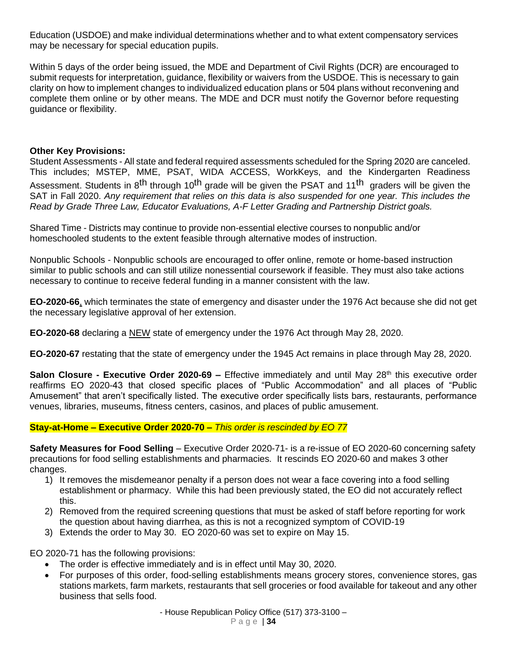Education (USDOE) and make individual determinations whether and to what extent compensatory services may be necessary for special education pupils.

Within 5 days of the order being issued, the MDE and Department of Civil Rights (DCR) are encouraged to submit requests for interpretation, guidance, flexibility or waivers from the USDOE. This is necessary to gain clarity on how to implement changes to individualized education plans or 504 plans without reconvening and complete them online or by other means. The MDE and DCR must notify the Governor before requesting guidance or flexibility.

### **Other Key Provisions:**

Student Assessments - All state and federal required assessments scheduled for the Spring 2020 are canceled. This includes; MSTEP, MME, PSAT, WIDA ACCESS, WorkKeys, and the Kindergarten Readiness Assessment. Students in 8<sup>th</sup> through 10<sup>th</sup> grade will be given the PSAT and 11<sup>th</sup> graders will be given the SAT in Fall 2020. *Any requirement that relies on this data is also suspended for one year. This includes the Read by Grade Three Law, Educator Evaluations, A-F Letter Grading and Partnership District goals.*

Shared Time - Districts may continue to provide non-essential elective courses to nonpublic and/or homeschooled students to the extent feasible through alternative modes of instruction.

Nonpublic Schools - Nonpublic schools are encouraged to offer online, remote or home-based instruction similar to public schools and can still utilize nonessential coursework if feasible. They must also take actions necessary to continue to receive federal funding in a manner consistent with the law.

**EO-2020-66**, which terminates the state of emergency and disaster under the 1976 Act because she did not get the necessary legislative approval of her extension.

**EO-2020-68** declaring a NEW state of emergency under the 1976 Act through May 28, 2020.

**EO-2020-67** restating that the state of emergency under the 1945 Act remains in place through May 28, 2020.

**Salon Closure - Executive Order 2020-69 – Effective immediately and until May 28<sup>th</sup> this executive order** reaffirms EO 2020-43 that closed specific places of "Public Accommodation" and all places of "Public Amusement" that aren't specifically listed. The executive order specifically lists bars, restaurants, performance venues, libraries, museums, fitness centers, casinos, and places of public amusement.

# **Stay-at-Home – Executive Order 2020-70 –** *This order is rescinded by EO 77*

**Safety Measures for Food Selling** – Executive Order 2020-71- is a re-issue of EO 2020-60 concerning safety precautions for food selling establishments and pharmacies. It rescinds EO 2020-60 and makes 3 other changes.

- 1) It removes the misdemeanor penalty if a person does not wear a face covering into a food selling establishment or pharmacy. While this had been previously stated, the EO did not accurately reflect this.
- 2) Removed from the required screening questions that must be asked of staff before reporting for work the question about having diarrhea, as this is not a recognized symptom of COVID-19
- 3) Extends the order to May 30. EO 2020-60 was set to expire on May 15.

EO 2020-71 has the following provisions:

- The order is effective immediately and is in effect until May 30, 2020.
- For purposes of this order, food-selling establishments means grocery stores, convenience stores, gas stations markets, farm markets, restaurants that sell groceries or food available for takeout and any other business that sells food.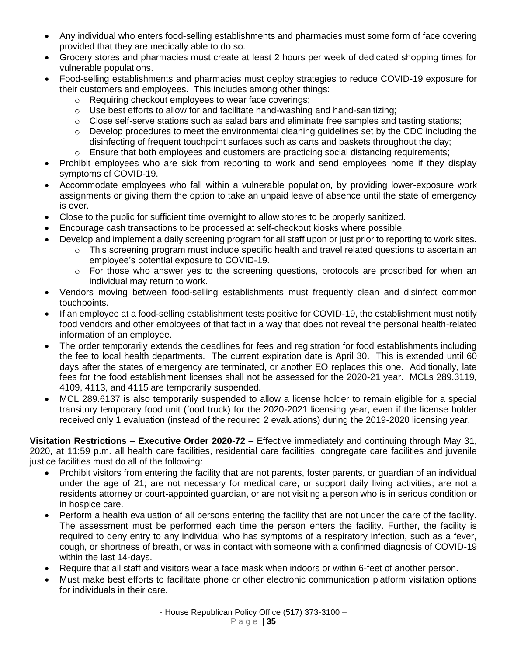- Any individual who enters food-selling establishments and pharmacies must some form of face covering provided that they are medically able to do so.
- Grocery stores and pharmacies must create at least 2 hours per week of dedicated shopping times for vulnerable populations.
- Food-selling establishments and pharmacies must deploy strategies to reduce COVID-19 exposure for their customers and employees. This includes among other things:
	- o Requiring checkout employees to wear face coverings;
	- $\circ$  Use best efforts to allow for and facilitate hand-washing and hand-sanitizing:
	- $\circ$  Close self-serve stations such as salad bars and eliminate free samples and tasting stations;
	- $\circ$  Develop procedures to meet the environmental cleaning quidelines set by the CDC including the disinfecting of frequent touchpoint surfaces such as carts and baskets throughout the day;
	- $\circ$  Ensure that both employees and customers are practicing social distancing requirements;
- Prohibit employees who are sick from reporting to work and send employees home if they display symptoms of COVID-19.
- Accommodate employees who fall within a vulnerable population, by providing lower-exposure work assignments or giving them the option to take an unpaid leave of absence until the state of emergency is over.
- Close to the public for sufficient time overnight to allow stores to be properly sanitized.
- Encourage cash transactions to be processed at self-checkout kiosks where possible.
- Develop and implement a daily screening program for all staff upon or just prior to reporting to work sites.
	- $\circ$  This screening program must include specific health and travel related questions to ascertain an employee's potential exposure to COVID-19.
	- $\circ$  For those who answer yes to the screening questions, protocols are proscribed for when an individual may return to work.
- Vendors moving between food-selling establishments must frequently clean and disinfect common touchpoints.
- If an employee at a food-selling establishment tests positive for COVID-19, the establishment must notify food vendors and other employees of that fact in a way that does not reveal the personal health-related information of an employee.
- The order temporarily extends the deadlines for fees and registration for food establishments including the fee to local health departments. The current expiration date is April 30. This is extended until 60 days after the states of emergency are terminated, or another EO replaces this one. Additionally, late fees for the food establishment licenses shall not be assessed for the 2020-21 year. MCLs 289.3119, 4109, 4113, and 4115 are temporarily suspended.
- MCL 289.6137 is also temporarily suspended to allow a license holder to remain eligible for a special transitory temporary food unit (food truck) for the 2020-2021 licensing year, even if the license holder received only 1 evaluation (instead of the required 2 evaluations) during the 2019-2020 licensing year.

**Visitation Restrictions – Executive Order 2020-72** – Effective immediately and continuing through May 31, 2020, at 11:59 p.m. all health care facilities, residential care facilities, congregate care facilities and juvenile justice facilities must do all of the following:

- Prohibit visitors from entering the facility that are not parents, foster parents, or guardian of an individual under the age of 21; are not necessary for medical care, or support daily living activities; are not a residents attorney or court-appointed guardian, or are not visiting a person who is in serious condition or in hospice care.
- Perform a health evaluation of all persons entering the facility that are not under the care of the facility. The assessment must be performed each time the person enters the facility. Further, the facility is required to deny entry to any individual who has symptoms of a respiratory infection, such as a fever, cough, or shortness of breath, or was in contact with someone with a confirmed diagnosis of COVID-19 within the last 14-days.
- Require that all staff and visitors wear a face mask when indoors or within 6-feet of another person.
- Must make best efforts to facilitate phone or other electronic communication platform visitation options for individuals in their care.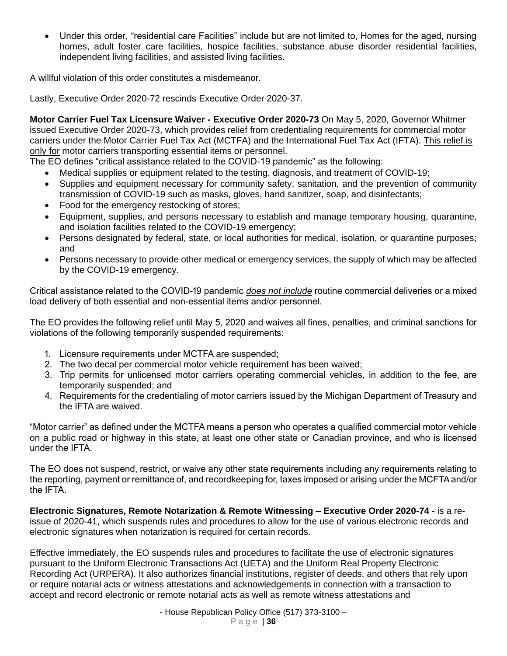• Under this order, "residential care Facilities" include but are not limited to, Homes for the aged, nursing homes, adult foster care facilities, hospice facilities, substance abuse disorder residential facilities, independent living facilities, and assisted living facilities.

A willful violation of this order constitutes a misdemeanor.

Lastly, Executive Order 2020-72 rescinds Executive Order 2020-37.

**Motor Carrier Fuel Tax Licensure Waiver - Executive Order 2020-73** On May 5, 2020, Governor Whitmer issued Executive Order 2020-73, which provides relief from credentialing requirements for commercial motor carriers under the Motor Carrier Fuel Tax Act (MCTFA) and the International Fuel Tax Act (IFTA). This relief is only for motor carriers transporting essential items or personnel.

The EO defines "critical assistance related to the COVID-19 pandemic" as the following:

- Medical supplies or equipment related to the testing, diagnosis, and treatment of COVID-19;
- Supplies and equipment necessary for community safety, sanitation, and the prevention of community transmission of COVID-19 such as masks, gloves, hand sanitizer, soap, and disinfectants;
- Food for the emergency restocking of stores;
- Equipment, supplies, and persons necessary to establish and manage temporary housing, quarantine, and isolation facilities related to the COVID-19 emergency;
- Persons designated by federal, state, or local authorities for medical, isolation, or quarantine purposes; and
- Persons necessary to provide other medical or emergency services, the supply of which may be affected by the COVID-19 emergency.

Critical assistance related to the COVID-19 pandemic *does not include* routine commercial deliveries or a mixed load delivery of both essential and non-essential items and/or personnel.

The EO provides the following relief until May 5, 2020 and waives all fines, penalties, and criminal sanctions for violations of the following temporarily suspended requirements:

- 1. Licensure requirements under MCTFA are suspended;
- 2. The two decal per commercial motor vehicle requirement has been waived;
- 3. Trip permits for unlicensed motor carriers operating commercial vehicles, in addition to the fee, are temporarily suspended; and
- 4. Requirements for the credentialing of motor carriers issued by the Michigan Department of Treasury and the IFTA are waived.

"Motor carrier" as defined under the MCTFA means a person who operates a qualified commercial motor vehicle on a public road or highway in this state, at least one other state or Canadian province, and who is licensed under the IFTA.

The EO does not suspend, restrict, or waive any other state requirements including any requirements relating to the reporting, payment or remittance of, and recordkeeping for, taxes imposed or arising under the MCFTA and/or the IFTA.

**Electronic Signatures, Remote Notarization & Remote Witnessing – Executive Order 2020-74 -** is a reissue of 2020-41, which suspends rules and procedures to allow for the use of various electronic records and electronic signatures when notarization is required for certain records.

Effective immediately, the EO suspends rules and procedures to facilitate the use of electronic signatures pursuant to the Uniform Electronic Transactions Act (UETA) and the Uniform Real Property Electronic Recording Act (URPERA). It also authorizes financial institutions, register of deeds, and others that rely upon or require notarial acts or witness attestations and acknowledgements in connection with a transaction to accept and record electronic or remote notarial acts as well as remote witness attestations and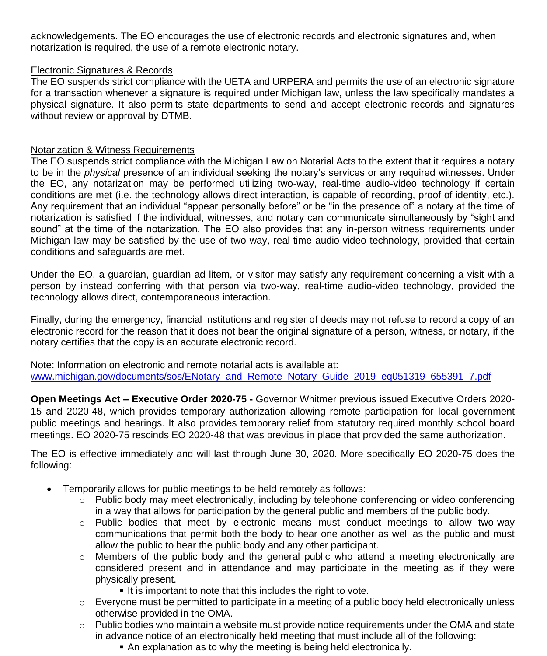acknowledgements. The EO encourages the use of electronic records and electronic signatures and, when notarization is required, the use of a remote electronic notary.

## Electronic Signatures & Records

The EO suspends strict compliance with the UETA and URPERA and permits the use of an electronic signature for a transaction whenever a signature is required under Michigan law, unless the law specifically mandates a physical signature. It also permits state departments to send and accept electronic records and signatures without review or approval by DTMB.

### Notarization & Witness Requirements

The EO suspends strict compliance with the Michigan Law on Notarial Acts to the extent that it requires a notary to be in the *physical* presence of an individual seeking the notary's services or any required witnesses. Under the EO, any notarization may be performed utilizing two-way, real-time audio-video technology if certain conditions are met (i.e. the technology allows direct interaction, is capable of recording, proof of identity, etc.). Any requirement that an individual "appear personally before" or be "in the presence of" a notary at the time of notarization is satisfied if the individual, witnesses, and notary can communicate simultaneously by "sight and sound" at the time of the notarization. The EO also provides that any in-person witness requirements under Michigan law may be satisfied by the use of two-way, real-time audio-video technology, provided that certain conditions and safeguards are met.

Under the EO, a guardian, guardian ad litem, or visitor may satisfy any requirement concerning a visit with a person by instead conferring with that person via two-way, real-time audio-video technology, provided the technology allows direct, contemporaneous interaction.

Finally, during the emergency, financial institutions and register of deeds may not refuse to record a copy of an electronic record for the reason that it does not bear the original signature of a person, witness, or notary, if the notary certifies that the copy is an accurate electronic record.

Note: Information on electronic and remote notarial acts is available at: www.michigan.gov/documents/sos/ENotary\_and\_Remote\_Notary\_Guide\_2019\_eq051319\_655391\_7.pdf

**Open Meetings Act – Executive Order 2020-75 -** Governor Whitmer previous issued Executive Orders 2020- 15 and 2020-48, which provides temporary authorization allowing remote participation for local government public meetings and hearings. It also provides temporary relief from statutory required monthly school board meetings. EO 2020-75 rescinds EO 2020-48 that was previous in place that provided the same authorization.

The EO is effective immediately and will last through June 30, 2020. More specifically EO 2020-75 does the following:

- Temporarily allows for public meetings to be held remotely as follows:
	- o Public body may meet electronically, including by telephone conferencing or video conferencing in a way that allows for participation by the general public and members of the public body.
	- $\circ$  Public bodies that meet by electronic means must conduct meetings to allow two-way communications that permit both the body to hear one another as well as the public and must allow the public to hear the public body and any other participant.
	- $\circ$  Members of the public body and the general public who attend a meeting electronically are considered present and in attendance and may participate in the meeting as if they were physically present.
		- **.** It is important to note that this includes the right to vote.
	- $\circ$  Everyone must be permitted to participate in a meeting of a public body held electronically unless otherwise provided in the OMA.
	- $\circ$  Public bodies who maintain a website must provide notice requirements under the OMA and state in advance notice of an electronically held meeting that must include all of the following:
		- An explanation as to why the meeting is being held electronically.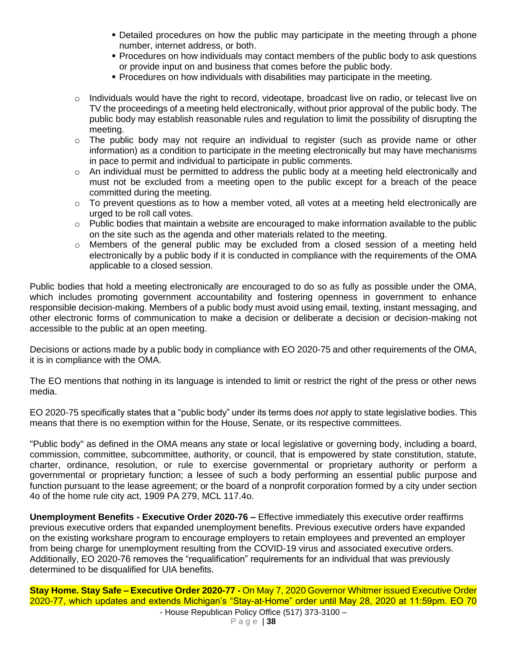- **Detailed procedures on how the public may participate in the meeting through a phone** number, internet address, or both.
- **Procedures on how individuals may contact members of the public body to ask questions** or provide input on and business that comes before the public body.
- Procedures on how individuals with disabilities may participate in the meeting.
- $\circ$  Individuals would have the right to record, videotape, broadcast live on radio, or telecast live on TV the proceedings of a meeting held electronically, without prior approval of the public body. The public body may establish reasonable rules and regulation to limit the possibility of disrupting the meeting.
- $\circ$  The public body may not require an individual to register (such as provide name or other information) as a condition to participate in the meeting electronically but may have mechanisms in pace to permit and individual to participate in public comments.
- o An individual must be permitted to address the public body at a meeting held electronically and must not be excluded from a meeting open to the public except for a breach of the peace committed during the meeting.
- $\circ$  To prevent questions as to how a member voted, all votes at a meeting held electronically are urged to be roll call votes.
- o Public bodies that maintain a website are encouraged to make information available to the public on the site such as the agenda and other materials related to the meeting.
- $\circ$  Members of the general public may be excluded from a closed session of a meeting held electronically by a public body if it is conducted in compliance with the requirements of the OMA applicable to a closed session.

Public bodies that hold a meeting electronically are encouraged to do so as fully as possible under the OMA, which includes promoting government accountability and fostering openness in government to enhance responsible decision-making. Members of a public body must avoid using email, texting, instant messaging, and other electronic forms of communication to make a decision or deliberate a decision or decision-making not accessible to the public at an open meeting.

Decisions or actions made by a public body in compliance with EO 2020-75 and other requirements of the OMA, it is in compliance with the OMA.

The EO mentions that nothing in its language is intended to limit or restrict the right of the press or other news media.

EO 2020-75 specifically states that a "public body" under its terms does *not* apply to state legislative bodies. This means that there is no exemption within for the House, Senate, or its respective committees.

"Public body" as defined in the OMA means any state or local legislative or governing body, including a board, commission, committee, subcommittee, authority, or council, that is empowered by state constitution, statute, charter, ordinance, resolution, or rule to exercise governmental or proprietary authority or perform a governmental or proprietary function; a lessee of such a body performing an essential public purpose and function pursuant to the lease agreement; or the board of a nonprofit corporation formed by a city under section 4o of the home rule city act, 1909 PA 279, MCL 117.4o.

**Unemployment Benefits - Executive Order 2020-76 –** Effective immediately this executive order reaffirms previous executive orders that expanded unemployment benefits. Previous executive orders have expanded on the existing workshare program to encourage employers to retain employees and prevented an employer from being charge for unemployment resulting from the COVID-19 virus and associated executive orders. Additionally, EO 2020-76 removes the "requalification" requirements for an individual that was previously determined to be disqualified for UIA benefits.

**Stay Home. Stay Safe – Executive Order 2020-77 -** On May 7, 2020 Governor Whitmer issued Executive Order 2020-77, which updates and extends Michigan's "Stay-at-Home" order until May 28, 2020 at 11:59pm. EO 70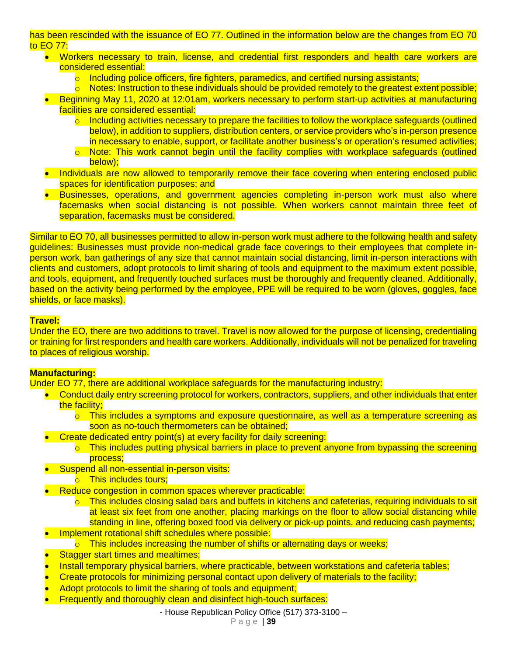has been rescinded with the issuance of EO 77. Outlined in the information below are the changes from EO 70 to EO 77:

- Workers necessary to train, license, and credential first responders and health care workers are considered essential:
	- $\circ$  Including police officers, fire fighters, paramedics, and certified nursing assistants;
	- $\circ$  Notes: Instruction to these individuals should be provided remotely to the greatest extent possible;
- Beginning May 11, 2020 at 12:01am, workers necessary to perform start-up activities at manufacturing facilities are considered essential:
	- o Including activities necessary to prepare the facilities to follow the workplace safeguards (outlined below), in addition to suppliers, distribution centers, or service providers who's in-person presence in necessary to enable, support, or facilitate another business's or operation's resumed activities;
	- o Note: This work cannot begin until the facility complies with workplace safeguards (outlined below);
- Individuals are now allowed to temporarily remove their face covering when entering enclosed public spaces for identification purposes; and
- Businesses, operations, and government agencies completing in-person work must also where facemasks when social distancing is not possible. When workers cannot maintain three feet of separation, facemasks must be considered.

Similar to EO 70, all businesses permitted to allow in-person work must adhere to the following health and safety guidelines: Businesses must provide non-medical grade face coverings to their employees that complete inperson work, ban gatherings of any size that cannot maintain social distancing, limit in-person interactions with clients and customers, adopt protocols to limit sharing of tools and equipment to the maximum extent possible, and tools, equipment, and frequently touched surfaces must be thoroughly and frequently cleaned. Additionally, based on the activity being performed by the employee, PPE will be required to be worn (gloves, goggles, face shields, or face masks).

### **Travel:**

Under the EO, there are two additions to travel. Travel is now allowed for the purpose of licensing, credentialing or training for first responders and health care workers. Additionally, individuals will not be penalized for traveling to places of religious worship.

### **Manufacturing:**

Under EO 77, there are additional workplace safeguards for the manufacturing industry:

- Conduct daily entry screening protocol for workers, contractors, suppliers, and other individuals that enter the facility;
	- $\circ$  This includes a symptoms and exposure questionnaire, as well as a temperature screening as soon as no-touch thermometers can be obtained;
- Create dedicated entry point(s) at every facility for daily screening:
	- o This includes putting physical barriers in place to prevent anyone from bypassing the screening process;
- Suspend all non-essential in-person visits:
	- o This includes tours:
- Reduce congestion in common spaces wherever practicable:
	- o This includes closing salad bars and buffets in kitchens and cafeterias, requiring individuals to sit at least six feet from one another, placing markings on the floor to allow social distancing while standing in line, offering boxed food via delivery or pick-up points, and reducing cash payments;
- Implement rotational shift schedules where possible:
	- $\circ$  This includes increasing the number of shifts or alternating days or weeks;
- **Stagger start times and mealtimes;**
- Install temporary physical barriers, where practicable, between workstations and cafeteria tables;
- Create protocols for minimizing personal contact upon delivery of materials to the facility;
- Adopt protocols to limit the sharing of tools and equipment;
- Frequently and thoroughly clean and disinfect high-touch surfaces: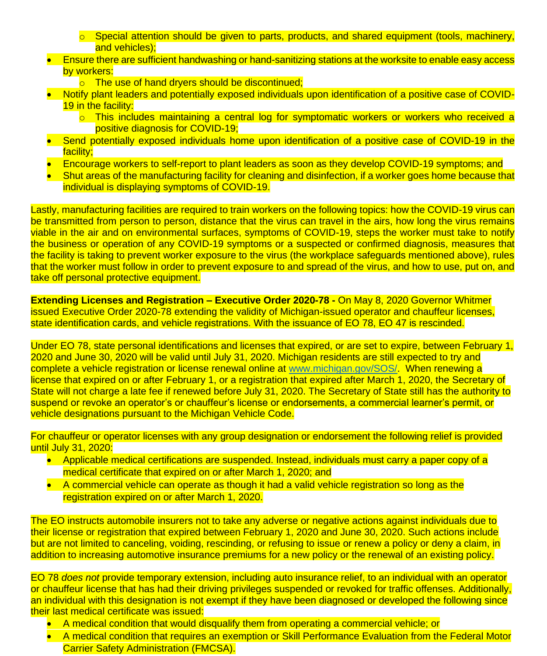- $\circ$  Special attention should be given to parts, products, and shared equipment (tools, machinery, and vehicles);
- Ensure there are sufficient handwashing or hand-sanitizing stations at the worksite to enable easy access by workers:
	- o The use of hand dryers should be discontinued;
- Notify plant leaders and potentially exposed individuals upon identification of a positive case of COVID-19 in the facility:
	- o This includes maintaining a central log for symptomatic workers or workers who received a positive diagnosis for COVID-19;
- Send potentially exposed individuals home upon identification of a positive case of COVID-19 in the facility;
- Encourage workers to self-report to plant leaders as soon as they develop COVID-19 symptoms; and
- Shut areas of the manufacturing facility for cleaning and disinfection, if a worker goes home because that individual is displaying symptoms of COVID-19.

Lastly, manufacturing facilities are required to train workers on the following topics: how the COVID-19 virus can be transmitted from person to person, distance that the virus can travel in the airs, how long the virus remains viable in the air and on environmental surfaces, symptoms of COVID-19, steps the worker must take to notify the business or operation of any COVID-19 symptoms or a suspected or confirmed diagnosis, measures that the facility is taking to prevent worker exposure to the virus (the workplace safeguards mentioned above), rules that the worker must follow in order to prevent exposure to and spread of the virus, and how to use, put on, and take off personal protective equipment.

**Extending Licenses and Registration – Executive Order 2020-78 -** On May 8, 2020 Governor Whitmer issued Executive Order 2020-78 extending the validity of Michigan-issued operator and chauffeur licenses, state identification cards, and vehicle registrations. With the issuance of EO 78, EO 47 is rescinded.

Under EO 78, state personal identifications and licenses that expired, or are set to expire, between February 1, 2020 and June 30, 2020 will be valid until July 31, 2020. Michigan residents are still expected to try and complete a vehicle registration or license renewal online at www.michigan.gov/SOS/. When renewing a license that expired on or after February 1, or a registration that expired after March 1, 2020, the Secretary of State will not charge a late fee if renewed before July 31, 2020. The Secretary of State still has the authority to suspend or revoke an operator's or chauffeur's license or endorsements, a commercial learner's permit, or vehicle designations pursuant to the Michigan Vehicle Code.

For chauffeur or operator licenses with any group designation or endorsement the following relief is provided until July 31, 2020:

- Applicable medical certifications are suspended. Instead, individuals must carry a paper copy of a medical certificate that expired on or after March 1, 2020; and
- A commercial vehicle can operate as though it had a valid vehicle registration so long as the registration expired on or after March 1, 2020.

The EO instructs automobile insurers not to take any adverse or negative actions against individuals due to their license or registration that expired between February 1, 2020 and June 30, 2020. Such actions include but are not limited to canceling, voiding, rescinding, or refusing to issue or renew a policy or deny a claim, in addition to increasing automotive insurance premiums for a new policy or the renewal of an existing policy.

EO 78 *does not* provide temporary extension, including auto insurance relief, to an individual with an operator or chauffeur license that has had their driving privileges suspended or revoked for traffic offenses. Additionally, an individual with this designation is not exempt if they have been diagnosed or developed the following since their last medical certificate was issued:

- A medical condition that would disqualify them from operating a commercial vehicle; or
- A medical condition that requires an exemption or Skill Performance Evaluation from the Federal Motor Carrier Safety Administration (FMCSA).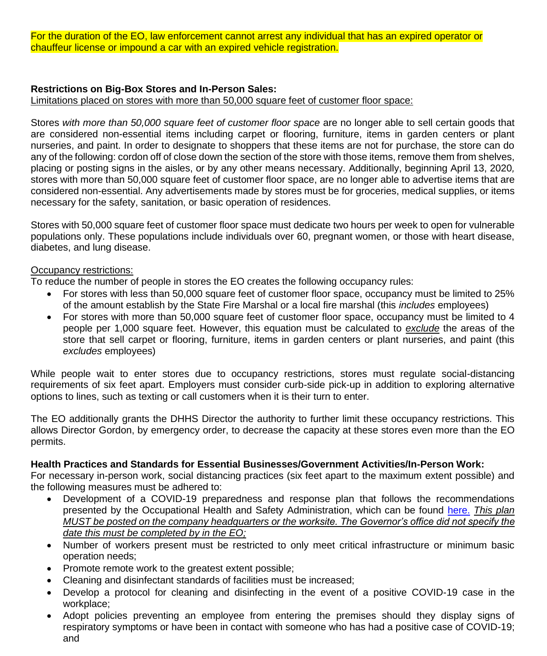For the duration of the EO, law enforcement cannot arrest any individual that has an expired operator or chauffeur license or impound a car with an expired vehicle registration.

### **Restrictions on Big-Box Stores and In-Person Sales:**

Limitations placed on stores with more than 50,000 square feet of customer floor space:

Stores *with more than 50,000 square feet of customer floor space* are no longer able to sell certain goods that are considered non-essential items including carpet or flooring, furniture, items in garden centers or plant nurseries, and paint. In order to designate to shoppers that these items are not for purchase, the store can do any of the following: cordon off of close down the section of the store with those items, remove them from shelves, placing or posting signs in the aisles, or by any other means necessary. Additionally, beginning April 13, 2020*,*  stores with more than 50,000 square feet of customer floor space, are no longer able to advertise items that are considered non-essential. Any advertisements made by stores must be for groceries, medical supplies, or items necessary for the safety, sanitation, or basic operation of residences.

Stores with 50,000 square feet of customer floor space must dedicate two hours per week to open for vulnerable populations only. These populations include individuals over 60, pregnant women, or those with heart disease, diabetes, and lung disease.

#### **Occupancy restrictions:**

To reduce the number of people in stores the EO creates the following occupancy rules:

- For stores with less than 50,000 square feet of customer floor space, occupancy must be limited to 25% of the amount establish by the State Fire Marshal or a local fire marshal (this *includes* employees)
- For stores with more than 50,000 square feet of customer floor space, occupancy must be limited to 4 people per 1,000 square feet. However, this equation must be calculated to *exclude* the areas of the store that sell carpet or flooring, furniture, items in garden centers or plant nurseries, and paint (this *excludes* employees)

While people wait to enter stores due to occupancy restrictions, stores must regulate social-distancing requirements of six feet apart. Employers must consider curb-side pick-up in addition to exploring alternative options to lines, such as texting or call customers when it is their turn to enter.

The EO additionally grants the DHHS Director the authority to further limit these occupancy restrictions. This allows Director Gordon, by emergency order, to decrease the capacity at these stores even more than the EO permits.

#### **Health Practices and Standards for Essential Businesses/Government Activities/In-Person Work:**

For necessary in-person work, social distancing practices (six feet apart to the maximum extent possible) and the following measures must be adhered to:

- Development of a COVID-19 preparedness and response plan that follows the recommendations presented by the Occupational Health and Safety Administration, which can be found here. *This plan MUST be posted on the company headquarters or the worksite. The Governor's office did not specify the date this must be completed by in the EO;*
- Number of workers present must be restricted to only meet critical infrastructure or minimum basic operation needs;
- Promote remote work to the greatest extent possible;
- Cleaning and disinfectant standards of facilities must be increased;
- Develop a protocol for cleaning and disinfecting in the event of a positive COVID-19 case in the workplace;
- Adopt policies preventing an employee from entering the premises should they display signs of respiratory symptoms or have been in contact with someone who has had a positive case of COVID-19; and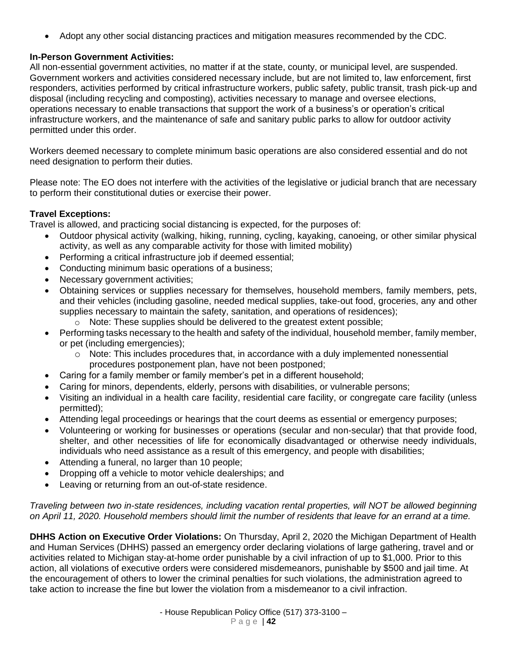• Adopt any other social distancing practices and mitigation measures recommended by the CDC.

# **In-Person Government Activities:**

All non-essential government activities, no matter if at the state, county, or municipal level, are suspended. Government workers and activities considered necessary include, but are not limited to, law enforcement, first responders, activities performed by critical infrastructure workers, public safety, public transit, trash pick-up and disposal (including recycling and composting), activities necessary to manage and oversee elections, operations necessary to enable transactions that support the work of a business's or operation's critical infrastructure workers, and the maintenance of safe and sanitary public parks to allow for outdoor activity permitted under this order.

Workers deemed necessary to complete minimum basic operations are also considered essential and do not need designation to perform their duties.

Please note: The EO does not interfere with the activities of the legislative or judicial branch that are necessary to perform their constitutional duties or exercise their power.

## **Travel Exceptions:**

Travel is allowed, and practicing social distancing is expected, for the purposes of:

- Outdoor physical activity (walking, hiking, running, cycling, kayaking, canoeing, or other similar physical activity, as well as any comparable activity for those with limited mobility)
- Performing a critical infrastructure job if deemed essential;
- Conducting minimum basic operations of a business;
- Necessary government activities;
- Obtaining services or supplies necessary for themselves, household members, family members, pets, and their vehicles (including gasoline, needed medical supplies, take-out food, groceries, any and other supplies necessary to maintain the safety, sanitation, and operations of residences);
	- $\circ$  Note: These supplies should be delivered to the greatest extent possible;
- Performing tasks necessary to the health and safety of the individual, household member, family member, or pet (including emergencies);
	- $\circ$  Note: This includes procedures that, in accordance with a duly implemented nonessential procedures postponement plan, have not been postponed;
- Caring for a family member or family member's pet in a different household;
- Caring for minors, dependents, elderly, persons with disabilities, or vulnerable persons;
- Visiting an individual in a health care facility, residential care facility, or congregate care facility (unless permitted);
- Attending legal proceedings or hearings that the court deems as essential or emergency purposes;
- Volunteering or working for businesses or operations (secular and non-secular) that that provide food, shelter, and other necessities of life for economically disadvantaged or otherwise needy individuals, individuals who need assistance as a result of this emergency, and people with disabilities;
- Attending a funeral, no larger than 10 people;
- Dropping off a vehicle to motor vehicle dealerships; and
- Leaving or returning from an out-of-state residence.

*Traveling between two in-state residences, including vacation rental properties, will NOT be allowed beginning on April 11, 2020. Household members should limit the number of residents that leave for an errand at a time.* 

**DHHS Action on Executive Order Violations:** On Thursday, April 2, 2020 the Michigan Department of Health and Human Services (DHHS) passed an emergency order declaring violations of large gathering, travel and or activities related to Michigan stay-at-home order punishable by a civil infraction of up to \$1,000. Prior to this action, all violations of executive orders were considered misdemeanors, punishable by \$500 and jail time. At the encouragement of others to lower the criminal penalties for such violations, the administration agreed to take action to increase the fine but lower the violation from a misdemeanor to a civil infraction.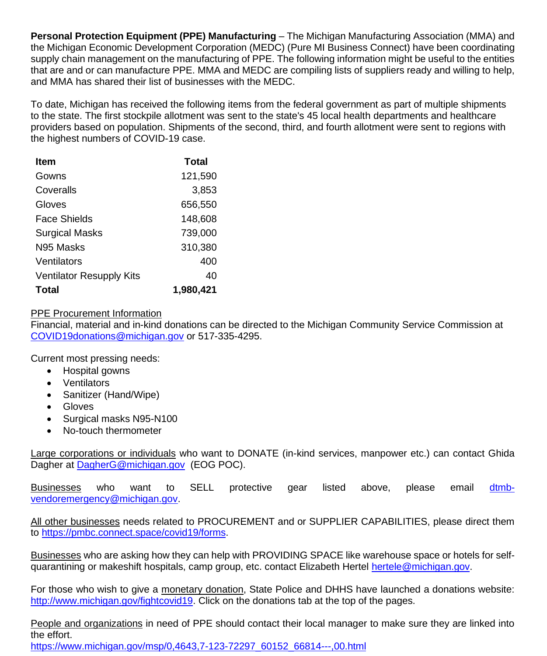**Personal Protection Equipment (PPE) Manufacturing** – The Michigan Manufacturing Association (MMA) and the Michigan Economic Development Corporation (MEDC) (Pure MI Business Connect) have been coordinating supply chain management on the manufacturing of PPE. The following information might be useful to the entities that are and or can manufacture PPE. MMA and MEDC are compiling lists of suppliers ready and willing to help, and MMA has shared their list of businesses with the MEDC.

To date, Michigan has received the following items from the federal government as part of multiple shipments to the state. The first stockpile allotment was sent to the state's 45 local health departments and healthcare providers based on population. Shipments of the second, third, and fourth allotment were sent to regions with the highest numbers of COVID-19 case.

| Item                            | Total     |
|---------------------------------|-----------|
| Gowns                           | 121,590   |
| Coveralls                       | 3,853     |
| Gloves                          | 656,550   |
| Face Shields                    | 148,608   |
| <b>Surgical Masks</b>           | 739,000   |
| N95 Masks                       | 310,380   |
| Ventilators                     | 400       |
| <b>Ventilator Resupply Kits</b> | 40        |
| Total                           | 1,980,421 |

### PPE Procurement Information

Financial, material and in-kind donations can be directed to the Michigan Community Service Commission at COVID19donations@michigan.gov or 517-335-4295.

Current most pressing needs:

- Hospital gowns
- Ventilators
- Sanitizer (Hand/Wipe)
- Gloves
- Surgical masks N95-N100
- No-touch thermometer

Large corporations or individuals who want to DONATE (in-kind services, manpower etc.) can contact Ghida Dagher at DagherG@michigan.gov (EOG POC).

<u>Businesses</u> who want to SELL protective gear listed above, please email <u>dtmb-</u> vendoremergency@michigan.gov.

All other businesses needs related to PROCUREMENT and or SUPPLIER CAPABILITIES, please direct them to https://pmbc.connect.space/covid19/forms.

Businesses who are asking how they can help with PROVIDING SPACE like warehouse space or hotels for selfquarantining or makeshift hospitals, camp group, etc. contact Elizabeth Hertel hertele@michigan.gov.

For those who wish to give a monetary donation, State Police and DHHS have launched a donations website: http://www.michigan.gov/fightcovid19. Click on the donations tab at the top of the pages.

People and organizations in need of PPE should contact their local manager to make sure they are linked into the effort.

https://www.michigan.gov/msp/0,4643,7-123-72297\_60152\_66814---,00.html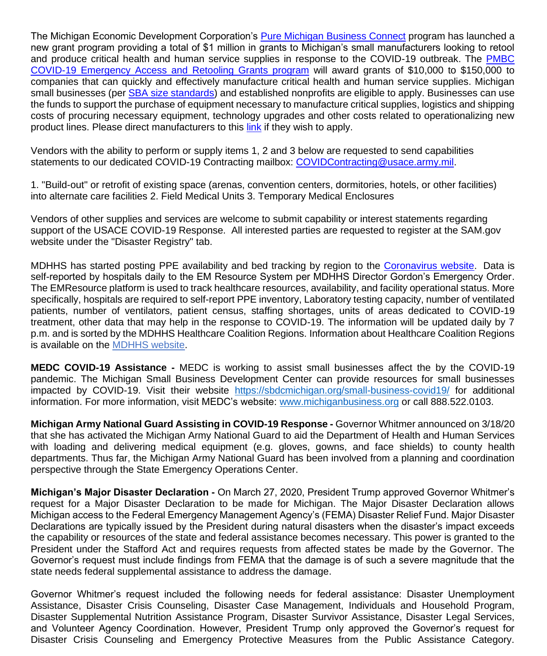The Michigan Economic Development Corporation's Pure Michigan Business Connect program has launched a new grant program providing a total of \$1 million in grants to Michigan's small manufacturers looking to retool and produce critical health and human service supplies in response to the COVID-19 outbreak. The PMBC COVID-19 Emergency Access and Retooling Grants program will award grants of \$10,000 to \$150,000 to companies that can quickly and effectively manufacture critical health and human service supplies. Michigan small businesses (per SBA size standards) and established nonprofits are eligible to apply. Businesses can use the funds to support the purchase of equipment necessary to manufacture critical supplies, logistics and shipping costs of procuring necessary equipment, technology upgrades and other costs related to operationalizing new product lines. Please direct manufacturers to this link if they wish to apply.

Vendors with the ability to perform or supply items 1, 2 and 3 below are requested to send capabilities statements to our dedicated COVID-19 Contracting mailbox: COVIDContracting@usace.army.mil.

1. "Build-out" or retrofit of existing space (arenas, convention centers, dormitories, hotels, or other facilities) into alternate care facilities 2. Field Medical Units 3. Temporary Medical Enclosures

Vendors of other supplies and services are welcome to submit capability or interest statements regarding support of the USACE COVID-19 Response. All interested parties are requested to register at the SAM.gov website under the "Disaster Registry" tab.

MDHHS has started posting PPE availability and bed tracking by region to the Coronavirus website. Data is self-reported by hospitals daily to the EM Resource System per MDHHS Director Gordon's Emergency Order. The EMResource platform is used to track healthcare resources, availability, and facility operational status. More specifically, hospitals are required to self-report PPE inventory, Laboratory testing capacity, number of ventilated patients, number of ventilators, patient census, staffing shortages, units of areas dedicated to COVID-19 treatment, other data that may help in the response to COVID-19. The information will be updated daily by 7 p.m. and is sorted by the MDHHS Healthcare Coalition Regions. Information about Healthcare Coalition Regions is available on the MDHHS website.

**MEDC COVID-19 Assistance -** MEDC is working to assist small businesses affect the by the COVID-19 pandemic. The Michigan Small Business Development Center can provide resources for small businesses impacted by COVID-19. Visit their website https://sbdcmichigan.org/small-business-covid19/ for additional information. For more information, visit MEDC's website: www.michiganbusiness.org or call 888.522.0103.

**Michigan Army National Guard Assisting in COVID-19 Response -** Governor Whitmer announced on 3/18/20 that she has activated the Michigan Army National Guard to aid the Department of Health and Human Services with loading and delivering medical equipment (e.g. gloves, gowns, and face shields) to county health departments. Thus far, the Michigan Army National Guard has been involved from a planning and coordination perspective through the State Emergency Operations Center.

**Michigan's Major Disaster Declaration -** On March 27, 2020, President Trump approved Governor Whitmer's request for a Major Disaster Declaration to be made for Michigan. The Major Disaster Declaration allows Michigan access to the Federal Emergency Management Agency's (FEMA) Disaster Relief Fund. Major Disaster Declarations are typically issued by the President during natural disasters when the disaster's impact exceeds the capability or resources of the state and federal assistance becomes necessary. This power is granted to the President under the Stafford Act and requires requests from affected states be made by the Governor. The Governor's request must include findings from FEMA that the damage is of such a severe magnitude that the state needs federal supplemental assistance to address the damage.

Governor Whitmer's request included the following needs for federal assistance: Disaster Unemployment Assistance, Disaster Crisis Counseling, Disaster Case Management, Individuals and Household Program, Disaster Supplemental Nutrition Assistance Program, Disaster Survivor Assistance, Disaster Legal Services, and Volunteer Agency Coordination. However, President Trump only approved the Governor's request for Disaster Crisis Counseling and Emergency Protective Measures from the Public Assistance Category.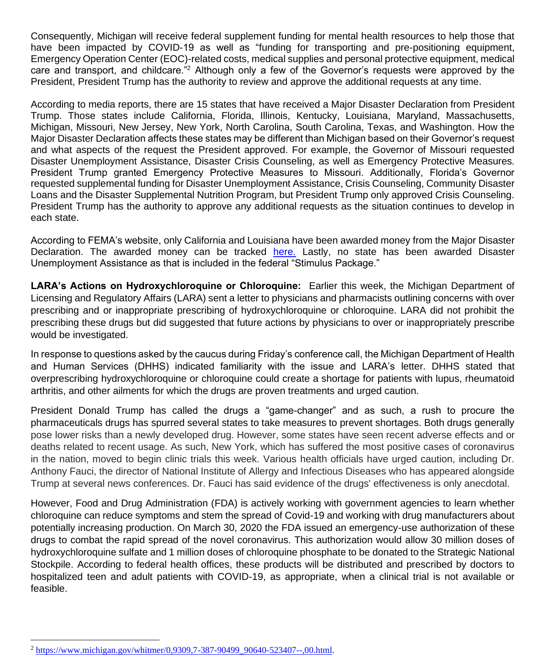Consequently, Michigan will receive federal supplement funding for mental health resources to help those that have been impacted by COVID-19 as well as "funding for transporting and pre-positioning equipment, Emergency Operation Center (EOC)-related costs, medical supplies and personal protective equipment, medical care and transport, and childcare."<sup>2</sup> Although only a few of the Governor's requests were approved by the President, President Trump has the authority to review and approve the additional requests at any time.

According to media reports, there are 15 states that have received a Major Disaster Declaration from President Trump. Those states include California, Florida, Illinois, Kentucky, Louisiana, Maryland, Massachusetts, Michigan, Missouri, New Jersey, New York, North Carolina, South Carolina, Texas, and Washington. How the Major Disaster Declaration affects these states may be different than Michigan based on their Governor's request and what aspects of the request the President approved. For example, the Governor of Missouri requested Disaster Unemployment Assistance, Disaster Crisis Counseling, as well as Emergency Protective Measures. President Trump granted Emergency Protective Measures to Missouri. Additionally, Florida's Governor requested supplemental funding for Disaster Unemployment Assistance, Crisis Counseling, Community Disaster Loans and the Disaster Supplemental Nutrition Program, but President Trump only approved Crisis Counseling. President Trump has the authority to approve any additional requests as the situation continues to develop in each state.

According to FEMA's website, only California and Louisiana have been awarded money from the Major Disaster Declaration. The awarded money can be tracked here. Lastly, no state has been awarded Disaster Unemployment Assistance as that is included in the federal "Stimulus Package."

**LARA's Actions on Hydroxychloroquine or Chloroquine:** Earlier this week, the Michigan Department of Licensing and Regulatory Affairs (LARA) sent a letter to physicians and pharmacists outlining concerns with over prescribing and or inappropriate prescribing of hydroxychloroquine or chloroquine. LARA did not prohibit the prescribing these drugs but did suggested that future actions by physicians to over or inappropriately prescribe would be investigated.

In response to questions asked by the caucus during Friday's conference call, the Michigan Department of Health and Human Services (DHHS) indicated familiarity with the issue and LARA's letter. DHHS stated that overprescribing hydroxychloroquine or chloroquine could create a shortage for patients with lupus, rheumatoid arthritis, and other ailments for which the drugs are proven treatments and urged caution.

President Donald Trump has called the drugs a "game-changer" and as such, a rush to procure the pharmaceuticals drugs has spurred several states to take measures to prevent shortages. Both drugs generally pose lower risks than a newly developed drug. However, some states have seen recent adverse effects and or deaths related to recent usage. As such, New York, which has suffered the most positive cases of coronavirus in the nation, moved to begin clinic trials this week. Various health officials have urged caution, including Dr. Anthony Fauci, the director of National Institute of Allergy and Infectious Diseases who has appeared alongside Trump at several news conferences. Dr. Fauci has said evidence of the drugs' effectiveness is only anecdotal.

However, Food and Drug Administration (FDA) is actively working with government agencies to learn whether chloroquine can reduce symptoms and stem the spread of Covid-19 and working with drug manufacturers about potentially increasing production. On March 30, 2020 the FDA issued an emergency-use authorization of these drugs to combat the rapid spread of the novel coronavirus. This authorization would allow 30 million doses of hydroxychloroquine sulfate and 1 million doses of chloroquine phosphate to be donated to the Strategic National Stockpile. According to federal health offices, these products will be distributed and prescribed by doctors to hospitalized teen and adult patients with COVID-19, as appropriate, when a clinical trial is not available or feasible.

<sup>&</sup>lt;sup>2</sup> https://www.michigan.gov/whitmer/0,9309,7-387-90499\_90640-523407--,00.html.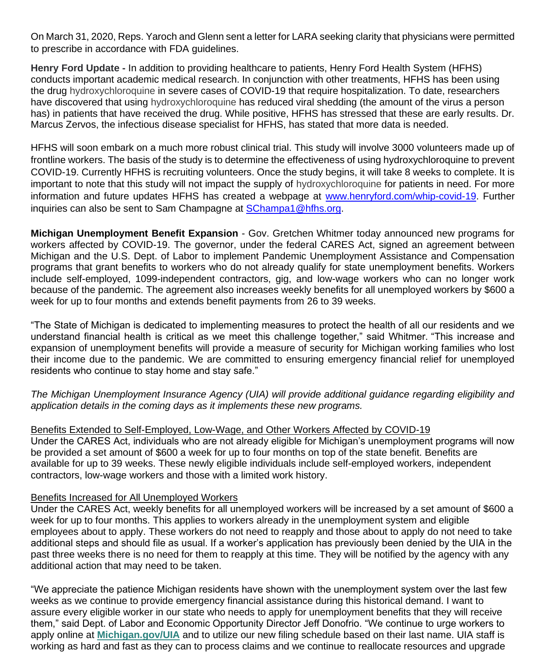On March 31, 2020, Reps. Yaroch and Glenn sent a letter for LARA seeking clarity that physicians were permitted to prescribe in accordance with FDA guidelines.

**Henry Ford Update -** In addition to providing healthcare to patients, Henry Ford Health System (HFHS) conducts important academic medical research. In conjunction with other treatments, HFHS has been using the drug hydroxychloroquine in severe cases of COVID-19 that require hospitalization. To date, researchers have discovered that using hydroxychloroquine has reduced viral shedding (the amount of the virus a person has) in patients that have received the drug. While positive, HFHS has stressed that these are early results. Dr. Marcus Zervos, the infectious disease specialist for HFHS, has stated that more data is needed.

HFHS will soon embark on a much more robust clinical trial. This study will involve 3000 volunteers made up of frontline workers. The basis of the study is to determine the effectiveness of using hydroxychloroquine to prevent COVID-19. Currently HFHS is recruiting volunteers. Once the study begins, it will take 8 weeks to complete. It is important to note that this study will not impact the supply of hydroxychloroquine for patients in need. For more information and future updates HFHS has created a webpage at www.henryford.com/whip-covid-19. Further inquiries can also be sent to Sam Champagne at SChampa1@hfhs.org.

**Michigan Unemployment Benefit Expansion** - Gov. Gretchen Whitmer today announced new programs for workers affected by COVID-19. The governor, under the federal CARES Act, signed an agreement between Michigan and the U.S. Dept. of Labor to implement Pandemic Unemployment Assistance and Compensation programs that grant benefits to workers who do not already qualify for state unemployment benefits. Workers include self-employed, 1099-independent contractors, gig, and low-wage workers who can no longer work because of the pandemic. The agreement also increases weekly benefits for all unemployed workers by \$600 a week for up to four months and extends benefit payments from 26 to 39 weeks.

"The State of Michigan is dedicated to implementing measures to protect the health of all our residents and we understand financial health is critical as we meet this challenge together," said Whitmer. "This increase and expansion of unemployment benefits will provide a measure of security for Michigan working families who lost their income due to the pandemic. We are committed to ensuring emergency financial relief for unemployed residents who continue to stay home and stay safe."

*The Michigan Unemployment Insurance Agency (UIA) will provide additional guidance regarding eligibility and application details in the coming days as it implements these new programs.*

# Benefits Extended to Self-Employed, Low-Wage, and Other Workers Affected by COVID-19

Under the CARES Act, individuals who are not already eligible for Michigan's unemployment programs will now be provided a set amount of \$600 a week for up to four months on top of the state benefit. Benefits are available for up to 39 weeks. These newly eligible individuals include self-employed workers, independent contractors, low-wage workers and those with a limited work history.

### Benefits Increased for All Unemployed Workers

Under the CARES Act, weekly benefits for all unemployed workers will be increased by a set amount of \$600 a week for up to four months. This applies to workers already in the unemployment system and eligible employees about to apply. These workers do not need to reapply and those about to apply do not need to take additional steps and should file as usual. If a worker's application has previously been denied by the UIA in the past three weeks there is no need for them to reapply at this time. They will be notified by the agency with any additional action that may need to be taken.

"We appreciate the patience Michigan residents have shown with the unemployment system over the last few weeks as we continue to provide emergency financial assistance during this historical demand. I want to assure every eligible worker in our state who needs to apply for unemployment benefits that they will receive them," said Dept. of Labor and Economic Opportunity Director Jeff Donofrio. "We continue to urge workers to apply online at **Michigan.gov/UIA** and to utilize our new filing schedule based on their last name. UIA staff is working as hard and fast as they can to process claims and we continue to reallocate resources and upgrade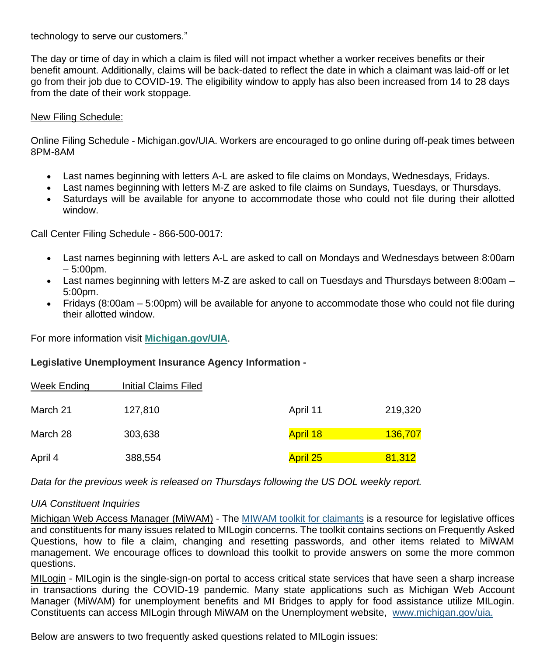technology to serve our customers."

The day or time of day in which a claim is filed will not impact whether a worker receives benefits or their benefit amount. Additionally, claims will be back-dated to reflect the date in which a claimant was laid-off or let go from their job due to COVID-19. The eligibility window to apply has also been increased from 14 to 28 days from the date of their work stoppage.

#### New Filing Schedule:

Online Filing Schedule - Michigan.gov/UIA. Workers are encouraged to go online during off-peak times between 8PM-8AM

- Last names beginning with letters A-L are asked to file claims on Mondays, Wednesdays, Fridays.
- Last names beginning with letters M-Z are asked to file claims on Sundays, Tuesdays, or Thursdays.
- Saturdays will be available for anyone to accommodate those who could not file during their allotted window.

Call Center Filing Schedule - 866-500-0017:

- Last names beginning with letters A-L are asked to call on Mondays and Wednesdays between 8:00am  $-5:00$ pm.
- Last names beginning with letters M-Z are asked to call on Tuesdays and Thursdays between 8:00am 5:00pm.
- Fridays (8:00am 5:00pm) will be available for anyone to accommodate those who could not file during their allotted window.

For more information visit **Michigan.gov/UIA**.

#### **Legislative Unemployment Insurance Agency Information -**

| Week Ending | <b>Initial Claims Filed</b> |                 |         |
|-------------|-----------------------------|-----------------|---------|
| March 21    | 127,810                     | April 11        | 219,320 |
| March 28    | 303,638                     | <b>April 18</b> | 136,707 |
| April 4     | 388,554                     | <b>April 25</b> | 81,312  |

*Data for the previous week is released on Thursdays following the US DOL weekly report.*

### *UIA Constituent Inquiries*

Michigan Web Access Manager (MiWAM) - The MIWAM toolkit for claimants is a resource for legislative offices and constituents for many issues related to MILogin concerns. The toolkit contains sections on Frequently Asked Questions, how to file a claim, changing and resetting passwords, and other items related to MiWAM management. We encourage offices to download this toolkit to provide answers on some the more common questions.

MILogin - MILogin is the single-sign-on portal to access critical state services that have seen a sharp increase in transactions during the COVID-19 pandemic. Many state applications such as Michigan Web Account Manager (MiWAM) for unemployment benefits and MI Bridges to apply for food assistance utilize MILogin. Constituents can access MILogin through MiWAM on the Unemployment website, www.michigan.gov/uia.

Below are answers to two frequently asked questions related to MILogin issues: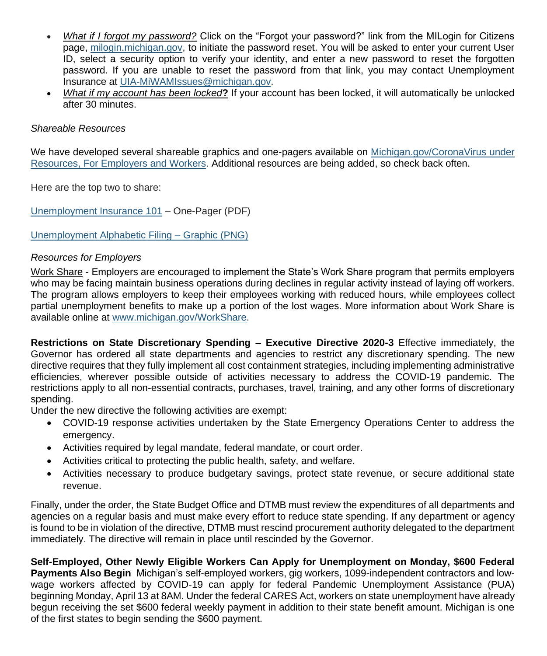- *What if I forgot my password?* Click on the "Forgot your password?" link from the MILogin for Citizens page, milogin.michigan.gov, to initiate the password reset. You will be asked to enter your current User ID, select a security option to verify your identity, and enter a new password to reset the forgotten password. If you are unable to reset the password from that link, you may contact Unemployment Insurance at UIA-MiWAMIssues@michigan.gov.
- *What if my account has been locked***?** If your account has been locked, it will automatically be unlocked after 30 minutes.

### *Shareable Resources*

We have developed several shareable graphics and one-pagers available on Michigan.gov/CoronaVirus under Resources, For Employers and Workers. Additional resources are being added, so check back often.

Here are the top two to share:

Unemployment Insurance 101 – One-Pager (PDF)

Unemployment Alphabetic Filing – Graphic (PNG)

## *Resources for Employers*

Work Share - Employers are encouraged to implement the State's Work Share program that permits employers who may be facing maintain business operations during declines in regular activity instead of laying off workers. The program allows employers to keep their employees working with reduced hours, while employees collect partial unemployment benefits to make up a portion of the lost wages. More information about Work Share is available online at www.michigan.gov/WorkShare.

**Restrictions on State Discretionary Spending – Executive Directive 2020-3** Effective immediately, the Governor has ordered all state departments and agencies to restrict any discretionary spending. The new directive requires that they fully implement all cost containment strategies, including implementing administrative efficiencies, wherever possible outside of activities necessary to address the COVID-19 pandemic. The restrictions apply to all non-essential contracts, purchases, travel, training, and any other forms of discretionary spending.

Under the new directive the following activities are exempt:

- COVID-19 response activities undertaken by the State Emergency Operations Center to address the emergency.
- Activities required by legal mandate, federal mandate, or court order.
- Activities critical to protecting the public health, safety, and welfare.
- Activities necessary to produce budgetary savings, protect state revenue, or secure additional state revenue.

Finally, under the order, the State Budget Office and DTMB must review the expenditures of all departments and agencies on a regular basis and must make every effort to reduce state spending. If any department or agency is found to be in violation of the directive, DTMB must rescind procurement authority delegated to the department immediately. The directive will remain in place until rescinded by the Governor.

**Self-Employed, Other Newly Eligible Workers Can Apply for Unemployment on Monday, \$600 Federal Payments Also Begin** Michigan's self-employed workers, gig workers, 1099-independent contractors and lowwage workers affected by COVID-19 can apply for federal Pandemic Unemployment Assistance (PUA) beginning Monday, April 13 at 8AM. Under the federal CARES Act, workers on state unemployment have already begun receiving the set \$600 federal weekly payment in addition to their state benefit amount. Michigan is one of the first states to begin sending the \$600 payment.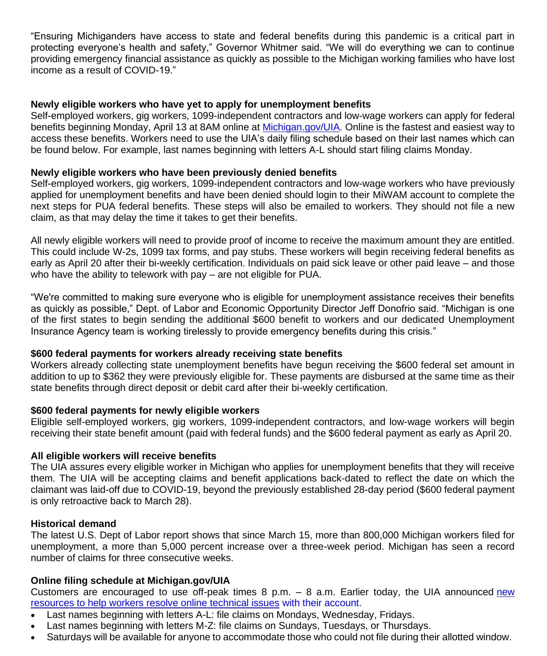"Ensuring Michiganders have access to state and federal benefits during this pandemic is a critical part in protecting everyone's health and safety," Governor Whitmer said. "We will do everything we can to continue providing emergency financial assistance as quickly as possible to the Michigan working families who have lost income as a result of COVID-19."

## **Newly eligible workers who have yet to apply for unemployment benefits**

Self-employed workers, gig workers, 1099-independent contractors and low-wage workers can apply for federal benefits beginning Monday, April 13 at 8AM online at Michigan.gov/UIA. Online is the fastest and easiest way to access these benefits. Workers need to use the UIA's daily filing schedule based on their last names which can be found below. For example, last names beginning with letters A-L should start filing claims Monday.

## **Newly eligible workers who have been previously denied benefits**

Self-employed workers, gig workers, 1099-independent contractors and low-wage workers who have previously applied for unemployment benefits and have been denied should login to their MiWAM account to complete the next steps for PUA federal benefits. These steps will also be emailed to workers. They should not file a new claim, as that may delay the time it takes to get their benefits.

All newly eligible workers will need to provide proof of income to receive the maximum amount they are entitled. This could include W-2s, 1099 tax forms, and pay stubs. These workers will begin receiving federal benefits as early as April 20 after their bi-weekly certification. Individuals on paid sick leave or other paid leave – and those who have the ability to telework with pay – are not eligible for PUA.

"We're committed to making sure everyone who is eligible for unemployment assistance receives their benefits as quickly as possible," Dept. of Labor and Economic Opportunity Director Jeff Donofrio said. "Michigan is one of the first states to begin sending the additional \$600 benefit to workers and our dedicated Unemployment Insurance Agency team is working tirelessly to provide emergency benefits during this crisis."

### **\$600 federal payments for workers already receiving state benefits**

Workers already collecting state unemployment benefits have begun receiving the \$600 federal set amount in addition to up to \$362 they were previously eligible for. These payments are disbursed at the same time as their state benefits through direct deposit or debit card after their bi-weekly certification.

### **\$600 federal payments for newly eligible workers**

Eligible self-employed workers, gig workers, 1099-independent contractors, and low-wage workers will begin receiving their state benefit amount (paid with federal funds) and the \$600 federal payment as early as April 20.

### **All eligible workers will receive benefits**

The UIA assures every eligible worker in Michigan who applies for unemployment benefits that they will receive them. The UIA will be accepting claims and benefit applications back-dated to reflect the date on which the claimant was laid-off due to COVID-19, beyond the previously established 28-day period (\$600 federal payment is only retroactive back to March 28).

### **Historical demand**

The latest U.S. Dept of Labor report shows that since March 15, more than 800,000 Michigan workers filed for unemployment, a more than 5,000 percent increase over a three-week period. Michigan has seen a record number of claims for three consecutive weeks.

### **Online filing schedule at Michigan.gov/UIA**

Customers are encouraged to use off-peak times 8 p.m. – 8 a.m. Earlier today, the UIA announced new resources to help workers resolve online technical issues with their account.

- Last names beginning with letters A-L: file claims on Mondays, Wednesday, Fridays.
- Last names beginning with letters M-Z: file claims on Sundays, Tuesdays, or Thursdays.
- Saturdays will be available for anyone to accommodate those who could not file during their allotted window.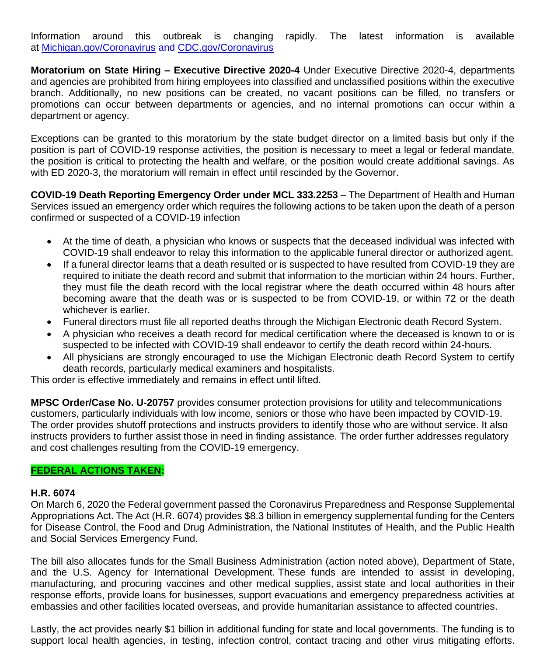Information around this outbreak is changing rapidly. The latest information is available at Michigan.gov/Coronavirus and CDC.gov/Coronavirus

**Moratorium on State Hiring – Executive Directive 2020-4** Under Executive Directive 2020-4, departments and agencies are prohibited from hiring employees into classified and unclassified positions within the executive branch. Additionally, no new positions can be created, no vacant positions can be filled, no transfers or promotions can occur between departments or agencies, and no internal promotions can occur within a department or agency.

Exceptions can be granted to this moratorium by the state budget director on a limited basis but only if the position is part of COVID-19 response activities, the position is necessary to meet a legal or federal mandate, the position is critical to protecting the health and welfare, or the position would create additional savings. As with ED 2020-3, the moratorium will remain in effect until rescinded by the Governor.

**COVID-19 Death Reporting Emergency Order under MCL 333.2253** – The Department of Health and Human Services issued an emergency order which requires the following actions to be taken upon the death of a person confirmed or suspected of a COVID-19 infection

- At the time of death, a physician who knows or suspects that the deceased individual was infected with COVID-19 shall endeavor to relay this information to the applicable funeral director or authorized agent.
- If a funeral director learns that a death resulted or is suspected to have resulted from COVID-19 they are required to initiate the death record and submit that information to the mortician within 24 hours. Further, they must file the death record with the local registrar where the death occurred within 48 hours after becoming aware that the death was or is suspected to be from COVID-19, or within 72 or the death whichever is earlier.
- Funeral directors must file all reported deaths through the Michigan Electronic death Record System.
- A physician who receives a death record for medical certification where the deceased is known to or is suspected to be infected with COVID-19 shall endeavor to certify the death record within 24-hours.
- All physicians are strongly encouraged to use the Michigan Electronic death Record System to certify death records, particularly medical examiners and hospitalists.

This order is effective immediately and remains in effect until lifted.

**MPSC Order/Case No. U-20757** provides consumer protection provisions for utility and telecommunications customers, particularly individuals with low income, seniors or those who have been impacted by COVID-19. The order provides shutoff protections and instructs providers to identify those who are without service. It also instructs providers to further assist those in need in finding assistance. The order further addresses regulatory and cost challenges resulting from the COVID-19 emergency.

### **FEDERAL ACTIONS TAKEN:**

### **H.R. 6074**

On March 6, 2020 the Federal government passed the Coronavirus Preparedness and Response Supplemental Appropriations Act. The Act (H.R. 6074) provides \$8.3 billion in emergency supplemental funding for the Centers for Disease Control, the Food and Drug Administration, the National Institutes of Health, and the Public Health and Social Services Emergency Fund.

The bill also allocates funds for the Small Business Administration (action noted above), Department of State, and the U.S. Agency for International Development. These funds are intended to assist in developing, manufacturing, and procuring vaccines and other medical supplies, assist state and local authorities in their response efforts, provide loans for businesses, support evacuations and emergency preparedness activities at embassies and other facilities located overseas, and provide humanitarian assistance to affected countries.

Lastly, the act provides nearly \$1 billion in additional funding for state and local governments. The funding is to support local health agencies, in testing, infection control, contact tracing and other virus mitigating efforts.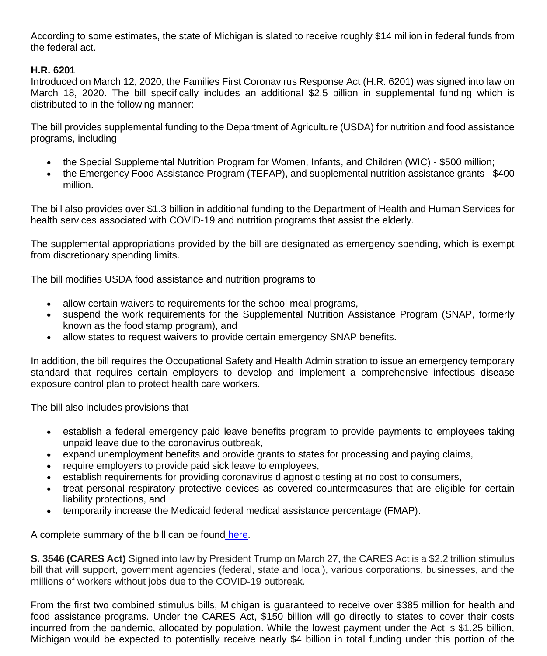According to some estimates, the state of Michigan is slated to receive roughly \$14 million in federal funds from the federal act.

# **H.R. 6201**

Introduced on March 12, 2020, the Families First Coronavirus Response Act (H.R. 6201) was signed into law on March 18, 2020. The bill specifically includes an additional \$2.5 billion in supplemental funding which is distributed to in the following manner:

The bill provides supplemental funding to the Department of Agriculture (USDA) for nutrition and food assistance programs, including

- the Special Supplemental Nutrition Program for Women, Infants, and Children (WIC) \$500 million;
- the Emergency Food Assistance Program (TEFAP), and supplemental nutrition assistance grants \$400 million.

The bill also provides over \$1.3 billion in additional funding to the Department of Health and Human Services for health services associated with COVID-19 and nutrition programs that assist the elderly.

The supplemental appropriations provided by the bill are designated as emergency spending, which is exempt from discretionary spending limits.

The bill modifies USDA food assistance and nutrition programs to

- allow certain waivers to requirements for the school meal programs,
- suspend the work requirements for the Supplemental Nutrition Assistance Program (SNAP, formerly known as the food stamp program), and
- allow states to request waivers to provide certain emergency SNAP benefits.

In addition, the bill requires the Occupational Safety and Health Administration to issue an emergency temporary standard that requires certain employers to develop and implement a comprehensive infectious disease exposure control plan to protect health care workers.

The bill also includes provisions that

- establish a federal emergency paid leave benefits program to provide payments to employees taking unpaid leave due to the coronavirus outbreak,
- expand unemployment benefits and provide grants to states for processing and paying claims,
- require employers to provide paid sick leave to employees,
- establish requirements for providing coronavirus diagnostic testing at no cost to consumers,
- treat personal respiratory protective devices as covered countermeasures that are eligible for certain liability protections, and
- temporarily increase the Medicaid federal medical assistance percentage (FMAP).

A complete summary of the bill can be found here.

**S. 3546 (CARES Act)** Signed into law by President Trump on March 27, the CARES Act is a \$2.2 trillion stimulus bill that will support, government agencies (federal, state and local), various corporations, businesses, and the millions of workers without jobs due to the COVID-19 outbreak.

From the first two combined stimulus bills, Michigan is guaranteed to receive over \$385 million for health and food assistance programs. Under the CARES Act, \$150 billion will go directly to states to cover their costs incurred from the pandemic, allocated by population. While the lowest payment under the Act is \$1.25 billion, Michigan would be expected to potentially receive nearly \$4 billion in total funding under this portion of the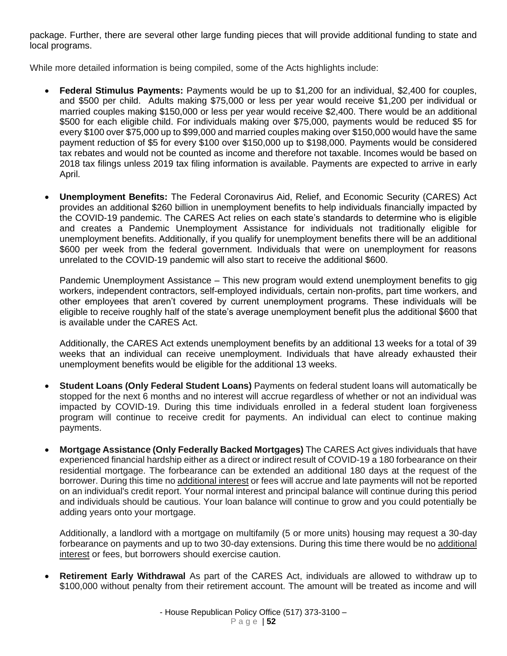package. Further, there are several other large funding pieces that will provide additional funding to state and local programs.

While more detailed information is being compiled, some of the Acts highlights include:

- **Federal Stimulus Payments:** Payments would be up to \$1,200 for an individual, \$2,400 for couples, and \$500 per child. Adults making \$75,000 or less per year would receive \$1,200 per individual or married couples making \$150,000 or less per year would receive \$2,400. There would be an additional \$500 for each eligible child. For individuals making over \$75,000, payments would be reduced \$5 for every \$100 over \$75,000 up to \$99,000 and married couples making over \$150,000 would have the same payment reduction of \$5 for every \$100 over \$150,000 up to \$198,000. Payments would be considered tax rebates and would not be counted as income and therefore not taxable. Incomes would be based on 2018 tax filings unless 2019 tax filing information is available. Payments are expected to arrive in early April.
- **Unemployment Benefits:** The Federal Coronavirus Aid, Relief, and Economic Security (CARES) Act provides an additional \$260 billion in unemployment benefits to help individuals financially impacted by the COVID-19 pandemic. The CARES Act relies on each state's standards to determine who is eligible and creates a Pandemic Unemployment Assistance for individuals not traditionally eligible for unemployment benefits. Additionally, if you qualify for unemployment benefits there will be an additional \$600 per week from the federal government. Individuals that were on unemployment for reasons unrelated to the COVID-19 pandemic will also start to receive the additional \$600.

Pandemic Unemployment Assistance – This new program would extend unemployment benefits to gig workers, independent contractors, self-employed individuals, certain non-profits, part time workers, and other employees that aren't covered by current unemployment programs. These individuals will be eligible to receive roughly half of the state's average unemployment benefit plus the additional \$600 that is available under the CARES Act.

Additionally, the CARES Act extends unemployment benefits by an additional 13 weeks for a total of 39 weeks that an individual can receive unemployment. Individuals that have already exhausted their unemployment benefits would be eligible for the additional 13 weeks.

- **Student Loans (Only Federal Student Loans)** Payments on federal student loans will automatically be stopped for the next 6 months and no interest will accrue regardless of whether or not an individual was impacted by COVID-19. During this time individuals enrolled in a federal student loan forgiveness program will continue to receive credit for payments. An individual can elect to continue making payments.
- **Mortgage Assistance (Only Federally Backed Mortgages)** The CARES Act gives individuals that have experienced financial hardship either as a direct or indirect result of COVID-19 a 180 forbearance on their residential mortgage. The forbearance can be extended an additional 180 days at the request of the borrower. During this time no additional interest or fees will accrue and late payments will not be reported on an individual's credit report. Your normal interest and principal balance will continue during this period and individuals should be cautious. Your loan balance will continue to grow and you could potentially be adding years onto your mortgage.

Additionally, a landlord with a mortgage on multifamily (5 or more units) housing may request a 30-day forbearance on payments and up to two 30-day extensions. During this time there would be no additional interest or fees, but borrowers should exercise caution.

• **Retirement Early Withdrawal** As part of the CARES Act, individuals are allowed to withdraw up to \$100,000 without penalty from their retirement account. The amount will be treated as income and will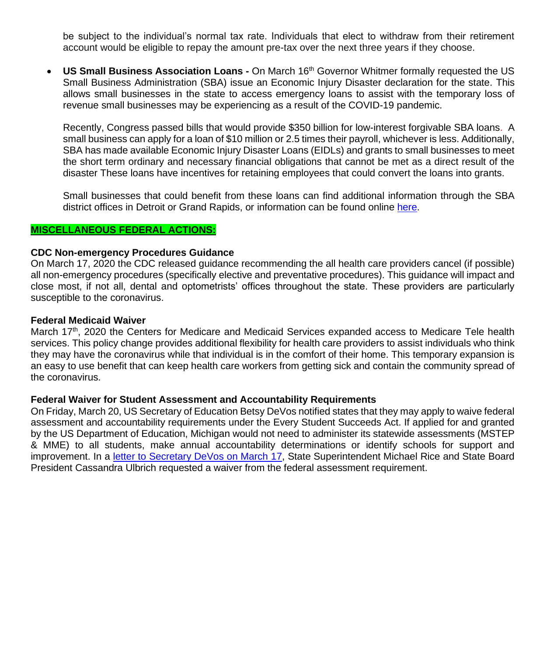be subject to the individual's normal tax rate. Individuals that elect to withdraw from their retirement account would be eligible to repay the amount pre-tax over the next three years if they choose.

• **US Small Business Association Loans -** On March 16th Governor Whitmer formally requested the US Small Business Administration (SBA) issue an Economic Injury Disaster declaration for the state. This allows small businesses in the state to access emergency loans to assist with the temporary loss of revenue small businesses may be experiencing as a result of the COVID-19 pandemic.

Recently, Congress passed bills that would provide \$350 billion for low-interest forgivable SBA loans. A small business can apply for a loan of \$10 million or 2.5 times their payroll, whichever is less. Additionally, SBA has made available Economic Injury Disaster Loans (EIDLs) and grants to small businesses to meet the short term ordinary and necessary financial obligations that cannot be met as a direct result of the disaster These loans have incentives for retaining employees that could convert the loans into grants.

Small businesses that could benefit from these loans can find additional information through the SBA district offices in Detroit or Grand Rapids, or information can be found online here.

#### **MISCELLANEOUS FEDERAL ACTIONS:**

#### **CDC Non-emergency Procedures Guidance**

On March 17, 2020 the CDC released guidance recommending the all health care providers cancel (if possible) all non-emergency procedures (specifically elective and preventative procedures). This guidance will impact and close most, if not all, dental and optometrists' offices throughout the state. These providers are particularly susceptible to the coronavirus.

#### **Federal Medicaid Waiver**

March 17<sup>th</sup>, 2020 the Centers for Medicare and Medicaid Services expanded access to Medicare Tele health services. This policy change provides additional flexibility for health care providers to assist individuals who think they may have the coronavirus while that individual is in the comfort of their home. This temporary expansion is an easy to use benefit that can keep health care workers from getting sick and contain the community spread of the coronavirus.

#### **Federal Waiver for Student Assessment and Accountability Requirements**

On Friday, March 20, US Secretary of Education Betsy DeVos notified states that they may apply to waive federal assessment and accountability requirements under the Every Student Succeeds Act. If applied for and granted by the US Department of Education, Michigan would not need to administer its statewide assessments (MSTEP & MME) to all students, make annual accountability determinations or identify schools for support and improvement. In a letter to Secretary DeVos on March 17, State Superintendent Michael Rice and State Board President Cassandra Ulbrich requested a waiver from the federal assessment requirement.